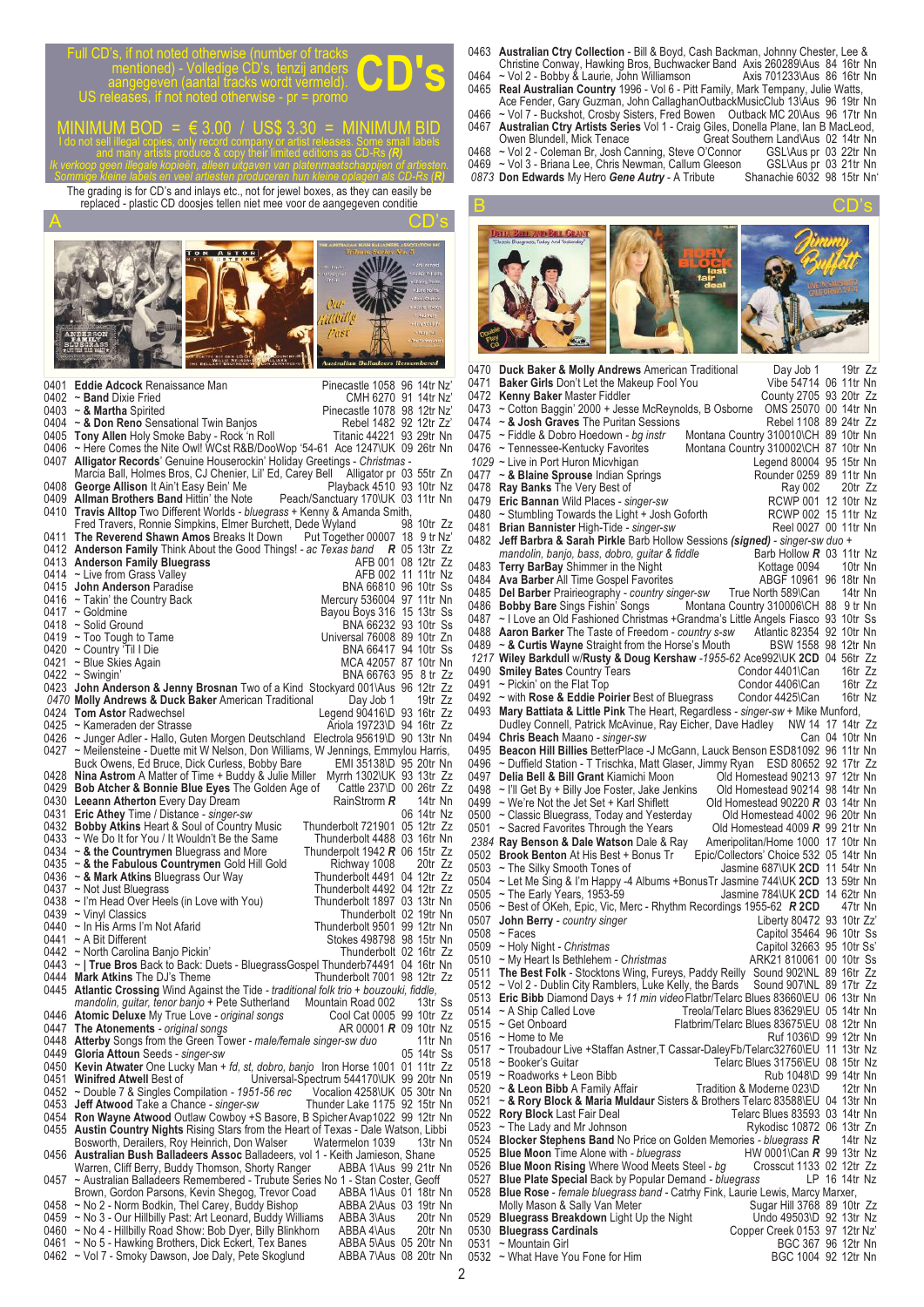Full CD's, if not noted otherwise (number of tracks<br>
mentioned) - Volledige CD's, tenzij anders<br>
aangegeven (aantal tracks wordt vermeld).<br>
US releases. if not noted otherwise - pr = promo mentioned) - Volledige CD's, tenzij anders aangegeven (aantal tracks wordt vermeld). US releases, if not noted otherwise - pr = promo

MINIMUM BOD = € 3.00 / US\$ 3.30 = MINIMUM BID I do not sell illegal copies, only record company or artist releases. Some small labels and many artists produce & copy their limited editions as CD-Rs *(R) Ik verkoop geen illegale kopieën, alleen uitgaven van platenmaatschappijen of artiesten.*

*Sommige kleine labels en veel artiesten produceren hun kleine oplagen als CD-Rs (R)* The grading is for CD's and inlays etc., not for jewel boxes, as they can easily be replaced - plastic CD doosjes tellen niet mee voor de aangegeven conditie



0401 **Eddie Adcock** Renaissance Man<br>0402 ~ **Band** Dixie Fried<br>0402 ~ **Band** Dixie Fried 0402 ~ **Band** Dixie Fried CMH 6270 91 14tr Nz<br>0403 ~ **& Martha** Spirited CMH 6270 98 12tr Nz 0403 ~ **& Martha** Spirited **Disk Communist Concept 1078 98 12tr Nz'**<br>0404 ~ **& Don Reno** Sensational Twin Banjos **Property Republe 1482 92 12tr Zz'** 0404 ~ **& Don Reno** Sensational Twin Banjos<br>
0405 **Tony Allen** Holy Smoke Baby - Rock 'n Roll **Francic 44221 93 29tr Nn** 0405 **Tony Allen** Holy Smoke Baby - Rock 'n Roll 0406 ~ Here Comes the Nite Owl! WCst R&B/Doo 0406 ~ Here Comes the Nite Owl! WCst R&B/DooWop '54-61 Ace 1247\UK 09 26tr Nn 0407 **Alligator Records'** Genuine Houserockin' Holiday Greetings - Christmas -0407 **Alligator Records**' Genuine Houserockin' Holiday Greetings - *Christmas -*  Marcia Ball, Holmes Bros, CJ Chenier, Lil' Ed, Carey Bell Alligator pr 03 55tr Zn<br>George Allison It Ain't Easy Bein' Me<br>Playback 4510 93 10tr Nz 0408 **George Allison** It Ain't Easy Bein' Me Playback 4510 93 10tr Nz<br>0409 **Allman Brothers Band** Hittin' the Note Peach/Sanctuary 170 UK 03 11tr Nn 0409 **Allman Brothers Band** Hittin' the Note 0410 **Travis Allton** Two Different Worlds - blu **Travis Alltop** Two Different Worlds *- bluegrass* + Kenny & Amanda Smith,<br>Fred Travers, Ronnie Simpkins, Flmer Burchett, Dede Wyland 98, 10tr. 7z Fred Travers, Ronnie Simpkins, Elmer Burchett, Dede Wyland 98 10tr Zz<br>The Reverend Shawn Amos Breaks It Down Put Together 00007 18 9 tr Nz 0411 **The Reverend Shawn Amos** Breaks It Down Put Together 00007 18 9 tr Nz' 0412 **Anderson Family** Think About the Good Things! *- ac Texas band R* 05 13tr Zz 0413 **Anderson Family Bluegrass** AFB 001 08 12tr Zz 0414 ~ Live from Grass Valley **AFB 002 11 11tr Nz**<br>0415 **John Anderson** Paradise **AFB 002 11 11tr Nz** 0415 **John Anderson** Paradise<br>0416 ~ Takin' the Country Back 0416 ~ Takin' the Country Back Mercury 536004 97 11tr Nn<br>0417 ~ Goldmine Mercury 536004 97 11tr Ss Bayou Boys 316 15 13tr Ss<br>BNA 66232 93 10tr Ss 0418 ~ Solid Ground BNA 66232 93 10tr Ss 0419 ~Too Tough to Tame Universal 76008 89 10tr Zn<br>0420 ~Country 'Til I Die BNA 66417 94 10tr Ss 0421 ~ Blue Skies Again MCA 42057 87 10tr Nn<br>
0422 ~ Swingin' MCA 42057 87 10tr Nn 0422 ~ Swingin' and BNA 66763 95 8 tr Zz 0423 **John Anderson & Jenny Brosnan** Two of a Kind Stockyard 001\Aus 96 12tr Zz 0470 **Molly Andrews & Duck Baker** American Traditional 0424 Tom Astor Radwechsel 0470 **Molly Andrews & Duck Baker** American Traditional Day Job 1 19tr Zz<br>0424 **Tom Astor** Radwechsel Legend 90416\D 93 16tr Zz<br>0425 ~ Kameraden der Strasse Ariola 19723\D 94 16tr Zz 0425 ~ Kameraden der Strasse Ariola 19723\D 94 16tr Zz 0426 ~ Junger Adler - Hallo, Guten Morgen Deutschland Electrola 95619\D 90 13tr Nn<br>0427 ~ Meilensteine - Duette mit W Nelson, Don Williams, W Jennings, Emmylou Harris, 0427 ~ Meilensteine - Duette mit W Nelson, Don Williams, W Jennings, Emmylou Harris, Buck Owens, Ed Bruce, Dick Curless, Bobby Bare FMI 35138\D 95 20tr Nn 0428 **Nina Astrom** A Matter of Time + Buddy & Julie Miller Myrrh 1302\UK 93 13tr Zz<br>0429 **Bob Atcher & Bonnie Blue Eyes** The Golden Age of Cattle 237\D 00 26tr Zz 0429 **Bob Atcher & Bonnie Blue Eyes** The Golden Age of Cattle 237\D 00 26tr Zz<br>0430 **Leeann Atherton** Every Day Dream **Research Age of RainStrom R** 14tr Nn **Leeann Atherton** Every Day Dream **RainStrorm R** 14tr Nn<br>**Eric Athey** Time / Distance - *singer-sw* 806 14tr Nz 0431 **Eric Athey** Time / Distance *- singer-sw* 06 14tr Nz 0432 **Bobby Atkins** Heart & Soul of Country Music Thunderbolt 721901 05 12tr Zz<br>0433 ~ We Do It for You / It Wouldn't Be the Same Thunderbolt 4488 03 16tr Nn<br>0434 ~ & the Countrymen Bluegrass and More Thunderpolt 1942 R 06 0433 ~ We Do It for You / It Wouldn't Be the Same 0434 ~ & the Countrymen Bluegrass and More **244 a Countrymen** Bluegrass and More Thunderpolt 1942 **R** 06 15tr Zz<br> **44 A the Fabulous Countrymen** Gold Hill Gold Richway 1008 20tr Zz<br> **44 A Mark Atkins** Bluegrass Our Way Thunderbolt 4491 04 12tr Zz 0435 ~ & the Fabulous Countrymen Gold Hill Gold<br>0436 ~ & Mark Atkins Bluegrass Our Way 0436 ~ **& Mark Atkins** Bluegrass Our Way<br>0437 ~ Not Just Bluegrass 0437 ~ Not Just Bluegrass Thunderbolt 4492 04 12tr Zz<br>0438 ~ I'm Head Over Heels (in Love with You) Thunderbolt 1897 03 13tr Nn 0438 ~ I'm Head Over Heels (in Love with You) 0439 ~ Vinyl Classics Thunderbolt 02 19tr Nn<br>Thunderbolt 9501 99 12tr Nn 0440 ~ In His Arms I'm Not Afarid 0441 ~ A Bit Different 0441 ~ A Bit Different Consumed by Calcular Stokes 498798 98 15tr Nn<br>0442 ~ North Carolina Banjo Pickin' Consumed Burn Chunderbolt 02 16tr Zz 0442 ~ North Carolina Banjo Pickin' New York Channes Thunderbolt 02 16tr Zz 0443 ~ **| True Bros** Back to Back: Duets - BluegrassGospel Thunderb74491 04 16tr Nn 0444 **Mark Atkins** The DJ's Theme Thunderbolt 7001 98 12tr Zz 0445 **Atlantic Crossing** Wind Against the Tide *- traditional folk trio + bouzouki, fiddle,* mandolin, guitar, tenor banjo + Pete Sutherland Mountain Road 002 13tr Ss<br>**Atomic Deluxe** My True Love - original songs Cool Cat 0005 99 10tr Zz 0446 **Atomic Deluxe** My True Love *- original songs* Cool Cat 0005 99 10tr Zz The Atonements *- original songs*  $\overrightarrow{AB}$  AR 00001 **R** 09 10tr Nz<br>Atterby Songs from the Green Tower *- male/female singer-sw duo* 11tr Nn 0448 **Atterby** Songs from the Green Tower *- male/female singer-sw duo* 11tr Nn 0449 **Gloria Attoun** Seeds - singer-sw 0450 **Kevin Atwater** One Lucky Man *+ fd, st, dobro, banjo* Iron Horse 1001 01 11tr Zz 0451 **Winifred Atwell** Best of Universal-Spectrum 544170\UK 99 20tr Nn 0452 ~ Double 7 & Singles Compilation - 1951-56 rec Vocalion 4258\UK 05 30tr Nn 0452 ~ Double 7 & Singles Compilation - 1951-56 rec Vocalion 4258\UK 05 30tr Nn<br>0453 **Jeff Atwood** Take a Chance - *singer-sw* Thunder Lake 1175 92 15tr Nn 0453 **Jeff Atwood** Take a Chance *- singer-sw*<br>0454 **Ron Wayne Atwood** Outlaw Cowboy +S 0454 **Ron Wayne Atwood** Outlaw Cowboy +S Basore, B Spicher Avap1022 99 12tr Nn<br>0455 **Austin Country Nights** Rising Stars from the Heart of Texas - Dale Watson, Libbi 0455 **Austin Country Nights** Rising Stars from the Heart of Texas - Dale Watson, Libbi Bosworth, Derailers, Roy Heinrich, Don Walser Matermelon 1039 13tr Nn 0456 **Australian Bush Balladeers Assoc** Balladeers, vol 1 - Keith Jamieson, Shane Warren, Cliff Berry, Buddy Thomson, Shorty Ranger ABBA 1\Aus 99 21tr Nn 0457 ~ Australian Balladeers Remembered - Trubute Series No 1 - Stan Coster, Geoff Brown, Gordon Parsons, Kevin Shegog, Trevor Coad ABBA 1\Aus 01 18tr Nn 0458 ~ No 2 - Norm Bodkin, Thel Carey, Buddy Bishop ABBA 2\Aus 03 19tr Nn 0459 ~ No 3 - Our Hillbilly Past: Art Leonard, Buddy Williams ABBA 3\Aus 20tr Nn 0460 ~ No 4 - Hillbilly Road Show: Bob Dyer, Billy Blinkhorn ABBA 4\Aus 20tr Nn 0461 ~ No 5 - Hawking Brothers Dick Fickert. Tex Banes ABBA 5\Aus 05 20tr Nn 0461 ~ No 5 - Hawking Brothers, Dick Eckert, Tex Banes ABBA 5\Aus 05 20tr Nn 0462 ~ Vol 7 - Smoky Dawson, Joe Daly, Pete Skoglund \_\_\_\_\_\_\_\_\_\_\_\_\_\_\_\_\_\_\_\_\_\_\_\_\_\_\_

- 0463 **Australian Ctry Collection** Bill & Boyd, Cash Backman, Johnny Chester, Lee & Christine Conway, Hawking Bros, Buchwacker Band Axis 260289\Aus 84 16tr Nn
- 0464 ~ Vol 2 Bobby & Laurie, John Williamson Axis 701233\Aus 86 16tr Nn 0465 **Real Australian Country** 1996 - Vol 6 - Pitt Family, Mark Tempany, Julie Watts, Ace Fender, Gary Guzman, John CallaghanOutbackMusicClub 13\Aus 96 19tr Nn
- 0466 ~ Vol 7 Buckshot, Crosby Sisters, Fred Bowen Outback MC 20\Aus 96 17tr Nn 0467 **Australian Ctry Artists Series** Vol 1 - Craig Giles, Donella Plane, Ian B MacLeod, Owen Blundell, Mick Tenace Great Southern Land\Aus 02 14tr Nn
- 0468 ~ Vol 2 Coleman Br, Josh Canning, Steve O'Connor GSL\Aus pr 03 22tr Nn vol 3 - Briana Lee, Chris Newman, Callum Gleeson GSL\Aus pr 03 21tr Nn<br>Don Edwards My Hero Gene Autry - A Tribute Shanachie 6032 98 15tr Nn 0873 Don Edwards My Hero Gene Autry - A Tribute

B CD's CD's

|      | 0470 Duck Baker & Molly Andrews American Traditional                                                                                                                    | Day Job 1 19tr Zz                      |               |  |
|------|-------------------------------------------------------------------------------------------------------------------------------------------------------------------------|----------------------------------------|---------------|--|
|      | 0471 Baker Girls Don't Let the Makeup Fool You                                                                                                                          | Vibe 54714 06 11tr Nn                  |               |  |
|      | 0472 Kenny Baker Master Fiddler                                                                                                                                         | County 2705 93 20tr Zz                 |               |  |
|      |                                                                                                                                                                         |                                        |               |  |
|      | 0473 ~ Cotton Baggin' 2000 + Jesse McReynolds, B Osborne                                                                                                                | OMS 25070 00 14tr Nn                   |               |  |
|      | 0474 $\sim$ & Josh Graves The Puritan Sessions                                                                                                                          | Rebel 1108 89 24tr Zz                  |               |  |
|      | 0475 ~ Fiddle & Dobro Hoedown - bg instr<br>Montana Country 310010\CH 89 10tr Nn                                                                                        |                                        |               |  |
|      | Montana Country 310002\CH 87 10tr Nn<br>0476 ~ Tennessee-Kentucky Favorites                                                                                             |                                        |               |  |
|      |                                                                                                                                                                         |                                        |               |  |
|      | 1029 ~ Live in Port Huron Micvhigan                                                                                                                                     | Legend 80004 95 15tr Nn                |               |  |
|      | 0477 ~ & Blaine Sprouse Indian Springs                                                                                                                                  | Rounder 0259 89 11tr Nn                |               |  |
|      | 0478 Ray Banks The Very Best of                                                                                                                                         | Ray 002                                | 20tr Zz       |  |
|      |                                                                                                                                                                         |                                        |               |  |
|      | 0479 Eric Bannan Wild Places - singer-sw                                                                                                                                | RCWP 001 12 10tr Nz                    |               |  |
|      | 0480 $\sim$ Stumbling Towards the Light + Josh Goforth                                                                                                                  | RCWP 002 15 11tr Nz                    |               |  |
|      | 0481 Brian Bannister High-Tide - singer-sw                                                                                                                              | Reel 0027 00 11tr Nn                   |               |  |
|      | 0482 Jeff Barbra & Sarah Pirkle Barb Hollow Sessions (signed) - singer-sw duo +                                                                                         |                                        |               |  |
|      |                                                                                                                                                                         |                                        |               |  |
|      | mandolin, banjo, bass, dobro, guitar & fiddle                                                                                                                           | Barb Hollow R 03 11tr Nz               |               |  |
|      | 0483 Terry BarBay Shimmer in the Night                                                                                                                                  | Kottage 0094                           | 10tr Nn       |  |
|      | 0484 Ava Barber All Time Gospel Favorites                                                                                                                               | ABGF 10961 96 18tr Nn                  |               |  |
|      | 0485 Del Barber Prairieography - country singer-sw True North 589\Can                                                                                                   |                                        | 14tr Nn       |  |
|      |                                                                                                                                                                         |                                        |               |  |
|      | 0486 Bobby Bare Sings Fishin' Songs Montana Country 310006\CH 88 9 tr Nn                                                                                                |                                        |               |  |
|      | 0487 ~ I Love an Old Fashioned Christmas + Grandma's Little Angels Fiasco 93 10tr Ss                                                                                    |                                        |               |  |
|      |                                                                                                                                                                         |                                        |               |  |
|      | 0488 Aaron Barker The Taste of Freedom - country s-sw Atlantic 82354 92 10tr Nn<br>0489 ~ & Curtis Wayne Straight from the Horse's Mouth BSW 1558 98 12tr Nn            |                                        |               |  |
|      | 1217 Wiley Barkdull w/Rusty & Doug Kershaw -1955-62 Ace992\UK 2CD 04 56tr Zz                                                                                            |                                        |               |  |
|      |                                                                                                                                                                         |                                        |               |  |
|      | 0490 Smiley Bates Country Tears                                                                                                                                         | Condor 4401\Can                        | 16tr Zz       |  |
|      | 0491 $\sim$ Pickin' on the Flat Top                                                                                                                                     | Condor 4406\Can                        | 16tr Zz       |  |
|      | 0492 ~ with Rose & Eddie Poirier Best of Bluegrass Condor 4425\Can 16tr Nz                                                                                              |                                        |               |  |
|      | 0493 Mary Battiata & Little Pink The Heart, Regardless - singer-sw + Mike Munford,                                                                                      |                                        |               |  |
|      |                                                                                                                                                                         |                                        |               |  |
|      | Dudley Connell, Patrick McAvinue, Ray Eicher, Dave Hadley NW 14 17 14tr Zz                                                                                              |                                        |               |  |
|      | 0494 Chris Beach Maano - singer-sw                                                                                                                                      | Can 04 10tr Nn                         |               |  |
|      | 0495 Beacon Hill Billies BetterPlace -J McGann, Lauck Benson ESD81092 96 11tr Nn                                                                                        |                                        |               |  |
|      | 0496 ~ Duffield Station - T Trischka, Matt Glaser, Jimmy Ryan ESD 80652 92 17tr Zz                                                                                      |                                        |               |  |
|      |                                                                                                                                                                         |                                        |               |  |
|      | 0497 Delia Bell & Bill Grant Kiamichi Moon                                                                                                                              | Old Homestead 90213 97 12tr Nn         |               |  |
|      | 0498 $\sim$ I'll Get By + Billy Joe Foster, Jake Jenkins                                                                                                                | Old Homestead 90214 98 14tr Nn         |               |  |
|      | 0499 ~ We're Not the Jet Set + Karl Shiflett                                                                                                                            | Old Homestead 90220 $R$ 03 14tr Nn     |               |  |
|      | 0500 ~ Classic Bluegrass, Today and Yesterday                                                                                                                           | Old Homestead 4002 96 20tr Nn          |               |  |
|      |                                                                                                                                                                         |                                        |               |  |
|      | 0501 ~ Sacred Favorites Through the Years                                                                                                                               | Old Homestead 4009 $R$ 99 21tr Nn      |               |  |
|      | 2384 Ray Benson & Dale Watson Dale & Ray                                                                                                                                | Ameripolitan/Home 1000 17 10tr Nn      |               |  |
|      | 0502 Brook Benton At His Best + Bonus Tr                                                                                                                                | Epic/Collectors' Choice 532 05 14tr Nn |               |  |
|      | $0503$ ~ The Silky Smooth Tones of                                                                                                                                      | Jasmine 687\UK 2CD 11 54tr Nn          |               |  |
|      | 0504 ~ Let Me Sing & I'm Happy -4 Albums +BonusTr Jasmine 744\UK 2CD 13 59tr Nn                                                                                         |                                        |               |  |
|      |                                                                                                                                                                         |                                        |               |  |
|      | $0505$ ~ The Early Years, 1953-59                                                                                                                                       | Jasmine 784\UK 2CD 14 62tr Nn          |               |  |
|      | 0506 ~ Best of OKeh, Epic, Vic, Merc - Rhythm Recordings 1955-62 R 2CD                                                                                                  |                                        | 47tr Nn       |  |
| 0507 | John Berry - country singer                                                                                                                                             | Liberty 80472 93 10tr Zz'              |               |  |
|      | $0508$ ~ Faces                                                                                                                                                          | Capitol 35464 96 10tr Ss               |               |  |
|      |                                                                                                                                                                         |                                        |               |  |
|      | $0509$ ~ Holy Night - Christmas                                                                                                                                         | Capitol 32663 95 10tr Ss'              |               |  |
|      | 0510 ~ My Heart Is Bethlehem - Christmas                                                                                                                                | ARK21 810061 00 10tr Ss                |               |  |
|      | 0511 The Best Folk - Stocktons Wing, Fureys, Paddy Reilly Sound 902\NL 89 16tr Zz<br>0512 ~ Vol 2 - Dublin City Ramblers, Luke Kelly, the Bards Sound 907\NL 89 17tr Zz |                                        |               |  |
|      |                                                                                                                                                                         |                                        |               |  |
|      |                                                                                                                                                                         |                                        |               |  |
|      | 0513 Eric Bibb Diamond Days + 11 min video Flatbr/Telarc Blues 83660\EU 06 13tr Nn                                                                                      |                                        |               |  |
|      | 0514 ~ A Ship Called Love<br>Treola/Telarc Blues 83629\EU 05 14tr Nn                                                                                                    |                                        |               |  |
|      | Flatbrim/Telarc Blues 83675\EU 08 12tr Nn<br>$0515$ ~ Get Onboard                                                                                                       |                                        |               |  |
|      | $0516$ ~ Home to Me                                                                                                                                                     | Ruf 1036\D 99 12tr Nn                  |               |  |
|      | 0517 ~ Troubadour Live +Staffan Astner, T Cassar-DaleyFb/Telarc32760\EU 11 13tr Nz                                                                                      |                                        |               |  |
|      |                                                                                                                                                                         | Telarc Blues 31756\EU 08 15tr Nz       |               |  |
|      | 0518 ~ Booker's Guitar                                                                                                                                                  |                                        |               |  |
|      | 0519 ~ Roadworks + Leon Bibb                                                                                                                                            | Rub 1048\D 99 14tr Nn                  |               |  |
|      | 0520 ~ & Leon Bibb A Family Affair                                                                                                                                      | Tradition & Moderne 023\D              | 12tr Nn       |  |
|      | 0521 ~ & Rory Block & Maria Muldaur Sisters & Brothers Telarc 83588\EU 04 13tr Nn                                                                                       |                                        |               |  |
|      | 0522 Rory Block Last Fair Deal                                                                                                                                          | Telarc Blues 83593 03 14tr Nn          |               |  |
|      |                                                                                                                                                                         |                                        |               |  |
|      | 0523 ~ The Lady and Mr Johnson                                                                                                                                          | Rykodisc 10872 06 13tr Zn              |               |  |
|      | 0524 Blocker Stephens Band No Price on Golden Memories - bluegrass R 14tr Nz                                                                                            |                                        |               |  |
|      | 0525 Blue Moon Time Alone with - bluegrass                                                                                                                              | HW 0001\Can $R$ 99 13tr Nz             |               |  |
|      | 0526 Blue Moon Rising Where Wood Meets Steel - bg                                                                                                                       | Crosscut 1133 02 12tr Zz               |               |  |
|      | 0527 Blue Plate Special Back by Popular Demand - bluegrass                                                                                                              |                                        | LP 16 14tr Nz |  |
|      |                                                                                                                                                                         |                                        |               |  |
|      | 0528 Blue Rose - female bluegrass band - Catrhy Fink, Laurie Lewis, Marcy Marxer,                                                                                       |                                        |               |  |
|      | Molly Mason & Sally Van Meter                                                                                                                                           | Sugar Hill 3768 89 10tr Zz             |               |  |
| 0529 | <b>Bluegrass Breakdown</b> Light Up the Night                                                                                                                           | Undo 49503\D 92 13tr Nz                |               |  |
|      | 0530 Bluegrass Cardinals                                                                                                                                                | Copper Creek 0153 97 12tr Nz'          |               |  |
|      |                                                                                                                                                                         |                                        |               |  |
|      | 0531 ~ Mountain Girl                                                                                                                                                    | BGC 367 96 12tr Nn                     |               |  |
|      | 0532 ~ What Have You Fone for Him                                                                                                                                       | BGC 1004 92 12tr Nn                    |               |  |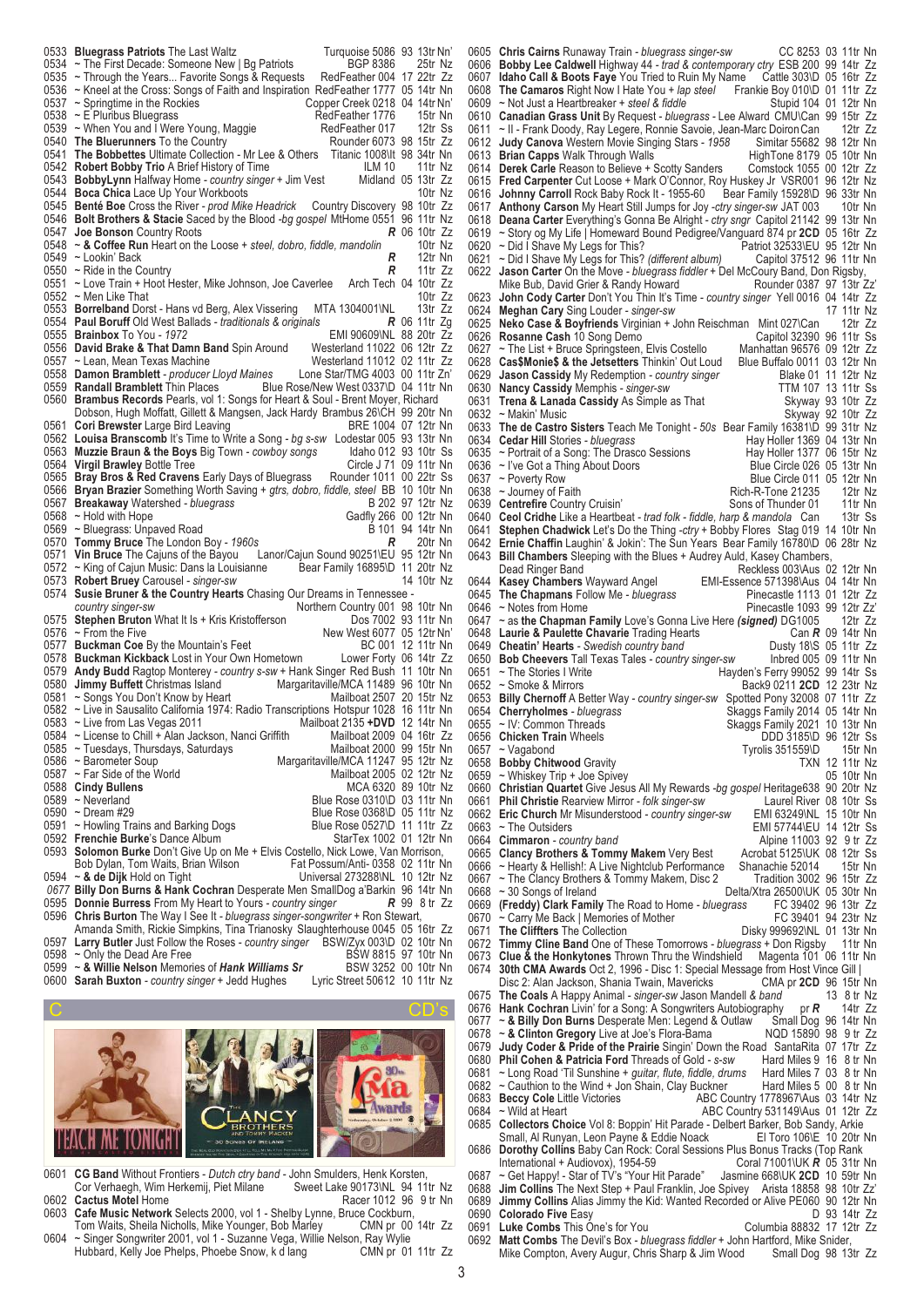|      | 0533 Bluegrass Patriots The Last Waltz<br>Turquoise 5086 93 13tr Nn'                                                                                              |                               |
|------|-------------------------------------------------------------------------------------------------------------------------------------------------------------------|-------------------------------|
|      | 0534 ~ The First Decade: Someone New   Bg Patriots<br>BGP 8386                                                                                                    | 25tr Nz                       |
|      | 0535 ~ Through the Years Favorite Songs & Requests<br>RedFeather 004 17 22tr Zz                                                                                   |                               |
|      | 0536 ~ Kneel at the Cross: Songs of Faith and Inspiration RedFeather 1777 05 14tr Nn<br>0537 ~ Springtime in the Rockies<br>Copper Creek 0218 04 14tr Nn'         |                               |
|      | 0538 ~ E Pluribus Bluegrass<br>RedFeather 1776                                                                                                                    | 15tr Nn                       |
|      | RedFeather 017<br>0539 ~ When You and I Were Young, Maggie                                                                                                        | 12tr Ss                       |
|      | 0540 The Bluerunners To the Country<br>Rounder 6073 98 15tr Zz                                                                                                    |                               |
|      | 0541 The Bobbettes Ultimate Collection - Mr Lee & Others Titanic 1008\lt 98 34tr Nn                                                                               |                               |
|      | 0542 Robert Bobby Trio A Brief History of Time<br>ILM 10                                                                                                          | 11tr Nz                       |
|      | 0543 <b>BobbyLynn</b> Halfway Home <i>- country singer</i> + Jim Vest<br>0544 Boca Chica Lace Up Your Workboots                                                   | Midland 05 13tr Zz<br>10tr Nz |
|      | 0545 Benté Boe Cross the River - prod Mike Headrick<br>Country Discovery 98 10tr Zz                                                                               |                               |
|      | 0546 <b>Bolt Brothers &amp; Stacie</b> Saced by the Blood <i>-bg gospel</i> MtHome 0551  96  11tr Nz                                                              |                               |
| 0547 | <b>Joe Bonson</b> Country Roots                                                                                                                                   | <b>R</b> 06 10tr Zz           |
|      | 0548 ~ & Coffee Run Heart on the Loose + steel, dobro, fiddle, mandolin                                                                                           | 10tr Nz                       |
|      | R<br>0549 ~ Lookin' Back<br>R                                                                                                                                     | 12tr Nn<br>11tr Zz            |
|      | 0550 $\sim$ Ride in the Country<br>0551 ~ Love Train + Hoot Hester, Mike Johnson, Joe Caverlee                                                                    | Arch Tech 04 10tr Zz          |
|      | 0552 ~ Men Like That                                                                                                                                              | 10tr Zz                       |
|      | 0553 Borrelband Dorst - Hans vd Berg, Alex Vissering<br>MTA 1304001\NL                                                                                            | 13tr Zz                       |
|      | 0554 Paul Boruff Old West Ballads - traditionals & originals                                                                                                      | $R$ 06 11tr Zg                |
|      | EMI 90609\NL 88 20tr Zz<br>0555 <b>Brainbox</b> To You - 1972                                                                                                     |                               |
|      | 0556 David Brake & That Damn Band Spin Around<br>Westerland 11022 06 12tr Zz<br>Westerland 11012 02 11tr Zz                                                       |                               |
|      | 0557 ~ Lean, Mean Texas Machine<br>0558 Damon Bramblett - producer Lloyd Maines<br>Lone Star/TMG 4003 00 11tr Zn'                                                 |                               |
|      | 0559 Randall Bramblett Thin Places<br>Blue Rose/New West 0337\D 04 11tr Nn                                                                                        |                               |
|      | 0560 Brambus Records Pearls, vol 1: Songs for Heart & Soul - Brent Moyer, Richard                                                                                 |                               |
|      | Dobson, Hugh Moffatt, Gillett & Mangsen, Jack Hardy Brambus 26\CH 99 20tr Nn                                                                                      |                               |
|      | 0561 Cori Brewster Large Bird Leaving                                                                                                                             | BRE 1004 07 12tr Nn           |
|      | 0562 Louisa Branscomb It's Time to Write a Song - bg s-sw Lodestar 005 93 13tr Nn<br>0563 Muzzie Braun & the Boys Big Town - cowboy songs                         | Idaho 012 93 10tr Ss          |
|      | 0564 Virgil Brawley Bottle Tree                                                                                                                                   | Circle J 71 09 11tr Nn        |
|      | 0565 Bray Bros & Red Cravens Early Days of Bluegrass Rounder 1011 00 22tr Ss                                                                                      |                               |
|      | 0566 Bryan Brazier Something Worth Saving + gtrs, dobro, fiddle, steel BB 10 10tr Nn                                                                              |                               |
|      | 0567 Breakaway Watershed - bluegrass                                                                                                                              | B 202 97 12tr Nz              |
|      | 0568 ~ Hold with Hope<br>Gadfly 266 00 12tr Nn<br>0569 ~ Bluegrass: Unpaved Road                                                                                  | B 101 94 14tr Nn              |
|      | 0570 Tommy Bruce The London Boy - 1960s<br>R                                                                                                                      | 20tr Nn                       |
|      | 0571 Vin Bruce The Cajuns of the Bayou<br>Lanor/Cajun Sound 90251\EU 95 12tr Nn                                                                                   |                               |
|      | Bear Family 16895\D 11 20tr Nz<br>0572 ~ King of Cajun Music: Dans la Louisianne                                                                                  |                               |
|      | 0573 Robert Bruey Carousel - singer-sw                                                                                                                            | 14 10tr Nz                    |
| 0574 | Susie Bruner & the Country Hearts Chasing Our Dreams in Tennessee -<br>Northern Country 001 98 10tr Nn                                                            |                               |
|      | country singer-sw<br>0575 Stephen Bruton What It Is + Kris Kristofferson                                                                                          | Dos 7002 93 11tr Nn           |
|      | $0576$ ~ From the Five<br>New West 6077 05 12tr Nn'                                                                                                               |                               |
|      | 0577 Buckman Coe By the Mountain's Feet                                                                                                                           | BC 001 12 11tr Nn             |
|      | 0578 Buckman Kickback Lost in Your Own Hometown Lower Forty 06 14tr Zz                                                                                            |                               |
|      | 0579 Andy Budd Ragtop Monterey - country s-sw + Hank Singer Red Bush 11 10tr Nn                                                                                   |                               |
|      | 0580 Jimmy Buffett Christmas Island<br>Margaritaville/MCA 11489 96 10tr Nn<br>Mailboat 2507 20 15tr Nz<br>0581 ~ Songs You Don't Know by Heart                    |                               |
|      | 0582 ~ Live in Sausalito California 1974: Radio Transcriptions Hotspur 1028 16 11tr Nn                                                                            |                               |
|      | 0583 ~ Live from Las Vegas 2011<br>Mailboat 2135 +DVD 12 14tr Nn                                                                                                  |                               |
|      | 0584 ~ License to Chill + Alan Jackson, Nanci Griffith Mailboat 2009 04 16tr Zz                                                                                   |                               |
|      | 0585 ~ Tuesdays, Thursdays, Saturdays<br>Mailboat 2000 99 15tr Nn                                                                                                 |                               |
|      | 0586 ~ Barometer Soup<br>Margaritaville/MCA 11247 95 12tr Nz<br>0587 ~ Far Side of the World<br>Mailboat 2005 02 12tr Nz                                          |                               |
|      | 0588 Cindy Bullens                                                                                                                                                | MCA 6320 89 10tr Nz           |
|      | 0589 ~ Neverland<br>Blue Rose 0310\D 03 11tr Nn                                                                                                                   |                               |
|      | Blue Rose 0368\D 05 11tr Nz<br>0590 ~ Dream #29                                                                                                                   |                               |
|      | Blue Rose 0527\D 11 11tr Zz<br>0591 ~ Howling Trains and Barking Dogs                                                                                             |                               |
|      | 0592 Frenchie Burke's Dance Album<br>StarTex 1002 01 12tr Nn<br>0593 Solomon Burke Don't Give Up on Me + Elvis Costello, Nick Lowe, Van Morrison,                 |                               |
|      | Bob Dylan, Tom Waits, Brian Wilson<br>Fat Possum/Anti-0358 02 11tr Nn                                                                                             |                               |
|      | Universal 273288\NL 10 12tr Nz<br>0594 $\sim$ & de Dijk Hold on Tight                                                                                             |                               |
|      | 0677 Billy Don Burns & Hank Cochran Desperate Men SmallDog a'Barkin 96 14tr Nn                                                                                    |                               |
|      | 0595 Donnie Burress From My Heart to Yours - country singer                                                                                                       | <b>R</b> 99 8 tr Zz           |
|      | 0596 Chris Burton The Way I See It - bluegrass singer-songwriter + Ron Stewart,                                                                                   |                               |
|      | Amanda Smith, Rickie Simpkins, Tina Trianosky Slaughterhouse 0045 05 16tr Zz<br>0597 Larry Butler Just Follow the Roses - country singer BSW/Zyx 003\D 02 10tr Nn |                               |
|      | 0598 ~ Only the Dead Are Free                                                                                                                                     | BSW 8815 97 10tr Nn           |
|      | 0599 ~ & Willie Nelson Memories of Hank Williams Sr<br>BSW 3252 00 10tr Nn                                                                                        |                               |

0600 **Sarah Buxton** *- country singer* + Jedd Hughes Lyric Street 50612 10 11tr Nz



- 0601 **CG Band** Without Frontiers *Dutch ctry band -* John Smulders, Henk Korsten, Cor Verhaegh, Wim Herkemij, Piet Milane Sweet Lake 90173\NL 94 11tr Nz 0602 **Cactus Motel** Home **Racer 1012 96 9tr Nn**
- 0603 **Cafe Music Network** Selects 2000, vol 1 Shelby Lynne, Bruce Cockburn, Tom Waits, Sheila Nicholls, Mike Younger, Bob Marley CMN pr 00 14tr Zz
- 0604 ~ Singer Songwriter 2001, vol 1 Suzanne Vega, Willie Nelson, Ray Wylie Hubbard, Kelly Joe Phelps, Phoebe Snow, k d lang

0605 **Chris Cairns** Runaway Train *- bluegrass singer-sw* CC 8253 03 11tr Nn 0606 **Bobby Lee Caldwell** Highway 44 *- trad & contemporary ctry* ESB 200 99 14tr Zz **Idaho Call & Boots Faye** You Tried to Ruin My Name Cattle 303\D 05 16tr Zz<br>The Camaros Right Now I Hate You + *lap steel* Frankie Boy 010\D 01 11tr Zz 0608 **The Camaros** Right Now I Hate You + *lap steel* Frankie Boy 010\D 01 11tr Zz<br>0609 ~ Not Just a Heartbreaker + *steel & fiddle* Stupid 104 01 12tr Nn ~ Not Just a Heartbreaker + steel & fiddle 0610 **Canadian Grass Unit** By Request - *bluegrass -* Lee Alward CMU\Can 99 15tr Zz ~ II - Frank Doody, Ray Legere, Ronnie Savoie, Jean-Marc Doiron Can al 2tr Zz<br>
Judy Canova Western Movie Singing Stars - 1958 Simitar 55682 98 12tr Nn 0612 **Judy Canova** Western Movie Singing Stars *- 1958* Simitar 55682 98 12tr Nn **Brian Capps** Walk Through Walls HighTone 8179 05 10tr Nn<br>Derek Carle Reason to Believe + Scotty Sanders Comstock 1055 00 12tr Zz 0614 **Derek Carle** Reason to Believe + Scotty Sanders 0615 **Fred Carpenter** Cut Loose + Mark O'Connor, Roy Huskey Jr VSR001 96 12tr Nz<br>0616 Johnny Carroll Rock Baby Rock It - 1955-60 Bear Family 15928\D 96 33tr Nn 0616 **Johnny Carroll** Rock Baby Rock It - 1955-60 0617 **Anthony Carson** My Heart Still Jumps for Joy *-ctry singer-sw* JAT 003 10tr Nn 0618 **Deana Carter** Everything's Gonna Be Alright *- ctry sngr* Capitol 21142 99 13tr Nn<br>0619 ~ Story on My Life | Homeward Bound Pedigree/Vanguard 874 or **2CD** 05 16tr 7z 0619 ~ Story og My Life | Homeward Bound Pedigree/Vanguard 874 pr **2CD** 05 16tr Zz 0620 ~ Did I Shave My Legs for This?<br>
0621 ~ Did I Shave My Legs for This? (different album) Capitol 37512 96 11tr Nn ~ Did I Shave My Legs for This? *(different album)* 0622 **Jason Carter** On the Move *- bluegrass fiddler* + Del McCoury Band, Don Rigsby, Mike Bub, David Grier & Randy Howard Rounder 0387 97 13tr Zz 0623 **John Cody Carter** Don't You Thin It's Time *- country singer* Yell 0016 04 14tr Zz 0624 **Meghan Cary** Sing Louder - *singer-sw*<br>0625 **Neko Case & Boyfriends** Virginian + J 0625 **Neko Case & Boyfriends** Virginian + John Reischman Mint 027\Can 12tr Zz 0626 **Rosanne Cash** 10 Song Demo<br>
0626 **Rosanne Cash** 10 Song Demo<br>
0627 ~ The List + Bruce Springsteen, Elvis Costello Manhattan 96576 09 12tr Zz ~ The List + Bruce Springsteen, Elvis Costello Manhattan 96576 09 12tr Zz<br>Cas\$Monie\$ & the Jetsetters Thinkin' Out Loud Blue Buffalo 0011 03 12tr Nn 0628 **Cas\$Monie\$ & the Jetsetters** Thinkin' Out Loud Blue Buffalo 0011 03 12tr Nn<br>0629 Jason Cassidy My Redemption - *country singer* Blake 01 11 12tr Nz 0629 **Jason Cassidy** My Redemption *- country singer* Blake 01 11 12tr Nz<br>0630 **Nancy Cassidy** Memphis - *singer-sw* TTM 107 13 11tr Ss 0630 **Nancy Cassidy** Memphis *- singer-sw* TTM 107 13 11tr Ss<br>0631 **Trena & Lanada Cassidy** As Simple as That Skyway 93 10tr Zz 0631 **Trena & Lanada Cassidy** As Simple as That 0632 ~ Makin' Music 0632 ~ Makin' Music<br>0633 The de Castro Sisters Teach Me Tonight - 50s Bear Family 16381\D 99 31tr Nz The de Castro Sisters Teach Me Tonight *- 50s* Bear Family 16381\D 99 31tr Nz<br>Cedar Hill Stories *- bluegrass* House Hay Holler 1369 04 13tr Nn 0634 **Cedar Hill** Stories *- bluegrass* Consumed Bay Holler 1369 04 13tr Nn<br>0635 ~ Portrait of a Song: The Drasco Sessions Hay Holler 1377 06 15tr Nz 0635 ~ Portrait of a Song: The Drasco Sessions Hay Holler 1377 06 15tr Nz<br>0636 ~ I've Got a Thing About Doors Blue Circle 026 05 13tr Nn 0636 ~ I've Got a Thing About Doors 0637 ~ Poverty Row 0637 ~ Poverty Row  $\sim$  810 = 810 = 810 = 810 = 810 = 811 = 812tr Nn<br>10638 ~ Journey of Faith = 810 = 810 = 810 = 812tr Nz 0638 ~ Journey of Faith <br>0639 **Centrefire** Country Cruisin' Sons of Thunder 01 11tr Nn **Centrefire** Country Cruisin' Sons of Thunder 01 11tr Nn<br> **Ceol Cridhe** Like a Heartbeat - *trad folk - fiddle, harp & mandola* Can 13tr Ss 0640 **Ceol Cridhe** Like a Heartbeat *- trad folk - fiddle, harp & mandola* Can 0641 Stephen Chadwick Let's Do the Thing -ctn: + Bobby Flores, Stag 019 **Stephen Chadwick** Let's Do the Thing *-ctry* + Bobby Flores Stag 019 14 10tr Nn 0642 **Ernie Chaffin** Laughin' & Jokin': The Sun Years Bear Family 16780\D 06 28tr Nz<br>0643 **Bill Chambers** Sleeping with the Blues + Audrey Auld. Kasey Chambers. **Bill Chambers** Sleeping with the Blues + Audrey Auld, Kasey Chambers, Dead Ringer Band<br>Reckless 003\Aus 0 Dead Ringer Band The Reckless 003\Aus 02 12tr Nn<br>
Kasey Chambers Wayward Angel EMI-Essence 571398\Aus 04 14tr Nn 0644 **Kasey Chambers** Wayward Angel FMI-Essence 571398\Aus 04 14tr Nn<br>0645 The Chapmans Follow Me - bluegrass Filecastle 1113 01 12tr Zz 0645 **The Chapmans** Follow Me - bluegrass 0646 ~ Notes from Home 0646 ~ Notes from Home<br>0647 ~ as the Chapman Family Love's Gonna Live Here *(signed*) DG1005 = 12tr Zz 0647 ~ as **the Chapman Family** Love's Gonna Live Here *(signed)* DG1005 12tr Zz 0648 **Laurie & Paulette Chavarie** Trading Hearts Can **R** 09 14tr Nn 0649 **Cheatin' Hearts** - Swedish country band Dusty 18\S 05 11tr Zz 0649 **Cheatin' Hearts** - Swedish country band Dusty 18\S 05 11tr Zz 0650 **Bob Cheevers** Tall Texas Tales *- country singer-sw* Inbred 005 09 11tr Nn 0651 ~ The Stories I Write The Hayden's Ferry 99052 99 14tr Ss<br>0652 ~ Smoke & Mirrors Back9 0211 2CD 12 23tr Nz 0652 ~ Smoke & Mirrors Back9 0211 **2CD** 12 23tr Nz 0653 **Billy Chernoff** A Better Way *- country singer-sw*<br>0654 **Cherryholmes** - bluegrass 0654 **Cherryholmes** *- bluegrass* Search Skaggs Family 2014 05 14tr Nn<br>0655 ~ IV: Common Threads Skaggs Family 2021 10 13tr Nn Skaggs Family 2021 10 13tr Nn<br>DDD 3185\D 96 12tr Ss 0656 **Chicken Train** Wheels **DDD** 3185\D 96 12tr Ss 0657 ~ Vagabond **DDD** 3185\D 96 12tr Ss Tyrolis 351559\D 15tr Nn<br>TXN 12 11tr Nz 0658 **Bobby Chitwood** Gravity **TXN 12 11tr Nz**<br>0659 ~ Whiskey Trip + Joe Spivey **TXN 12 10tr Nn**  $0659$  ~ Whiskey Trip + Joe Spivey<br>0660 **Christian Quartet** Give Jesu 0660 **Christian Quartet** Give Jesus All My Rewards *-bg gospel* Heritage638 90 20tr Nz **Phil Christie** Rearview Mirror *- folk singer-sw* [ Laurel River 08 10tr Ss<br> **Eric Church** Mr Misunderstood *- country singer-sw* [ MI 63249 NL 15 10tr Nn 0662 **Eric Church** Mr Misunderstood *- country singer-sw* 0663 ~ The Outsiders 0663 ~ The Outsiders **EMI 57744 LEMI 57744** LEMI 57744 LEU 14 12tr Ss<br>0664 **Cimmaron** - country band COME COME CONTROL Alpine 11003 92 9 tr Zz Alpine 11003 92 9 tr Zz<br>0665 **Clancy Brothers & Tommy Makem** Very Best Acrobat 5125\UK 08 12tr Ss 0665 **Clancy Brothers & Tommy Makem** Very Best Acrobat 5125\UK 08 12tr Ss<br>0666 ~ Hearty & Hellish!: A Live Nightclub Performance Shanachie 52014 15tr Nn 0666 ~ Hearty & Hellish!: A Live Nightclub Performance Shanachie 52014 15tr Nn<br>0667 ~ The Clancy Brothers & Tommy Makem, Disc 2 Tradition 3002 96 15tr Zz 0667 ~ The Clancy Brothers & Tommy Makem, Disc 2<br>0668 ~ 30 Songs of Ireland 0668 ~ 30 Songs of Ireland Delta/Xtra 26500\UK 05 30tr Nn<br>0669 **(Freddy) Clark Family** The Road to Home - *bluegrass* FC 39402 96 13tr Zz 0669 **(Freddy) Clark Family** The Road to Home *- bluegrass* FC 39402 96 13tr Zz 0670 ~ Carry Me Back | Memories of Mother 0671 The Cliffters The Collection Disky 999692\NL 01 13tr Nn 0672 **Timmy Cline Band** One of These Tomorrows *- bluegrass* + Don Rigsby 11tr Nn 0673 **Clue & the Honkytones** Thrown Thru the Windshield Magenta 101 06 11tr Nn<br>0674 **30th CMA Awards** Oct 2. 1996 - Disc 1: Special Message from Host Vince Gill I **30th CMA Awards** Oct 2, 1996 - Disc 1: Special Message from Host Vince Gill |<br>Disc 2: Alan Jackson, Shania Twain, Mavericks CMA pr **2CD** 96 15tr Nn Disc 2: Alan Jackson, Shania Twain, Mavericks CMA pr **2CD** 96 15tr Nn<br>The Coals A Happy Animal - singer-sw Jason Mandell & band 13 8 tr Nz 0675 **The Coals** A Happy Animal *- singer-sw Jason Mandell & band* 13 8 tr Nz<br>0676 **Hank Cochran** Livin' for a Song: A Songwriters Autobiography pr **R** 14tr Zz 0676 **Hank Cochran** Livin' for a Song: A Songwriters Autobiography pr **R** 14tr Zz 0677 ~ & Billy Don Burns Desperate Men: Legend & Outlaw Small Dog 96 14tr Nn 0678 ~ & Clinton Gregory Live at Joe's Flora-Bama NQD 15890 98 ~ & Billy Don Burns Desperate Men: Legend & Outlaw 0678 ~ & **Clinton Gregory** Live at Joe's Flora-Bama<br>0679 **Judy Coder & Pride of the Prairie** Singin' Dow Judy Coder & Pride of the Prairie Singin' Down the Road SantaRita 07 17tr Zz<br>Phil Cohen & Patricia Ford Threads of Gold - s-sw<br>Hard Miles 9 16 8 tr Nn 0680 **Phil Cohen & Patricia Ford** Threads of Gold *- s-sw* Hard Miles 9 16 8 tr Nn<br>0681 ~ Long Road 'Til Sunshine + *quitar, flute, fiddle, drums* Hard Miles 7 03 8 tr Nn 0681 ~ Long Road 'Til Sunshine *+ guitar, flute, fiddle, drums* Hard Miles 7 03 8 tr Nn 0682 ~ Cauthion to the Wind + Jon Shain, Clay Buckner Hard Miles 5 00 8 tr Nn<br>0683 Beccy Cole Little Victories ABC Country 1778967\Aus 03 14tr Nz 0683 **Beccy Cole** Little Victories 0684 ~ Wild at Heart 0684 ~ Wild at Heart **ABC Country 531149\Aus 01 12tr Zz**<br>0685 **Collectors Choice** Vol 8: Boppin' Hit Parade - Delbert Barker, Bob Sandy, Arkie **Collectors Choice** Vol 8: Boppin' Hit Parade - Delbert Barker, Bob Sandy, Arkie Small, Al Runyan, Leon Payne & Eddie Noack El Toro 106\E 10 20tr Nn Small, Al Runyan, Leon Payne & Eddie Noack 0686 **Dorothy Collins** Baby Can Rock: Coral Sessions Plus Bonus Tracks (Top Rank International + Audiovox), 1954-59 Coral 71001\UK R 05 31tr Nn<br>- Get Happy! - Star of TV's "Your Hit Parade" Jasmine 668\UK 2CD 10 59tr Nn 0687 ~ Get Happy! - Star of TV's "Your Hit Parade" 0688 **Jim Collins** The Next Step + Paul Franklin, Jo 0688 **Jim Collins** The Next Step + Paul Franklin, Joe Spivey Arista 18858 98 10tr Zz<br>0689 **Jimmy Collins** Alias Jimmy the Kid: Wanted Recorded or Alive PF060 90 12tr Nn 0689 **Jimmy Collins** Alias Jimmy the Kid: Wanted Recorded or Alive PE060 90 12tr Nn 0690 **Colorado Five** Easy **Colorado Five** Easy **D** 93 14tr Zz<br>0691 Luke Combs This One's for You **Columbia 88832 17 12tr Zz** 0691 **Luke Combs** This One's for You<br>0692 Matt Combs The Devil's Box - blo **Matt Combs** The Devil's Box *- bluegrass fiddler* + John Hartford, Mike Snider, Mike Compton, Avery Augur, Chris Sharp & Jim Wood Small Dog 98 13tr Zz Mike Compton, Avery Augur, Chris Sharp & Jim Wood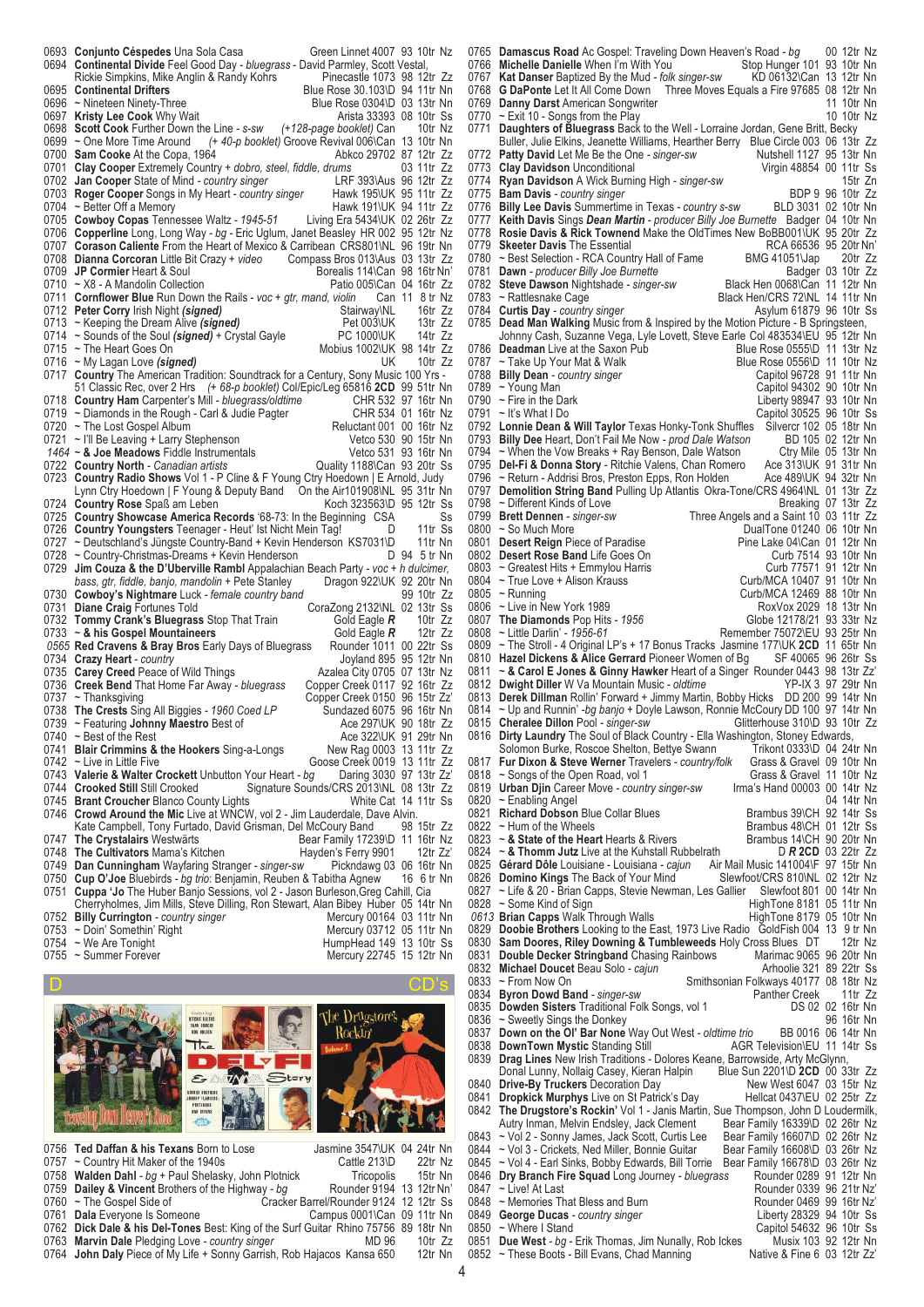|      | 0693 Conjunto Céspedes Una Sola Casa<br>Green Linnet 4007 93 10tr Nz<br>0694 Continental Divide Feel Good Day - bluegrass - David Parmley, Scott Vestal,             |  |
|------|----------------------------------------------------------------------------------------------------------------------------------------------------------------------|--|
|      | Rickie Simpkins, Mike Anglin & Randy Kohrs<br>Pinecastle 1073 98 12tr Zz<br>0695 Continental Drifters<br>Blue Rose 30.103\D 94 11tr Nn                               |  |
|      | Blue Rose 0304\D 03 13tr Nn<br>0696 ~ Nineteen Ninety-Three                                                                                                          |  |
|      | Arista 33393 08 10tr Ss<br>0697 Kristy Lee Cook Why Wait<br>0698 Scott Cook Further Down the Line - s-sw<br>(+128-page booklet) Can<br>10tr Nz                       |  |
|      | 0699 ~ One More Time Around (+ 40-p booklet) Groove Revival 006\Can 13 10tr Nn                                                                                       |  |
|      | 0700 Sam Cooke At the Copa, 1964<br>Abkco 29702 87 12tr Zz                                                                                                           |  |
|      | 0701 Clay Cooper Extremely Country + dobro, steel, fiddle, drums<br>03 11tr Zz<br>LRF 393\Aus 96 12tr Zz<br>0702 Jan Cooper State of Mind - country singer           |  |
|      | 0703 Roger Cooper Songs in My Heart - country singer Hawk 195\UK 95 11tr Zz                                                                                          |  |
|      | 0704 ~ Better Off a Memory<br>Hawk 191\UK 94 11tr Zz                                                                                                                 |  |
|      | 0705 Cowboy Copas Tennessee Waltz - 1945-51<br>Living Era 5434\UK 02 26tr Zz                                                                                         |  |
|      | 0706 Copperline Long, Long Way - bg - Eric Uglum, Janet Beasley HR 002 95 12tr Nz<br>0707 Corason Caliente From the Heart of Mexico & Carribean CRS801\NL 96 19tr Nn |  |
|      | 0708 Dianna Corcoran Little Bit Crazy + video Compass Bros 013\Aus 03 13tr Zz                                                                                        |  |
|      | 0709 JP Cormier Heart & Soul<br>Borealis 114\Can 98 16tr Nn'                                                                                                         |  |
|      | 0710 ~ X8 - A Mandolin Collection<br>Patio 005\Can 04 16tr Zz                                                                                                        |  |
|      | 0711 Cornflower Blue Run Down the Rails - voc + gtr, mand, violin Can 11 8 tr Nz<br>0712 Peter Corry Irish Night (signed)<br>Stairway\NL<br>16tr Zz                  |  |
|      | 0713 ~ Keeping the Dream Alive (signed)<br>13tr Zz<br>Pet 003\UK                                                                                                     |  |
|      | PC 1000\UK 14tr Zz<br>0714 ~ Sounds of the Soul (signed) + Crystal Gayle                                                                                             |  |
|      | Mobius 1002\UK 98 14tr Zz<br>0715 ~ The Heart Goes On<br>UK<br>0716 ~ My Lagan Love (signed)<br>10tr Zz                                                              |  |
|      | 0717 Country The American Tradition: Soundtrack for a Century, Sony Music 100 Yrs -                                                                                  |  |
|      | 51 Classic Rec, over 2 Hrs (+ 68-p booklet) Col/Epic/Leg 65816 2CD 99 51tr Nn                                                                                        |  |
|      | 0718 Country Ham Carpenter's Mill - bluegrass/oldtime<br>CHR 532 97 16tr Nn<br>0719 $\sim$ Diamonds in the Rough - Carl & Judie Pagter<br>CHR 534 01 16tr Nz         |  |
|      | Reluctant 001 00 16tr Nz<br>0720 ~ The Lost Gospel Album                                                                                                             |  |
|      | Vetco 530 90 15tr Nn<br>0721 ~ I'll Be Leaving + Larry Stephenson                                                                                                    |  |
|      | Vetco 531 93 16tr Nn<br>1464 ~ & Joe Meadows Fiddle Instrumentals                                                                                                    |  |
|      | 0722 Country North - Canadian artists<br>Quality 1188\Can 93 20tr Ss<br>0723 Country Radio Shows Vol 1 - P Cline & F Young Ctry Hoedown   E Arnold, Judy             |  |
|      | Lynn Ctry Hoedown   F Young & Deputy Band On the Air101908\NL 95 31tr Nn                                                                                             |  |
|      | Koch 323563\D 95 12tr Ss<br>0724 Country Rose Spaß am Leben                                                                                                          |  |
|      | 0725 Country Showcase America Records '68-73: In the Beginning CSA<br>Ss<br>0726 Country Youngsters Teenager - Heut' Ist Nicht Mein Tag!<br><b>D</b><br>11tr Ss      |  |
|      | 11tr Nn<br>0727 ~ Deutschland's Jüngste Country-Band + Kevin Henderson KS7031\D                                                                                      |  |
|      | D 94 5 tr Nn<br>0728 ~ Country-Christmas-Dreams + Kevin Henderson<br>0729 Jim Couza & the D'Uberville Rambl Appalachian Beach Party - voc + h dulcimer,              |  |
|      | bass, gtr, fiddle, banjo, mandolin + Pete Stanley<br>Dragon 922\UK 92 20tr Nn                                                                                        |  |
|      | 0730 Cowboy's Nightmare Luck - female country band<br>99 10tr Zz<br>CoraZong 2132\NL 02 13tr Ss                                                                      |  |
|      | 0731 Diane Craig Fortunes Told<br>0732 Tommy Crank's Bluegrass Stop That Train<br>Gold Eagle R 10tr Zz                                                               |  |
|      | 0733 ~ & his Gospel Mountaineers<br>Gold Eagle R 12tr Zz                                                                                                             |  |
|      | 0565 Red Cravens & Bray Bros Early Days of Bluegrass<br>Rounder 1011 00 22tr Ss                                                                                      |  |
|      | Joyland 895 95 12tr Nn<br>0734 Crazy Heart - country<br>0735 Carey Creed Peace of Wild Things<br>Azalea City 0705 07 13tr Nz                                         |  |
|      | 0736 Creek Bend That Home Far Away - bluegrass<br>Copper Creek 0117 92 16tr Zz                                                                                       |  |
|      | 0737 ~ Thanksgiving<br>Copper Creek 0150 96 15tr Zz'                                                                                                                 |  |
|      | 0738 The Crests Sing All Biggies - 1960 Coed LP<br>Sundazed 6075 96 16tr Nn<br>Ace 297\UK 90 18tr Zz<br>0739 ~ Featuring Johnny Maestro Best of                      |  |
|      | Ace 322\UK 91 29tr Nn<br>$0740$ ~ Best of the Rest                                                                                                                   |  |
|      | 0741 Blair Crimmins & the Hookers Sing-a-Longs<br>New Rag 0003 13 11tr Zz                                                                                            |  |
|      | $0742$ ~ Live in Little Five<br>Goose Creek 0019 13 11tr Zz<br>0743 Valerie & Walter Crockett Unbutton Your Heart - bg<br>Daring 3030 97 13tr Zz'                    |  |
|      | Signature Sounds/CRS 2013\NL 08 13tr Zz<br>0744 Crooked Still Still Crooked                                                                                          |  |
|      | 0745 Brant Croucher Blanco County Lights<br>White Cat 14 11tr Ss                                                                                                     |  |
|      | 0746 Crowd Around the Mic Live at WNCW, vol 2 - Jim Lauderdale, Dave Alvin.<br>Kate Campbell, Tony Furtado, David Grisman, Del McCoury Band<br>98 15tr Zz            |  |
| 0747 | The Crystalairs Westwärts<br>Bear Family 17239\D 11 16tr Nz                                                                                                          |  |
|      | 0748 The Cultivators Mama's Kitchen<br>Hayden's Ferry 9901<br>12 $tr$ $Zz'$                                                                                          |  |
|      | 0749 Dan Cunningham Wayfaring Stranger - singer-sw Pickndawg 03 06 16tr Nn<br>0750 Cup O'Joe Bluebirds - bg trio: Benjamin, Reuben & Tabitha Agnew<br>16 6 tr Nn     |  |
|      | 0751 Cuppa 'Jo The Huber Banjo Sessions, vol 2 - Jason Burleson, Greg Cahill, Cia                                                                                    |  |
|      | Cherryholmes, Jim Mills, Steve Dilling, Ron Stewart, Alan Bibey Huber 05 14tr Nn                                                                                     |  |
|      | Mercury 00164 03 11tr Nn<br>0752 Billy Currington - country singer<br>0753 ~ Doin' Somethin' Right<br>Mercury 03712 05 11tr Nn                                       |  |
|      | 0754 $\sim$ We Are Tonight<br>HumpHead 149 13 10tr Ss                                                                                                                |  |
|      | 0755 ~ Summer Forever<br>Mercury 22745 15 12tr Nn                                                                                                                    |  |
|      | CD                                                                                                                                                                   |  |



| 0756 Ted Daffan & his Texans Born to Lose                                           | Jasmine 3547\UK 04 24tr Nn             |         |
|-------------------------------------------------------------------------------------|----------------------------------------|---------|
| 0757 ~ Country Hit Maker of the 1940s                                               | Cattle 213\D 22tr Nz                   |         |
| 0758 Walden Dahl - bg + Paul Shelasky, John Plotnick                                | Tricopolis 15tr Nn                     |         |
| 0759 Dailey & Vincent Brothers of the Highway - bg                                  | Rounder 9194 13 12tr Nn'               |         |
| $0760$ ~ The Gospel Side of                                                         | Cracker Barrel/Rounder 9124 12 12tr Ss |         |
| 0761 Dala Everyone Is Someone                                                       | Campus 0001\Can 09 11tr Nn             |         |
| 0762 Dick Dale & his Del-Tones Best: King of the Surf Guitar Rhino 75756 89 18tr Nn |                                        |         |
| 0763 Marvin Dale Pledging Love - country singer                                     | MD 96                                  | 10tr Zz |
| 0764 John Daly Piece of My Life + Sonny Garrish, Rob Hajacos Kansa 650              |                                        | 12tr Nn |
|                                                                                     |                                        |         |

|      | 0765 Damascus Road Ac Gospel: Traveling Down Heaven's Road - bg                                                                                                      |                                           | 00 12tr Nz |  |
|------|----------------------------------------------------------------------------------------------------------------------------------------------------------------------|-------------------------------------------|------------|--|
|      | 0766 Michelle Danielle When I'm With You<br>Stop Hunger 101 93 10tr Nn                                                                                               |                                           |            |  |
|      | 0767 Kat Danser Baptized By the Mud - folk singer-sw<br>KD 06132\Can 13 12tr Nn                                                                                      |                                           |            |  |
|      | 0768 G DaPonte Let It All Come Down Three Moves Equals a Fire 97685 08 12tr Nn<br>0769 Danny Darst American Songwriter                                               |                                           | 11 10tr Nn |  |
|      | 0770 $\sim$ Exit 10 - Songs from the Play                                                                                                                            |                                           | 10 10tr Nz |  |
|      | 0771 Daughters of Bluegrass Back to the Well - Lorraine Jordan, Gene Britt, Becky                                                                                    |                                           |            |  |
|      | Buller, Julie Elkins, Jeanette Williams, Hearther Berry Blue Circle 003 06 13tr Zz                                                                                   |                                           |            |  |
|      | 0772 Patty David Let Me Be the One - singer-sw<br>Nutshell 1127 95 13tr Nn                                                                                           |                                           |            |  |
|      | Virgin 48854 00 11tr Ss<br>0773 Clay Davidson Unconditional                                                                                                          |                                           | 15tr Zn    |  |
|      | 0774 Ryan Davidson A Wick Burning High - singer-sw<br>0775 Bam Davis - country singer                                                                                | BDP 9 96 10tr Zz                          |            |  |
|      | 0776 Billy Lee Davis Summertime in Texas - country s-sw<br>BLD 3031 02 10tr Nn                                                                                       |                                           |            |  |
|      | 0777 Keith Davis Sings Dean Martin - producer Billy Joe Burnette Badger 04 10tr Nn                                                                                   |                                           |            |  |
|      | 0778 Rosie Davis & Rick Townend Make the OldTimes New BoBB001\UK 95 20tr Zz                                                                                          |                                           |            |  |
|      | 0779 Skeeter Davis The Essential<br>RCA 66536 95 20tr Nn'                                                                                                            |                                           |            |  |
|      | 0780 ~ Best Selection - RCA Country Hall of Fame<br>BMG 41051\Jap                                                                                                    |                                           | 20tr Zz    |  |
|      | 0781 Dawn - producer Billy Joe Burnette<br>0782 Steve Dawson Nightshade - singer-sw<br>Black Hen 0068\Can 11 12tr Nn                                                 | Badger 03 10tr Zz                         |            |  |
|      | 0783 ~ Rattlesnake Cage<br>Black Hen/CRS 72\NL 14 11tr Nn                                                                                                            |                                           |            |  |
|      | 0784 Curtis Day - country singer<br>Asylum 61879 96 10tr Ss                                                                                                          |                                           |            |  |
|      | 0785 Dead Man Walking Music from & Inspired by the Motion Picture - B Springsteen,                                                                                   |                                           |            |  |
|      | Johnny Cash, Suzanne Vega, Lyle Lovett, Steve Earle Col 483534\EU 95 12tr Nn                                                                                         |                                           |            |  |
|      | 0786 Deadman Live at the Saxon Pub<br>Blue Rose 0555\D 11 13tr Nz<br>0787 ~ Take Up Your Mat & Walk<br>Blue Rose 0556\D 11 10tr Nz                                   |                                           |            |  |
|      | Capitol 96728 91 11tr Nn<br>0788 Billy Dean - country singer                                                                                                         |                                           |            |  |
|      | 0789 ~ Young Man<br>Capitol 94302 90 10tr Nn                                                                                                                         |                                           |            |  |
|      | 0790 $\sim$ Fire in the Dark<br>Liberty 98947 93 10tr Nn                                                                                                             |                                           |            |  |
|      | Capitol 30525 96 10tr Ss<br>$0791$ ~ It's What I Do                                                                                                                  |                                           |            |  |
|      | Silvercr 102 05 18tr Nn<br>0792 Lonnie Dean & Will Taylor Texas Honky-Tonk Shuffles                                                                                  |                                           |            |  |
|      | 0793 Billy Dee Heart, Don't Fail Me Now - prod Dale Watson<br>0794 ~ When the Vow Breaks + Ray Benson, Dale Watson                                                   | BD 105 02 12tr Nn<br>Ctry Mile 05 13tr Nn |            |  |
|      | Ace 313\UK 91 31tr Nn<br>0795 Del-Fi & Donna Story - Ritchie Valens, Chan Romero                                                                                     |                                           |            |  |
|      | 0796 ~ Return - Addrisi Bros, Preston Epps, Ron Holden<br>Ace 489\UK 94 32tr Nn                                                                                      |                                           |            |  |
|      | 0797 Demolition String Band Pulling Up Atlantis Okra-Tone/CRS 4964\NL 01 13tr Zz                                                                                     |                                           |            |  |
|      | 0798 ~ Different Kinds of Love                                                                                                                                       | Breaking 07 13tr Zz                       |            |  |
|      | 0799 Brett Dennen - singer-sw<br>Three Angels and a Saint 10 03 11tr Zz                                                                                              |                                           |            |  |
|      | DualTone 01240 06 10tr Nn<br>$0800 \sim$ So Much More<br>Pine Lake 04\Can 01 12tr Nn<br>0801 Desert Reign Piece of Paradise                                          |                                           |            |  |
|      | Curb 7514 93 10tr Nn<br>0802 Desert Rose Band Life Goes On                                                                                                           |                                           |            |  |
|      | Curb 77571 91 12tr Nn<br>0803 ~ Greatest Hits + Emmylou Harris                                                                                                       |                                           |            |  |
|      | Curb/MCA 10407 91 10tr Nn<br>0804 ~ True Love + Alison Krauss                                                                                                        |                                           |            |  |
|      | Curb/MCA 12469 88 10tr Nn<br>0805 ~ Running                                                                                                                          |                                           |            |  |
|      | RoxVox 2029 18 13tr Nn<br>0806 $\sim$ Live in New York 1989<br>Globe 12178/21 93 33tr Nz<br>0807 The Diamonds Pop Hits - 1956                                        |                                           |            |  |
|      | Remember 75072\EU 93 25tr Nn<br>0808 ~ Little Darlin' - 1956-61                                                                                                      |                                           |            |  |
|      | 0809 ~ The Stroll - 4 Original LP's + 17 Bonus Tracks Jasmine 177\UK 2CD 11 65tr Nn                                                                                  |                                           |            |  |
|      | 0810 Hazel Dickens & Alice Gerrard Pioneer Women of Bg SF 40065 96 26tr Ss                                                                                           |                                           |            |  |
|      | 0811 ~ & Carol E Jones & Ginny Hawker Heart of a Singer Rounder 0443 98 13tr Zz'                                                                                     |                                           |            |  |
|      | 0812 Dwight Diller W Va Mountain Music - oldtime                                                                                                                     | YP-IX 3 97 29tr Nn                        |            |  |
|      | 0813 Derek Dillman Rollin' Forward + Jimmy Martin, Bobby Hicks DD 200 99 14tr Nn<br>0814 ~ Up and Runnin' -bg banjo + Doyle Lawson, Ronnie McCoury DD 100 97 14tr Nn |                                           |            |  |
|      | 0815 Cheralee Dillon Pool - singer-sw Glitterhouse 310\D 93 10tr Zz                                                                                                  |                                           |            |  |
|      | 0816 Dirty Laundry The Soul of Black Country - Ella Washington, Stoney Edwards,                                                                                      |                                           |            |  |
|      | Solomon Burke, Roscoe Shelton, Bettye Swann<br>Trikont 0333\D 04 24tr Nn                                                                                             |                                           |            |  |
|      | 0817 Fur Dixon & Steve Werner Travelers - country/folk<br>Grass & Gravel 09 10tr Nn                                                                                  |                                           |            |  |
|      | Grass & Gravel 11 10tr Nz<br>0818 $\sim$ Songs of the Open Road, vol 1<br>0819 Urban Djin Career Move - country singer-sw<br>Irma's Hand 00003 00 14tr Nz            |                                           |            |  |
|      | 0820 ~ Enabling Angel                                                                                                                                                |                                           | 04 14tr Nn |  |
|      | 0821 Richard Dobson Blue Collar Blues<br>Brambus 39\CH 92 14tr Ss                                                                                                    |                                           |            |  |
|      | $0822$ ~ Hum of the Wheels<br>Brambus 48\CH 01 12tr Ss                                                                                                               |                                           |            |  |
|      | Brambus 14\CH 90 20tr Nn<br>0823 $\sim$ & State of the Heart Hearts & Rivers                                                                                         |                                           |            |  |
|      | 0824 $\sim$ & Thomm Jutz Live at the Kuhstall Rubbelrath<br>0825 Gérard Dôle Louisiane - Louisiana - cajun Air Mail Music 141004\F 97 15tr Nn                        | D <b>R 2CD</b> 03 22tr Zz                 |            |  |
|      | Slewfoot/CRS 810\NL 02 12tr Nz<br>0826 Domino Kings The Back of Your Mind                                                                                            |                                           |            |  |
|      | 0827 ~ Life & 20 - Brian Capps, Stevie Newman, Les Gallier Slewfoot 801 00 14tr Nn                                                                                   |                                           |            |  |
|      | 0828 ~ Some Kind of Sign<br>HighTone 8181 05 11tr Nn                                                                                                                 |                                           |            |  |
|      | 0613 Brian Capps Walk Through Walls<br>HighTone 8179 05 10tr Nn                                                                                                      |                                           |            |  |
|      | 0829 Doobie Brothers Looking to the East, 1973 Live Radio GoldFish 004 13 9 tr Nn                                                                                    |                                           |            |  |
|      | 0830 Sam Doores, Riley Downing & Tumbleweeds Holy Cross Blues DT<br>Marimac 9065 96 20tr Nn<br>0831 Double Decker Stringband Chasing Rainbows                        |                                           | 12tr Nz    |  |
|      | 0832 Michael Doucet Beau Solo - cajun<br>Arhoolie 321 89 22tr Ss                                                                                                     |                                           |            |  |
|      | 0833 ~ From Now On<br>Smithsonian Folkways 40177 08 18tr Nz                                                                                                          |                                           |            |  |
|      | 0834 Byron Dowd Band - singer-sw<br>Panther Creek 11tr Zz                                                                                                            |                                           |            |  |
|      | 0835 Dowden Sisters Traditional Folk Songs, vol 1                                                                                                                    | DS 02 02 16tr Nn                          |            |  |
|      | 0836 ~ Sweetly Sings the Donkey<br>0837 Down on the OI' Bar None Way Out West - oldtime trio BB 0016 06 14tr Nn                                                      |                                           | 96 16tr Nn |  |
|      | 0838 DownTown Mystic Standing Still<br>AGR Television\EU 11 14tr Ss                                                                                                  |                                           |            |  |
|      | 0839 Drag Lines New Irish Traditions - Dolores Keane, Barrowside, Arty McGlynn,                                                                                      |                                           |            |  |
|      | Blue Sun 2201\D 2CD 00 33tr Zz<br>Donal Lunny, Nollaig Casey, Kieran Halpin                                                                                          |                                           |            |  |
|      | New West 6047 03 15tr Nz<br>0840 Drive-By Truckers Decoration Day                                                                                                    |                                           |            |  |
|      | Hellcat 0437\EU 02 25tr Zz<br>0841 Dropkick Murphys Live on St Patrick's Day<br>0842 The Drugstore's Rockin' Vol 1 - Janis Martin, Sue Thompson, John D Loudermilk,  |                                           |            |  |
|      | Autry Inman, Melvin Endsley, Jack Clement<br>Bear Family 16339\D 02 26tr Nz                                                                                          |                                           |            |  |
| 0843 | ~ Vol 2 - Sonny James, Jack Scott, Curtis Lee Bear Family 16607\D 02 26tr Nz                                                                                         |                                           |            |  |
|      | Bear Family 16608\D 03 26tr Nz<br>0844 ~ Vol 3 - Crickets, Ned Miller, Bonnie Guitar                                                                                 |                                           |            |  |
|      | 0845 ~ Vol 4 - Earl Sinks, Bobby Edwards, Bill Torrie Bear Family 16678\D 03 26tr Nz                                                                                 |                                           |            |  |
| 0846 | Dry Branch Fire Squad Long Journey - bluegrass<br>Rounder 0289 91 12tr Nn                                                                                            |                                           |            |  |
|      | $0847$ ~ Live! At Last<br>Rounder 0339 96 21tr Nz<br>Rounder 0469 99 16tr Nz'<br>$0848$ ~ Memories That Bless and Burn                                               |                                           |            |  |
| 0849 |                                                                                                                                                                      |                                           |            |  |
|      |                                                                                                                                                                      |                                           |            |  |
|      | Liberty 28329 94 10tr Ss<br><b>George Ducas</b> - country singer<br>Capitol 54632 96 10tr Ss<br>$0850 \sim$ Where I Stand                                            |                                           |            |  |
| 0851 | Musix 103 92 12tr Nn<br><b>Due West</b> - bg - Erik Thomas, Jim Nunally, Rob Ickes<br>Native & Fine 6 03 12tr Zz'<br>0852 ~ These Boots - Bill Evans, Chad Manning   |                                           |            |  |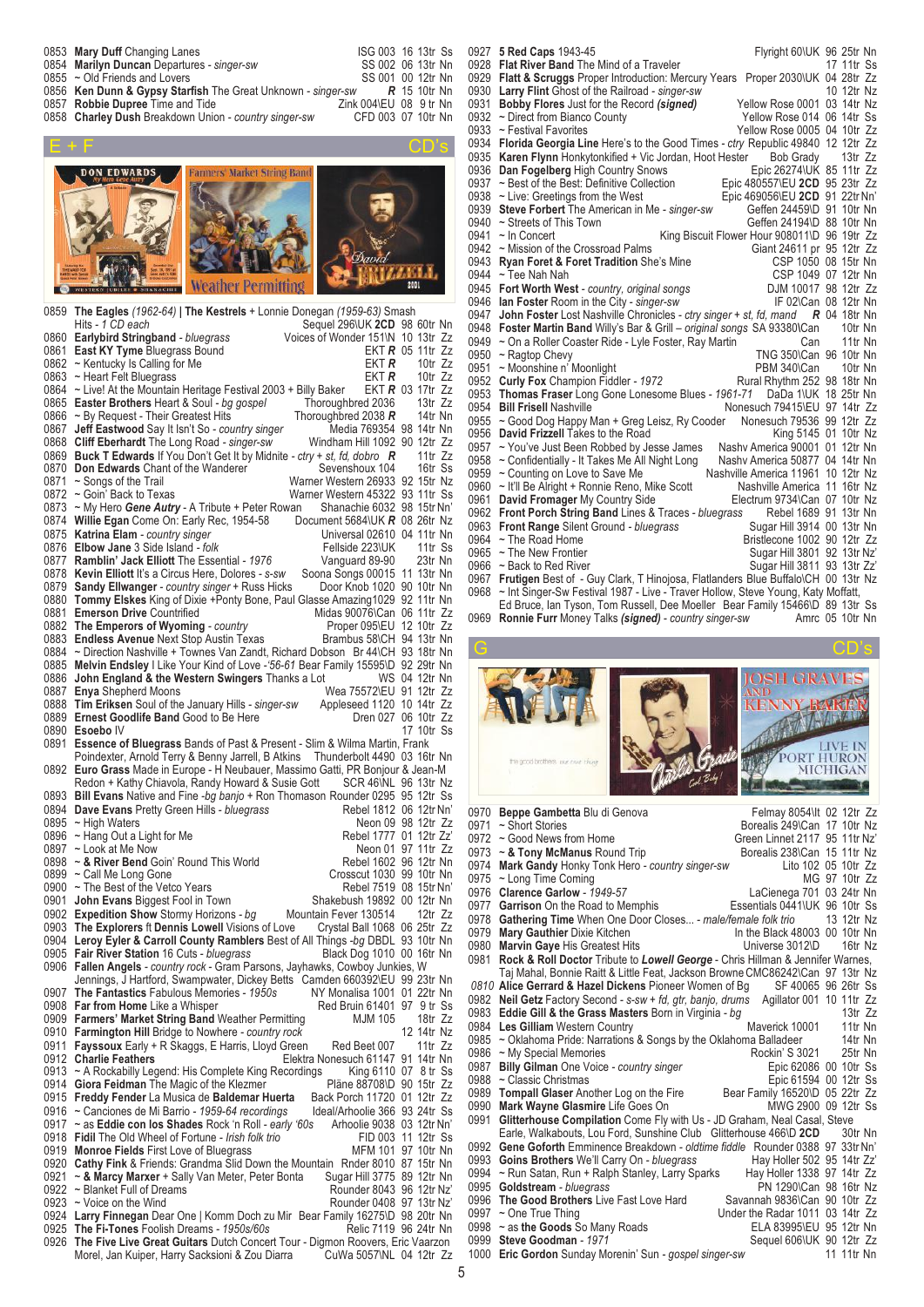| 0853 Mary Duff Changing Lanes                                             | ISG 003 16 13tr Ss     |  |  |
|---------------------------------------------------------------------------|------------------------|--|--|
| 0854 Marilyn Duncan Departures - singer-sw                                | SS 002 06 13tr Nn      |  |  |
| 0855 ~ Old Friends and Lovers                                             | SS 001 00 12tr Nn      |  |  |
| 0856 Ken Dunn & Gypsy Starfish The Great Unknown - singer-sw R 15 10tr Nn |                        |  |  |
| 0857 Robbie Dupree Time and Tide                                          | Zink 004\EU 08 9 tr Nn |  |  |
| 0858 Charley Dush Breakdown Union - country singer-sw                     | CFD 003 07 10tr Nn     |  |  |



|              | 0859 The Eagles (1962-64)   The Kestrels + Lonnie Donegan (1959-63) Smash                                                                                            |                                 |
|--------------|----------------------------------------------------------------------------------------------------------------------------------------------------------------------|---------------------------------|
|              | Hits - 1 CD each<br>Sequel 296\UK 2CD 98 60tr Nn                                                                                                                     |                                 |
|              | Voices of Wonder 151\N 10 13tr Zz<br>0860 Earlybird Stringband - bluegrass                                                                                           |                                 |
|              | 0861 East KY Tyme Bluegrass Bound                                                                                                                                    | EKT $R$ 05 11tr $Zz$            |
|              | ekt r<br>0862 $\sim$ Kentucky Is Calling for Me                                                                                                                      | 10tr Zz                         |
|              | 0863 ~ Heart Felt Bluegrass<br>ekt <i>r</i><br>0864 ~ Live! At the Mountain Heritage Festival 2003 + Billy Baker                                                     | 10tr Zz<br>EKT $R$ 03 17tr $Zz$ |
|              | 0865 Easter Brothers Heart & Soul - bg gospel<br>Thoroughbred 2036                                                                                                   | 13 $tr$ Zz                      |
|              | 0866 ~ By Request - Their Greatest Hits<br>Thoroughbred 2038 R                                                                                                       | 14tr Nn                         |
|              | Media 769354 98 14tr Nn<br>0867 Jeff Eastwood Say It Isn't So - country singer                                                                                       |                                 |
|              | 0868 Cliff Eberhardt The Long Road - singer-sw<br>Windham Hill 1092 90 12tr Zz                                                                                       |                                 |
|              | 0869 <b>Buck T Edwards</b> If You Don't Get It by Midnite - ctry + st, fd, dobro <b>R</b>                                                                            | 11tr Zz                         |
|              | 0870 Don Edwards Chant of the Wanderer<br>Sevenshoux 104                                                                                                             | 16tr Ss                         |
|              | 0871 ~ Songs of the Trail<br>Warner Western 26933 92 15tr Nz                                                                                                         |                                 |
|              | Warner Western 45322 93 11tr Ss<br>0872 ~ Goin' Back to Texas                                                                                                        |                                 |
|              | 0873 ~ My Hero Gene Autry - A Tribute + Peter Rowan<br>Shanachie 6032 98 15tr Nn'<br>0874 Willie Egan Come On: Early Rec, 1954-58<br>Document 5684\UK $R$ 08 26tr Nz |                                 |
|              | 0875 Katrina Elam - country singer<br>Universal 02610 04 11tr Nn                                                                                                     |                                 |
|              | 0876 Elbow Jane 3 Side Island - folk<br>Fellside 223\UK                                                                                                              | 11tr Ss                         |
|              | 0877 Ramblin' Jack Elliott The Essential - 1976<br>Vanguard 89-90                                                                                                    | 23tr Nn                         |
|              | 0878 Kevin Elliott It's a Circus Here, Dolores - s-sw<br>Soona Songs 00015 11 13tr Nn                                                                                |                                 |
|              | 0879 Sandy Ellwanger - country singer + Russ Hicks<br>Door Knob 1020 90 10tr Nn                                                                                      |                                 |
|              | 0880 Tommy Elskes King of Dixie +Ponty Bone, Paul Glasse Amazing 1029 92 11tr Nn                                                                                     |                                 |
|              | 0881 Emerson Drive Countrified<br>Midas 90076\Can 06 11tr Zz                                                                                                         |                                 |
|              | 0882 The Emperors of Wyoming - country<br>Proper 095\EU 12 10tr Zz<br>0883 Endless Avenue Next Stop Austin Texas<br>Brambus 58\CH 94 13tr Nn                         |                                 |
|              | 0884 ~ Direction Nashville + Townes Van Zandt, Richard Dobson Br 44\CH 93 18tr Nn                                                                                    |                                 |
|              | 0885 Melvin Endsley I Like Your Kind of Love -'56-61 Bear Family 15595\D 92 29tr Nn                                                                                  |                                 |
|              | 0886 John England & the Western Swingers Thanks a Lot                                                                                                                | WS 04 12tr Nn                   |
|              | Wea 75572\EU 91 12tr Zz<br>0887 Enya Shepherd Moons                                                                                                                  |                                 |
|              | 0888 Tim Eriksen Soul of the January Hills - singer-sw<br>Appleseed 1120 10 14tr Zz                                                                                  |                                 |
|              | 0889 Ernest Goodlife Band Good to Be Here<br>Dren 027 06 10tr Zz                                                                                                     |                                 |
|              | 0890 Esoebo IV                                                                                                                                                       | 17 10tr Ss                      |
|              | 0891 Essence of Bluegrass Bands of Past & Present - Slim & Wilma Martin, Frank<br>Poindexter, Arnold Terry & Benny Jarrell, B Atkins Thunderbolt 4490 03 16tr Nn     |                                 |
|              | 0892 Euro Grass Made in Europe - H Neubauer, Massimo Gatti, PR Bonjour & Jean-M                                                                                      |                                 |
|              | Redon + Kathy Chiavola, Randy Howard & Susie Gott SCR 46\NL 96 13tr Nz                                                                                               |                                 |
|              | 0893 Bill Evans Native and Fine -bg banjo + Ron Thomason Rounder 0295 95 12tr Ss                                                                                     |                                 |
|              | Rebel 1812 06 12tr Nn'<br>0894 Dave Evans Pretty Green Hills - bluegrass                                                                                             |                                 |
|              | 0895 ~ High Waters<br>Neon 09 98 12tr Zz                                                                                                                             |                                 |
|              | Rebel 1777 01 12tr Zz'<br>0896 ~ Hang Out a Light for Me                                                                                                             |                                 |
|              | Neon 01 97 11tr Zz<br>0897 ~ Look at Me Now<br>0898 ~ & River Bend Goin' Round This World<br>Rebel 1602 96 12tr Nn                                                   |                                 |
|              | Crosscut 1030 99 10tr Nn<br>0899 ~ Call Me Long Gone                                                                                                                 |                                 |
|              | 0900 ~ The Best of the Vetco Years<br>Rebel 7519 08 15tr Nn'                                                                                                         |                                 |
| 0901         | Shakebush 19892 00 12tr Nn<br>John Evans Biggest Fool in Town                                                                                                        |                                 |
|              | 0902 Expedition Show Stormy Horizons - bg<br>Mountain Fever 130514 12tr Zz                                                                                           |                                 |
|              | Crystal Ball 1068 06 25tr Zz<br>0903 The Explorers ft Dennis Lowell Visions of Love                                                                                  |                                 |
|              | 0904 Leroy Eyler & Carroll County Ramblers Best of All Things -bg DBDL 93 10tr Nn                                                                                    |                                 |
|              | Black Dog 1010 00 16tr Nn<br>0905 Fair River Station 16 Cuts - bluegrass<br>0906 Fallen Angels - country rock - Gram Parsons, Jayhawks, Cowboy Junkies, W            |                                 |
|              | Jennings, J Hartford, Swampwater, Dickey Betts Camden 660392\EU 99 23tr Nn                                                                                           |                                 |
| 0907         | NY Monalisa 1001 01 22tr Nn<br>The Fantastics Fabulous Memories - 1950s                                                                                              |                                 |
|              | 0908 Far from Home Like a Whisper<br>Red Bruin 61401 97 9 tr Ss                                                                                                      |                                 |
|              | 0909 Farmers' Market String Band Weather Permitting<br><b>MJM 105</b>                                                                                                | 18tr Zz                         |
|              | 0910 Farmington Hill Bridge to Nowhere - country rock                                                                                                                | 12 14tr Nz                      |
| 0911         | <b>Fayssoux</b> Early + R Skaggs, E Harris, Lloyd Green<br>Red Beet 007                                                                                              | 11 $tr$ Zz                      |
| 0912<br>0913 | Elektra Nonesuch 61147 91 14tr Nn<br><b>Charlie Feathers</b><br>~ A Rockabilly Legend: His Complete King Recordings<br>King 6110 07 8 tr Ss                          |                                 |
| 0914         | Giora Feidman The Magic of the Klezmer<br>Pläne 88708\D 90 15tr Zz                                                                                                   |                                 |
|              | 0915 Freddy Fender La Musica de Baldemar Huerta<br>Back Porch 11720 01 12tr Zz                                                                                       |                                 |
| 0916         | ~ Canciones de Mi Barrio - 1959-64 recordings<br>Ideal/Arhoolie 366 93 24tr Ss                                                                                       |                                 |
|              | 0917 ~ as Eddie con los Shades Rock 'n Roll - early '60s<br>Arhoolie 9038 03 12tr Nn'                                                                                |                                 |
|              | 0918 Fidil The Old Wheel of Fortune - Irish folk trio<br>FID 003 11 12tr Ss                                                                                          |                                 |
| 0919         | <b>Monroe Fields First Love of Bluegrass</b><br>MFM 101 97 10tr Nn                                                                                                   |                                 |
| 0920<br>0921 | Cathy Fink & Friends: Grandma Slid Down the Mountain Rnder 8010 87 15tr Nn<br>Sugar Hill 3775 89 12tr Nn<br>~ & Marcy Marxer + Sally Van Meter, Peter Bonta          |                                 |
|              | 0922 ~ Blanket Full of Dreams<br>Rounder 8043 96 12tr Nz'                                                                                                            |                                 |
|              | $0923 \sim$ Voice on the Wind<br>Rounder 0408 97 13tr Nz'                                                                                                            |                                 |
|              | 0924 Larry Finnegan Dear One   Komm Doch zu Mir Bear Family 16275\D 98 20tr Nn                                                                                       |                                 |
|              | 0925 The Fi-Tones Foolish Dreams - 1950s/60s<br>Relic 7119 96 24tr Nn                                                                                                |                                 |
|              | 0926 The Five Live Great Guitars Dutch Concert Tour - Digmon Roovers, Eric Vaarzon                                                                                   |                                 |
|              | Morel, Jan Kuiper, Harry Sacksioni & Zou Diarra<br>CuWa 5057\NL 04 12tr Zz                                                                                           |                                 |

0927 **5 Red Caps** 1943-45<br>O928 **Flat River Band** The Mind of a Traveler Flat Clube 17 11tr Ss **Flat River Band** The Mind of a Traveler **Flatt & Scruggs** Proper Introduction: Mercury Years Proper 2030\UK 04 28tr Zz **Larry Flint** Ghost of the Railroad *- singer-sw* 10 12tr Nz **Bobby Flores** Just for the Record *(signed)* Yellow Rose 0001 03 14tr Nz 0932 ~ Direct from Bianco County<br>0933 ~ Festival Favorites Yellow Rose 0005 04 10tr Zz 0934 **Florida Georgia Line** Here's to the Good Times *- ctry* Republic 49840 12 12tr Zz<br>0935 **Karen Flynn** Honkytonkified + Vic Jordan, Hoot Hester Bob Grady 13tr Zz<br>0936 **Dan Fogelberg** High Country Snows Epic 26274/UK 85 0935 Karen Flynn Honkytonkified + Vic Jordan, Hoot Hester 0936 **Dan Fogelberg** High Country Snows<br>0937 ~ Best of the Best: Definitive Collection Epic 480557\EU 2CD 95 23tr Zz 0937 ~ Best of the Best: Definitive Collection Epic 480557\EU 2CD 95 23tr Zz<br>0938 ~ Live: Greetings from the West Epic 469056\EU 2CD 91 22tr Nn' 0938 ~ Live: Greetings from the West<br>
0939 **Steve Forbert** The American in Me - singer-sw<br>
Geffen 24459\D 91 10tr Nn **Steve Forbert** The American in Me - singer-sw Geffen 24459\D 91 10tr Nn 0940 ~ Streets of This Town 0940 ~ Streets of This Town<br>0941 ~ In Concert King Biscuit Flower Hour 908011\D 96 19tr Zz<br>Giant 24611 pr 95 12tr Zz 0942 ~ Mission of the Crossroad Palms Giant 24611 pr 95 12tr Zz<br>0943 **Ryan Foret & Foret Tradition** She's Mine GSP 1050 08 15tr Nn 0943 **Ryan Foret & Foret Tradition** She's Mine CSP 1050 08 15tr Nn<br>0944 **CSP 1050 08 15tr Nn**<br>0944 **CSP 1049 07 12tr Nn** 0944 ~ Tee Nah Nah **CSP** 1049 07 12tr Nn **Fort Worth West** - country, original songs **DJM 10017 98 12tr Zz Ian Foster** Room in the City *- singer-sw* IF 02\Can 08 12tr Nn **John Foster** Lost Nashville Chronicles *- ctry singer + st, fd, mand R* 04 18tr Nn **Foster Martin Band** Willy's Bar & Grill – *original songs* SA 93380**\**Can 10tr Nn 0949 ~ On a Roller Coaster Ride - Lyle Foster, Ray Martin Can 11tr Nn 0950 ~ Ragtop Chevy TNG 350\Can 96 10tr Nn 0951 ~ Moonshine n' Moonlight **PBM 340\Can** 10tr Nn **Curly Fox** Champion Fiddler *- 1972* Rural Rhythm 252 98 18tr Nn **Thomas Fraser** Long Gone Lonesome Blues *- 1961-71* DaDa 1\UK 18 25tr Nn Nonesuch 79415\EU 97 14tr Zz 0955 ~ Good Dog Happy Man + Greg Leisz, Ry Cooder Nonesuch 79536 99 12tr Zz<br>0956 David Frizzell Takes to the Road King 5145 01 10tr Nz 0956 **David Frizzell** Takes to the Road King 5145 01 10tr Nz<br>0957 ~ You've Just Been Robbed by Jesse James Nashv America 90001 01 12tr Nn 0957 ~ You've Just Been Robbed by Jesse James Nashv America 90001 01 12tr Nn 0958 ~ Confidentially - It Takes Me All Night Long Nashv America 50877 04 14tr Nn 0959 ~ Counting on Love to Save Me Nashville America 11961 10 12tr Nz<br>0960 ~ It'll Be Alright + Ronnie Reno, Mike Scott Nashville America 11 16tr Nz 0960 ~ It'll Be Alright + Ronnie Reno, Mike Scott Nashville America 11 16tr Nz<br>0961 David Fromager My Country Side Electrum 9734\Can 07 10tr Nz 0961 **David Fromager** My Country Side Electrum 9734\Can 07 10tr Nz<br>0962 **Front Porch String Band** Lines & Traces - bluegrass Rebel 1689 91 13tr Nn **Front Porch String Band** Lines & Traces *- bluegrass* Rebel 1689 91 13tr Nn **Front Range** Silent Ground *- bluegrass* 0964 ~ The Road Home 0964 ~ The Road Home **Britannic Community** Bristlecone 1002 90 12tr Zz<br>19965 ~ The New Frontier **Britannic Community** Sugar Hill 3801 92 13tr Nz 0965 ~ The New Frontier Consumer Sugar Hill 3801 92 13tr Nz'<br>1966 ~ Back to Red River Sugar Hill 3811 93 13tr Zz' 0966 ~ Back to Red River Sugar Hill 3811 93 13tr Zz **Frutigen** Best of - Guy Clark, T Hinojosa, Flatlanders Blue Buffalo\CH 00 13tr Nz 0968 ~ Int Singer-Sw Festival 1987 - Live - Traver Hollow, Steve Young, Katy Moffatt,

Ed Bruce, Ian Tyson, Tom Russell, Dee Moeller Bear Family 15466\D 89 13tr Ss<br>**Ronnie Furr** Money Talks (signed) - country singer-sw Amrc 05 10tr Nn **Ronnie Furr** Money Talks (signed) - country singer-sw



| 0971 | ~ Short Stories                                                                       | Borealis 249\Can 17 10tr Nz     |               |  |
|------|---------------------------------------------------------------------------------------|---------------------------------|---------------|--|
|      | 0972 ~ Good News from Home                                                            | Green Linnet 2117 95 11tr Nz'   |               |  |
|      | 0973 $\sim$ & Tony McManus Round Trip                                                 | Borealis 238\Can 15 11tr Nz     |               |  |
|      | 0974 Mark Gandy Honky Tonk Hero - country singer-sw                                   | Lito 102 05 10tr Zz             |               |  |
| 0975 | ~ Long Time Coming                                                                    |                                 | MG 97 10tr Zz |  |
| 0976 | Clarence Garlow - 1949-57                                                             | LaCienega 701 03 24tr Nn        |               |  |
|      | 0977 Garrison On the Road to Memphis                                                  | Essentials 0441\UK 96 10tr Ss   |               |  |
| 0978 | Gathering Time When One Door Closes - male/female folk trio                           |                                 | 13 12tr Nz    |  |
| 0979 | <b>Mary Gauthier Dixie Kitchen</b>                                                    | In the Black 48003 00 10tr Nn   |               |  |
|      | 0980 Marvin Gaye His Greatest Hits                                                    | Universe 3012\D                 | 16tr Nz       |  |
|      | 0981 Rock & Roll Doctor Tribute to Lowell George - Chris Hillman & Jennifer Warnes,   |                                 |               |  |
|      | Taj Mahal, Bonnie Raitt & Little Feat, Jackson Browne CMC86242\Can 97 13tr Nz         |                                 |               |  |
|      | 0810 Alice Gerrard & Hazel Dickens Pioneer Women of Bg                                | SF 40065 96 26tr Ss             |               |  |
|      | 0982 Neil Getz Factory Second - s-sw + fd, gtr, banjo, drums Agillator 001 10 11tr Zz |                                 |               |  |
|      | 0983 Eddie Gill & the Grass Masters Born in Virginia - bg                             |                                 | 13 $tr$ $Zz$  |  |
|      | 0984 Les Gilliam Western Country                                                      | Maverick 10001                  | 11tr Nn       |  |
|      | 0985 ~ Oklahoma Pride: Narrations & Songs by the Oklahoma Balladeer                   |                                 | 14tr Nn       |  |
|      | 0986 ~ My Special Memories                                                            | Rockin' S 3021                  | 25tr Nn       |  |
| 0987 | <b>Billy Gilman</b> One Voice - country singer                                        | Epic 62086 00 10tr Ss           |               |  |
| 0988 | ~ Classic Christmas                                                                   | Epic 61594 00 12tr Ss           |               |  |
| 0989 | <b>Tompall Glaser</b> Another Log on the Fire                                         | Bear Family 16520\D 05 22tr Zz  |               |  |
| 0990 | Mark Wayne Glasmire Life Goes On                                                      | MWG 2900 09 12tr Ss             |               |  |
| 0991 | Glitterhouse Compilation Come Fly with Us - JD Graham, Neal Casal, Steve              |                                 |               |  |
|      | Earle, Walkabouts, Lou Ford, Sunshine Club Glitterhouse 466\D 2CD                     |                                 | 30tr Nn       |  |
|      | 0992 Gene Goforth Emminence Breakdown - oldtime fiddle Rounder 0388 97 33tr Nn'       |                                 |               |  |
| 0993 | Goins Brothers We'll Carry On - bluegrass                                             | Hay Holler 502 95 14tr Zz'      |               |  |
| 0994 | ~ Run Satan, Run + Ralph Stanley, Larry Sparks Hay Holler 1338 97 14tr Zz             |                                 |               |  |
|      | 0995 Goldstream - bluegrass                                                           | PN 1290\Can 98 16tr Nz          |               |  |
|      | 0996 The Good Brothers Live Fast Love Hard                                            | Savannah 9836\Can 90 10tr Zz    |               |  |
|      | 0997 $\sim$ One True Thing                                                            | Under the Radar 1011 03 14tr Zz |               |  |
|      | 0998 ~ as the Goods So Many Roads                                                     | ELA 83995\EU 95 12tr Nn         |               |  |
|      | 0999 Steve Goodman - 1971                                                             | Sequel 606\UK 90 12tr Zz        |               |  |
| 1000 | Eric Gordon Sunday Morenin' Sun - gospel singer-sw                                    |                                 | 11 11tr Nn    |  |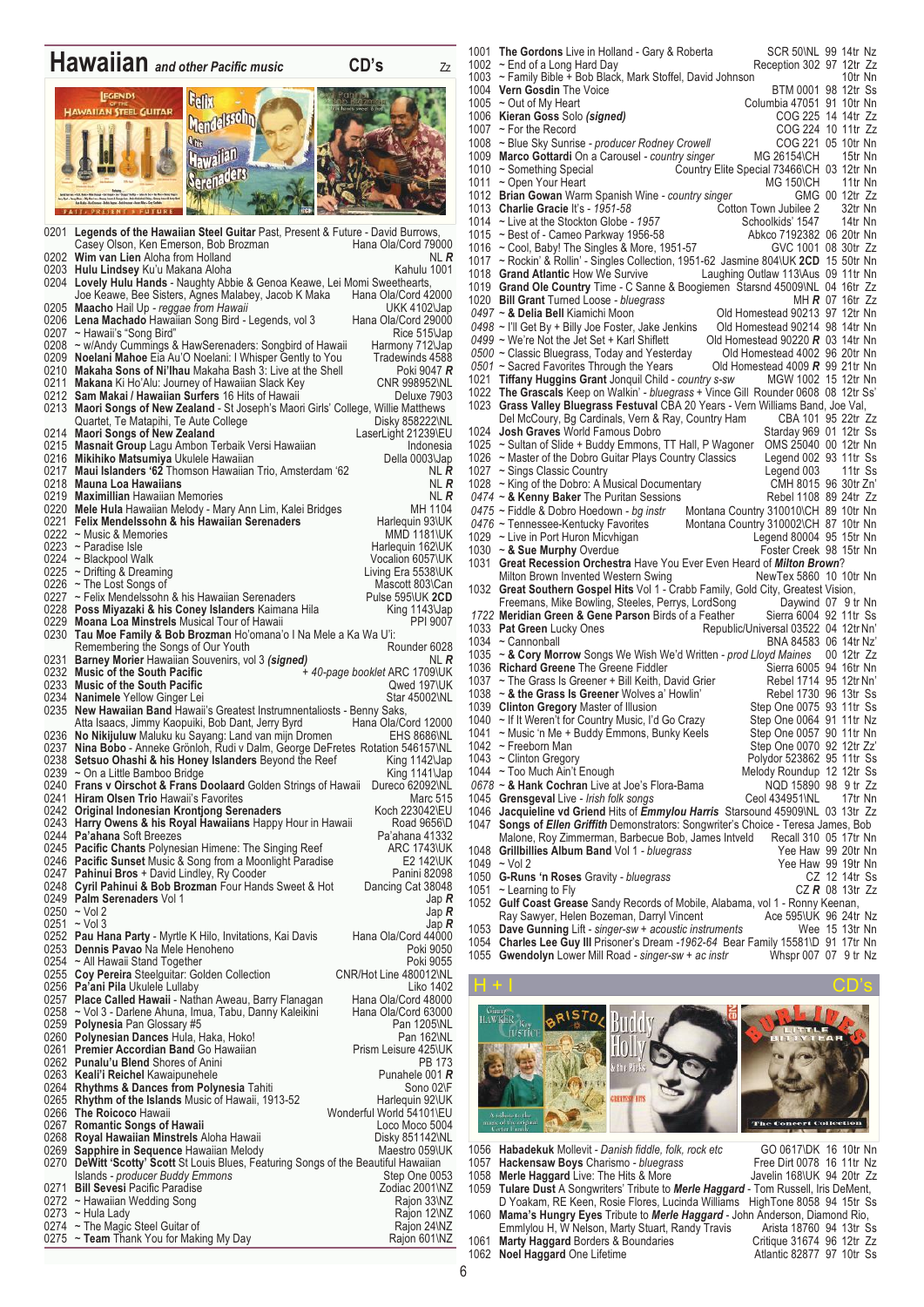## **Hawaiian** *and other Pacific music* **CD's** Zz Gelix **HAWAIIAN STEEL GUITAR** Mendelssohn Hawailan Serenaders 0201 **Legends of the Hawaiian Steel Guitar** Past, Present & Future - David Burrows, Casey Olson, Ken Emerson, Bob Brozman Hana Ola/Cord 79000<br>Wim van Lien Aloha from Holland Kana Channel Nu R 0202 **Wim van Lien** Aloha from Holland Number of Number 2012 Number 2014 0203 **Hulu Lindsey** Ku'u Makana Aloha Kahulu 1001 0204 **Lovely Hulu Hands** - Naughty Abbie & Genoa Keawe, Lei Momi Sweethearts, Joe Keawe, Bee Sisters, Agnes Malabey, Jacob K Maka Hana Ola/Cord 42000<br>**Maacho** Hail Up *- reggae from Hawaii* 0205 **Maacho** Hail Up *- reggae from Hawaii* UKK 4102\Jap<br>0206 Lena Machado Hawaiian Song Bird - Legends, vol 3 Hana Ola/Cord 29000 0206 **Lena Machado** Hawaiian Song Bird - Legends, vol 3 Hana Ola/Cord 29000<br>0207 ~ Hawaii's "Song Bird" Rice 515 Jap<br>0208 ~ w/Andy Cummings & HawSerenaders: Songbird of Hawaii Harmony 712 Jap 0207 ~Hawaii's "Song Bird" Rice 515\Jap 0208 ~ w/Andy Cummings & HawSerenaders: Songbird of Hawaii Harmony 712\Jap 0209 **Noelani Mahoe** Eia Au'O Noelani: I Whisper Gently to You Tradewinds 4588 0210 **Makaha Sons of Ni'Ihau** Makaha Bash 3: Live at the Shell Poki 9047 *R* 0211 **Makana** Ki Ho'Alu: Journey of Hawaiian Slack Key CNR 998952\NL<br>0212 **Sam Makai / Hawaiian Surfers** 16 Hits of Hawaii Deluxe 7903 0212 **Sam Makai / Hawaiian Surfers** 16 Hits of Hawaii 0213 Maori **Songs of New Zealand** - St Joseph's Mao 0213 **Maori Songs of New Zealand** - St Joseph's Maori Girls' College, Willie Matthews Quartet, Te Matapihi, Te Aute College Disky 858222\NL 0214 **Maori Songs of New Zealand** 0214 Maori Songs of New Zealand<br>0215 Masnait Group Lagu Ambon Terbaik Versi Hawaiian 10216 Mikihiko Matsumiya Ukulele Hawaiian 0216 Mikihiko M 0214 **Maori Songs of New Zealand Construction Construction Caser**Light 21239\EU 0216 **Mikihiko Matsumiya** Ukulele Hawaiian dari pasa dan dan Della 0003\Jap 0217 **Maui Islanders '62** Thomson Hawaiian Trio, Amsterdam '62 NL R 0218 **Mauna Loa Hawaiians** Number of the State of the Number of the Number of the Number of the Number of the R<br>0219 **Maximillian** Hawaiian Memories Number of the R 0219 **Maximillian** Hawaiian Memories NL *R* 0220 **Mele Hula** Hawaiian Melody - Mary Ann Lim, Kalei Bridges **MH 1104**<br>0221 **Felix Mendelssohn & his Hawaiian Serenaders** Harlequin 93\UK 0221 **Felix Mendelssohn & his Hawaiian Serenaders** Harlequin 93\UK<br>0222 ~ Music & Memories **Music Benders** MMD 1181\UK 0222 ~ Music & Memories 0223 ~ Paradise Isle 0223 ~ Paradise Isle Harlequin 162\UK<br>0224 ~ Blackpool Walk Harlequin 162\UK Harlequin 162\UK 0224 ~ Blackpool Walk Vocalion 6057\UK<br>
0225 ~ Drifting & Dreaming Constitution 6057\UK 0225 ~ Drifting & Dreaming<br>
0225 ~ Drifting & Dreaming<br>
0226 ~ The Lost Songs of Care Mascott 803\Can 0226 ~ The Lost Songs of Mascott 803\Can Mascott 803\Can Mascott 803\Can Mascott 803\Can Mascott 803\Can Mascott 803\Can Mascott 803\Can Mascott 803\Can Mascott 803\Can Mascott 803\Can Mascott 803\Can Mascott 803\Can Masco 0227 ~ Felix Mendelssohn & his Hawaiian Serenaders Pulse 595\UK 2CD<br>0228 **Poss Miyazaki & his Coney Islanders** Kaimana Hila King 1143\Jap<br>0229 **Moana Loa Minstrels** Musical Tour of Hawaii PPI 9007 0228 **Poss Miyazaki & his Coney Islanders** Kaimana Hila King 1143\Jap 0229 **Moana Loa Minstrels** Musical Tour of Hawaii **No. 1988 1989 1989** PPI 9007 0230 **Tau Moe Family & Bob Brozman** Ho'omana'o I Na Mele a Ka Wa U'i: Remembering the Songs of Our Youth Remember in the Songs of Our Youth Rounder 6028<br>Barney Morier Hawaiian Souvenirs vol 3 (signed) NI R 0231 **Barney Morier** Hawaiian Souvenirs, vol 3 *(signed)* 0232 Music of the South Pacific 0232 **Music of the South Pacific + 40-page booklet ARC 1709\UK**<br>0233 **Music of the South Pacific 197\UK** 0232 **Music of the South Pacific** exercise the South Pacific 40-page booklet ARC 1709\UK<br>0233 **Music of the South Pacific** 40-page booklet ARC 1709\UK<br>0234 **Nanimele** Yellow Ginger Lei Star 45002\NL 0234 **Nanimele** Yellow Ginger Lei<br>0235 **New Hawaiian Band** Hawaii 0235 **New Hawaiian Band** Hawaii's Greatest Instrumnentaliosts - Benny Saks, Atta Isaacs, Jimmy Kaopuiki, Bob Dant, Jerry Byrd 0236 **No Nikijuluw** Maluku ku Sayang: Land van mijn Dromen **EHS 8686\NL** 0237 **Nina Bobo** - Anneke Grönloh, Rudi v Dalm, George DeFretes Rotation 546157\NL 0238 **Setsuo Ohashi & his Honey Islanders** Beyond the Reef King 1142\Jap 60239 ~ On a Little Bamboo Bridge 0239 ~ On a Little Bamboo Bridge<br>0240 **Frans v Oirschot & Frans D** 0240 **Frans v Oirschot & Frans Doolaard** Golden Strings of Hawaii Dureco 62092\NL 0241 **Hiram Olsen Trio** Hawaii's Favorites **Marc 515** Marc 515 0242 Original Indonesian Krontjong Serenaders **Koch 223042\EU**<br>0243 Harry Owens & his Royal Hawaiians Happy Hour in Hawaii Road 9656\D 0243 **Harry Owens & his Royal Hawaiians** Happy Hour in Hawaii Road 9656\D<br>0244 **Pa'ahana** Soft Breezes Pa'ahana 41332 Pa'ahana Soft Breezes<br> **Pa'ahana 41332**<br> **Pacific Chants** Polynesian Himene: The Singing Reef **ARC 1743VIK** 0245 **Pacific Chants** Polynesian Himene: The Singing Reef **ARC 1743\UK** 0246 **Pacific Sunset** Music & Song from a Moonlight Paradise **EXALC** 142\UK 0246 **Pacific Sunset** Music & Song from a Moonlight Paradise **EXAL EXALGE E2 142\UK** 0247 **Pahinui Bros** + David Lindley, Ry Cooder **Panini 82098** Panini 82098 0248 **Cyril Pahinui & Bob Brozman** Four Hands Sweet & Hot Dancing Cat 38048<br>0249 **Palm Serenaders** Vol 1 Jap **R**<br>0250 ~ Vol 2 Jap **R** 0248 **Cyril Pahinui & Bob Brozman** Four Hands Sweet & Hot Dancing Cat 38048 0250 ~ Vol 2 Jap *R* 0251 ~ Vol 3 Jap *R* 0252 **Pau Hana Party -** Myrtle K Hilo, Invitations, Kai Davis Hana Ola/Cord 44000 0253 **Dennis Pavao** Na Mele Henoheno **Poki 9050** Poki 9050 0254 ~ All Hawaii Stand Together <br>0255 Coy Pereira Steelguitar: Golden Collection CONR/Hot Line 480012NL 0255 **Coy Pereira** Steelguitar: Golden Collection CONR/Hot Line 480012\NL<br>1402 Liko 1402<br>1257 **Place Called Hawaii** - Nathan Aweau, Barry Flanagan Hana Ola/Cord 48000 0256 **Pa'ani Pila** Ukulele Lullaby Liko 1402 0257 **Place Called Hawaii** - Nathan Aweau, Barry Flanagan Hana Ola/Cord 48000 0258 ~ Vol 3 - Darlene Ahuna, Imua, Tabu, Danny Kaleikini Hana Ola/Cord 63000<br>0259 **Polynesia** Pan Glossary #5 Pan 1205\NL 0259 **Polynesia** Pan Glossary #5 **Pan 1205\NL**<br>0260 **Polynesian Dances** Hula, Haka, Hoko! Pan 162\NL 0260 **Polynesian Dances** Hula, Haka, Hoko! Pan 162\NL<br>1261 **Premier Accordian Band** Go Hawaiian Panness Prism Leisure 425\UK 0261 **Premier Accordian Band** Go Hawaiian **Prism Leisure 425\UK**<br>0262 **Punalu'u Blend** Shores of Anini 0262 **Punalu'u Blend** Shores of Anini **PB 173**<br>0263 **Keali'i Reichel** Kawaipunehele **Punaluse Punahele** 001 **R** 0263 **Keali'i Reichel** Kawaipunehele Punahele 001 *R* 0264 **Rhythms & Dances from Polynesia Tahiti** 0265 **Rhythm of the Islands Music of Hawaii 19** 0266 **Rhythm of the Islands** Music of Hawaii, 1913-52 Harlequin 92VUK<br>0266 **The Roicoco** Hawaii Wonderful World 54101VEU<br>0267 **Romantic Songs of Hawaii** Loco Moco 5004 0265 **Rhythm of the Islands** Music of Hawaii, 1913-52<br>0266 The Roicoco Hawaii 0267 **Romantic Songs of Hawaii** Loco Moco 5004 0268 **Royal Hawaiian Minstrels** Aloha Hawaii **Disky 851142\NL** 0269 **Sapphire in Sequence** Hawaiian Melody **Maestro 059\UK**<br>0270 **DeWitt 'Scotty' Scott St Louis Blues. Featuring Songs of the Beautiful Hawaiian** DeWitt 'Scotty' Scott St Louis Blues, Featuring Songs of the Beautiful Hawaiian Islands - producer Buddy Emmons Islands *- producer Buddy Emmons*<br> **Bill Sevesi** Pacific Paradise<br> **Bill Sevesi** Pacific Paradise 0271 **Bill Sevesi** Pacific Paradise **Contract Contract 2001 2012**<br>0272 ~ Hawaiian Wedding Song **Contract 2001** 2012 Rajon 33NN 0272 ~ Hawaiian Wedding Song Rajon 33\NZ<br>0273 ~ Hula Lady Rajon 33\NZ Rajon 33\NZ 0273 ~ Hula Lady Rajon 12\NZ 0274 ~ The Magic Steel Guitar of Rajon 24\NZ 0275 ~ Team Thank You for Making My Day Rajon 601\NZ

1001 **The Gordons** Live in Holland - Gary & Roberta SCR 50\NL 99 14tr Nz<br>1002 ~ End of a Long Hard Day Reception 302 97 12tr Zz 1002 ~ End of a Long Hard Day **Reception 302 97 12tr** Zz 1003 ~ Family Bible + Bob Black, Mark Stoffel, David Johnson 10tr Nn 1004 **Vern Gosdin** The Voice **BTM 0001 98 12tr Ss**<br>1005 ~ Out of My Heart **BTM 0001 98 12tr Ss** Columbia 47051 91 10tr Nn<br>COG 225 14 14tr Zz 1006 **Kieran Goss** Solo *(signed)*<br>1007 ~ For the Record 1007 ~ For the Record  $\sim$  7 7 7 7 7 7 600 224 10 11tr Zz<br>1008 ~ Blue Sky Sunrise - producer Rodney Crowell 606 221 05 10tr Nn 1008 ~ Blue Sky Sunrise *- producer Rodney Crowell* COG 221 05 10tr Nn<br>1009 **Marco Gottardi** On a Carousel *- country singer* MG 26154\CH 15tr Nn 1009 **Marco Gottardi** On a Carousel *- country singer* 1010 ~ Something Special Country 1010 ~ Something Special Country Elite Special 73466\CH 03 12tr Nn Open Your Heart<br>
11tr Nn<br> **Brian Gowan** Warm Spanish Wine - *country singer* GMG 00 12tr Zz 1012 **Brian Gowan** Warm Spanish Wine *- country singer* GMG 00 12tr Zz<br>1013 **Charlie Gracie** It's - 1951-58 **Cotton Town Jubilee 2** 32tr Nn **Charlie Gracie** It's - 1951-58<br>  $\sim$  Live at the Stockton Globe - 1957 **Cotton Town Jubilee 2** 32tr Nn 1014 ~ Live at the Stockton Globe *- 1957* Schoolkids' 1547 14tr Nn  $\sim$  Best of - Cameo Parkway 1956-58 <br> $\sim$  Cool, Baby! The Singles & More, 1951-57 GVC 1001 08 30tr Zz 1016  $\sim$  Cool, Baby! The Singles & More, 1951-57 1017 ~ Rockin' & Rollin' - Singles Collection, 1951-62 Jasmine 804\UK **2CD** 15 50tr Nn 1018 **Grand Atlantic** How We Survive Laughing Outlaw 113\Aus 09 11tr Nn 1019 **Grand Ole Country** Time - C Sanne & Boogiemen Starsnd 45009\NL 04 16tr Zz 1020 **Bill Grant** Turned Loose *- bluegrass* MH **R** 07 16tr Zz<br>
0497 ~ & Delia Bell Kiamichi Moon Old Homestead 90213 97 12tr Nn 0497 ~ **& Delia Bell** Kiamichi Moon **Old Homestead 90213 97 12tr Nn**<br>0498 ~ I'll Get By + Billy Joe Foster, Jake Jenkins Old Homestead 90214 98 14tr Nn 0498 ~ I'll Get By + Billy Joe Foster, Jake Jenkins Old Homestead 90214 98 14tr Nn<br>0499 ~ We're Not the Jet Set + Karl Shiflett Old Homestead 90220 **R** 03 14tr Nn *0499* ~ We're Not the Jet Set + Karl Shiflett Old Homestead 90220 *R* 03 14tr Nn 0500 ~ Classic Bluegrass, Today and Yesterday Old Homestead 4002 96 20tr Nn 0501 ~ Sacred Favorites Through the Years Old Homestead 4009 **R** 99 21tr Nn 0501 ~ Sacred Favorites Through the Years Old Homestead 4009 **R** 99 21tr Nn<br>1021 **Tiffany Huggins Grant** Jonguil Child - country s-sw MGW 1002 15 12tr Nn 1021 **Tiffany Huggins Grant** Jonquil Child *- country s-sw* MGW 1002 15 12tr Nn 1022 **The Grascals** Keep on Walkin' *- bluegrass* + Vince Gill Rounder 0608 08 12tr Ss' 1023 **Grass Valley Bluegrass Festuval** CBA 20 Years - Vern Williams Band, Joe Val, Del McCoury, Bg Cardinals, Vern & Ray, Country Ham CBA 101 95 22tr Zz 1024 **Josh Graves** World Famous Dobro Starday 969 01 12tr Ss 1025 ~ Sultan of Slide + Buddy Emmons, TT Hall, P Wagoner OMS 25040 00 12tr Nn 1026 ~ Master of the Dobro Guitar Plays Country Classics Legend 002 93 11tr Ss<br>1027 ~ Sings Classic Country Later Legend 003 11tr Ss 1027 ~ Sings Classic Country **Contract Country** Legend 003 11tr Ss 1028 ~ King of the Dobro: A Musical Documentary CMH 8015 96 30tr Zn' 0474 ~ & **Kenny Baker** The Puritan Sessions Rebel 1108 89 24tr Zz<br>0475 ~ Fiddle & Dobro Hoedown - bg instr Montana Country 310010\CH 89 10tr Nn Montana Country 310010\CH 89 10tr Nn Montana Country 310002\CH 87 10tr Nn<br>Legend 80004 95 15tr Nn 0476 ~ Triute is Drout Triuted William County 310002\CH 87 10tr Nn<br>1029 ~ Live in Port Huron Micvhigan Legend 80004 95 15tr Nn<br>1030 ~ & Sue Murphy Overdue Foster Creek 98 15tr Nn 1030 ~ & Sue Murphy Overdue **Foster Creek 98 15tr Nn** 1031 **Great Recession Orchestra** Have You Ever Even Heard of *Milton Brown*? Milton Brown Invented Western Swing NewTex 5860 10 10tr Nn 1032 **Great Southern Gospel Hits** Vol 1 - Crabb Family, Gold City, Greatest Vision, Freemans, Mike Bowling, Steeles, Perrys, LordSong Daywind 07 9 tr Nn Freemans, Mike Bowling, Steeles, Perrys, LordSong Daywind 07 9 tr<br>1722 **Meridian Green & Gene Parson** Birds of a Feather Sierra 6004 92 11tr Ss<br>1033 **Pat Green** Lucky Ones Republic/Universal 03522 04 12tr Nn<sup>1</sup> 1033 **Pat Green** Lucky Ones<br>1034 ~ Cannonball 1034 ~ Cannonball **1034 · Cannonball BNA 84583 06 14tr Nz**<br>1035 **~ & Cory Morrow** Songs We Wish We'd Written - prod Lloyd Maines 00 12tr Zz 1035 ~ **& Cory Morrow** Songs We Wish We'd Written *- prod Lloyd Maines* 00 12tr Zz 1036 **Richard Greene** The Greene Fiddler Sierra 6005 94 16tr Nn<br>1037 ~ The Grass Is Greener + Bill Keith. David Grier Rebel 1714 95 12tr Nn 1037 ~ The Grass Is Greener + Bill Keith, David Grier Rebel 1714 95 12tr Nn'<br>1038 ~ & the Grass Is Greener Wolves a' Howlin' Rebel 1730 96 13tr Ss 1038 ~ **&** the Grass Is Greener Wolves a' Howlin' Rebel 1730 96 13tr Ss<br>1039 Clinton Gregory Master of Illusion Step One 0075 93 11tr Ss 1039 **Clinton Gregory** Master of Illusion Step One 0075 93 11tr Ss 1040 ~ If It Weren't for Country Music, I'd Go Crazy Step One 0064 91 11tr Nz 1041 ~ Music 'n Me + Buddy Emmons, Bunky Keels Step One 0057 90 11tr Nn 1042 ~ Freeborn Man Step One 0070 92 12tr Zz<br>1043 ~ Clinton Gregory November 2008 2011 Polydor 523862 95 11tr Ss 1043 ~ Clinton Gregory Polydor 523862 95 11tr Ss Too Much Ain't Enough<br>
214tr Ss <a Hank Cochran Live at Joe's Flora-Bama<br>
104th MQD 15890 98 9 tr Zz *O678* ~ & Hank Cochran Live at Joe's Flora-Bama **NOD 15890 98 9 tr Zz**<br>1045 Grensgeval Live - *Irish folk songs* Ceol 434951\NL 17tr Nn 1045 **Grensgeval** Live *- Irish folk songs*<br>1046 Jacquieline vd Griend Hits of Emi 1046 **Jacquieline vd Griend** Hits of *Emmylou Harris* Starsound 45909\NL 03 13tr Zz **Songs of** *Ellen Griffith* Demonstrators: Songwriter's Choice - Teresa James, Bob Malone, Roy Zimmerman, Barbecue Bob, James Intveld Recall 310 05 17tr Nn Malone, Roy Zimmerman, Barbecue Bob, James Intveld Recall 310 05 17tr Nn<br> **Grillbillies Album Band** Vol 1 - bluegrass<br>
Yee Haw 99 20tr Nn 1048 **Grillbillies Album Band** Vol 1 - *bluegrass* 1049 ~ Vol 2 Yee Haw 99 19tr Nn<br>CZ 12 14tr Ss 1050 **G-Runs 'n Roses** Gravity *- bluegrass* CZ 12 14tr Ss ~ Learning to Fly 1052 **Gulf Coast Grease** Sandy Records of Mobile, Alabama, vol 1 - Ronny Keenan, Ray Sawyer, Helen Bozeman, Darryl Vincent Ace 595\UK 96 24tr Nz 1053 **Dave Gunning** Lift *- singer-sw + acoustic instruments* Wee 15 13tr Nn





1056 **Habadekuk** Mollevit *- Danish fiddle, folk, rock etc* GO 0617\DK 16 10tr Nn

1057 **Hackensaw Boys** Charismo *- bluegrass* Free Dirt 0078 16 11tr Nz<br>1058 Merle Haggard Live: The Hits & More Javelin 168\UK 94 20tr Zz

1058 **Merle Haggard** Live: The Hits & More<br>1059 **Tulare Dust** A Songwriters' Tribute to Tulare Dust A Songwriters' Tribute to Merle Haggard - Tom Russell, Iris DeMent, D Yoakam, RE Keen, Rosie Flores, Lucinda Williams HighTone 8058 94 15tr Ss 1060 **Mama's Hungry Eyes** Tribute to *Merle Haggard* - John Anderson, Diamond Rio,

Emmlylou H, W Nelson, Marty Stuart, Randy Travis Arista 18760 94 13tr Ss 1061 **Marty Haggard** Borders & Boundaries Critique 31674 96 12tr Zz<br>1062 **Noel Haggard** One Lifetime **Critical Critical Atlantic 82877 97 10tr Ss Noel Haggard** One Lifetime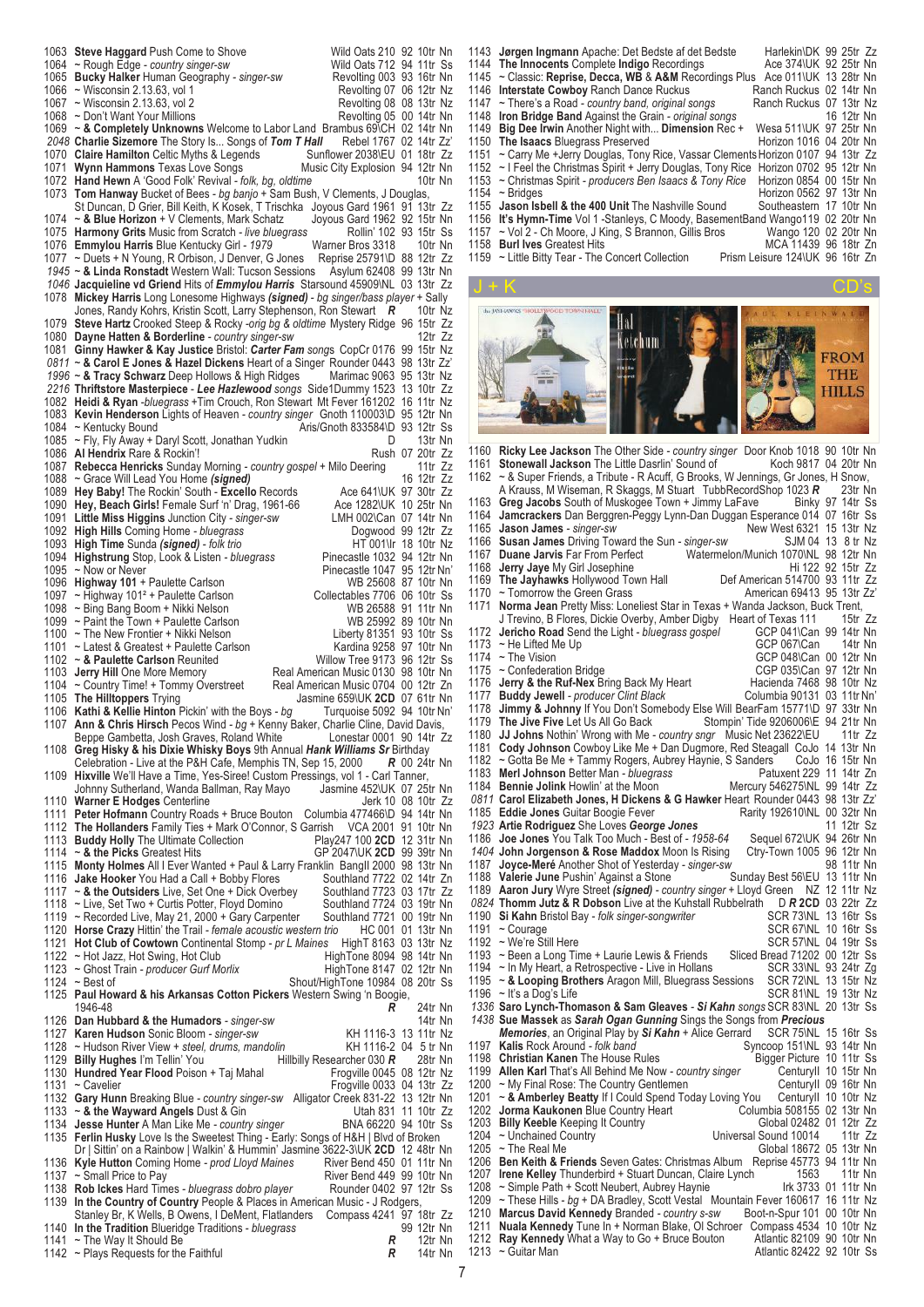7 1063 **Steve Haggard** Push Come to Shove Wild Oats 210 92 10tr Nn<br>1064 ~ Rough Edge - *country singer-sw* Wild Oats 712 94 11tr Ss 1064 ~ Rough Edge *- country singer-sw* Wild Oats 712 94 11tr Ss 1065 **Bucky Halker** Human Geography *- singer-sw* Revolting 003 93 16tr Nn 1066 ~ Wisconsin 2.13.63, vol 1 <br>1067 ~ Wisconsin 2.13.63, vol 2 Revolting 08 08 13tr Nz  $\sim$  Wisconsin 2.13.63, vol 2 Revolting 08 08 13tr Nz<br>  $\sim$  Don't Want Your Millions Revolting 05 00 14tr Nn 1068 ~ Don't Want Your Millions<br>1069 ~ & Completely Unknown ~ & Completely Unknowns Welcome to Labor Land Brambus 69\CH 02 14tr Nn<br>Charlie Sizemore The Story Is... Songs of Tom T Hall Rebel 1767 02 14tr Zz' *2048* **Charlie Sizemore** The Story Is... Songs of *Tom T Hall* Rebel 1767 02 14tr Zz' 1070 **Claire Hamilton** Celtic Myths & Legends Sunflower 2038\EU 01 18tr Zz<br>1071 Wynn Hammons Texas Love Songs Music City Explosion 94 12tr Nn **Wynn Hammons** Texas Love Songs Music City Explosion 94 12tr Nn<br>**Hand Hewn** A 'Good Folk' Revival - *folk. bg. oldtime* 10tr Nn 1071 **Hand Hewn A 'Good Folk' Revival** *- folk, bg, oldtime* **1072 <b>Hand Hewn** A 'Good Folk' Revival *- folk, bg, oldtime* 1073 **Tom Hanwav** Bucket of Bees - *bg banio* + Sam Bush 1073 **Tom Hanway** Bucket of Bees *- bg banjo* + Sam Bush, V Clements, J Douglas, St Duncan, D Grier, Bill Keith, K Kosek, T Trischka Joyous Gard 1961 91 13tr Zz 1074 ~ **& Blue Horizon** + V Clements, Mark Schatz Joyous Gard 1962 92 15tr Nn<br>1075 **Harmony Grits** Music from Scratch - live bluegrass Rollin' 102 93 15tr Ss 1075 **Harmony Grits** Music from Scratch *- live bluegrass* Rollin' 102 93 15tr Ss 1076 **Emmylou Harris** Blue Kentucky Girl - 1979 Warner Bros 3318 10tr Nn<br>1077 ~ Duets + N Young, R Orbison, J Denver, G Jones Reprise 25791\D 88 12tr Zz 1077 ~ Duets + N Young, R Orbison, J Denver, G Jones Reprise 25791\D 88 12tr Zz *1945* ~ **& Linda Ronstadt** Western Wall: Tucson Sessions Asylum 62408 99 13tr Nn *1046* **Jacquieline vd Griend** Hits of *Emmylou Harris* Starsound 45909\NL 03 13tr Zz Mickey Harris Long Lonesome Highways *(signed) - bg singer/bass player* + Sally Jones. Randv Kohrs, Kristin Scott, Larry Stephenson, Ron Stewart **R** 10tr Nz Jones, Randy Kohrs, Kristin Scott, Larry Stephenson, Ron Stewart **R** 1079 **Steve Hartz** Crooked Steep & Rocky *-orig bg & oldtime* Mystery Ridge 96 15tr Zz 1080 **Dayne Hatten & Borderline** *- country singer-sw* 12tr Zz 1081 **Ginny Hawker & Kay Justice** Bristol: *Carter Fam song*s CopCr 0176 99 15tr Nz *0811* ~ **& Carol E Jones & Hazel Dickens** Heart of a Singer Rounder 0443 98 13tr Zz' 1996 ~ **& Tracy Schwarz** Deep Hollows & High Ridges Marimac 9063 95 13tr Nz<br>2216 Thriftstore Masterpiece - Lee Hazlewood songs Side1Dummy 1523 13 10tr Zz *2216* **Thriftstore Masterpiece** - *Lee Hazlewood songs* Side1Dummy 1523 13 10tr Zz 1082 Heidi & Ryan *-bluegrass* +Tim Crouch, Ron Stewart Mt Fever 161202 1083 **Kevin Henderson** Lights of Heaven *- country singer* Gnoth 110003\D 95 12tr Nn 1084 ~ Kentucky Bound<br>1084 ~ Kentucky Bound 1084 ~ Kentucky Bound (Aris/Gnoth 833584\D 93 12tr Ss)<br>1085 ~ Fly Fly Away + Daryl Scott Jonathan Yudkin (Aris/Gnoth 833584\D 93 13tr Nn 1085 ~ Fly, Fly Away + Daryl Scott, Jonathan Yudkin D 13tr Nn<br>1086 **Al Hendrix** Rare & Rockin'! Rush 07 20tr Zz 1086 **Al Hendrix** Rare & Rockin'! (1086 **Al Hendrix Rare & Rockin'!** Rush 07 20tr Zz<br>1087 **Rebecca Henricks** Sunday Morning - country gospel + Milo Deering (11tr Zz 1087 **Rebecca Henricks** Sunday Morning *- country gospel* + Milo Deering 11tr Zz 1088 ~ Grace Will Lead You Home *(signed)* 1088 ~ 16 12tr Zz<br>1089 **Hey Baby!** The Rockin' South - Excello Records Ace 641\UK 97 30tr Zz 1089 **Hey Baby!** The Rockin' South - **Excello** Records Ace 641\UK 97 30tr Zz<br>1090 **Hey, Beach Girls!** Female Surf 'n' Drag, 1961-66 Ace 1282\UK 10 25tr Nn 1090 **Hey, Beach Girls!** Female Surf 'n' Drag, 1961-66 Ace 1282\UK 10 25tr Nn<br>1091 Little Miss Higgins Junction City - singer-sw LMH 002\Can 07 14tr Nn 1091 **Little Miss Higgins** Junction City *- singer-sw* LMH 002\Can 07 14tr Nn 1092 **High Hills** Coming Home *- bluegrass* Dogwood 99 12tr Zz 1093 **High Time** Sunda *(signed) - folk trio* https://divideously. HT 001\Ir 18 10tr Nz<br>1094 **Highstrung** Stop, Look & Listen - *bluegrass* Pinecastle 1032 94 12tr Nn 1094 **Highstrung** Stop, Look & Listen - bluegrass<br>1095 ~ Now or Never 1095 ~ Now or Never in the Carlson Control of Pinecastle 1047 95 12tr Nn'<br>1096 **Highway 101** + Paulette Carlson Control Control Control Nub 25608 87 10tr Nn 1096 **Highway 101** + Paulette Carlson WB 25608 87 10tr Nn<br>1097 ~ Highway 101<sup>2</sup> + Paulette Carlson Collectables 7706 06 10tr Ss 1097 ~ Highway 101<sup>2</sup> + Paulette Carlson Collectables 7706 06 10tr Ss<br>1098 ~ Bing Bang Boom + Nikki Nelson WB 26588 91 11tr Nn 1098 ~ Bing Bang Boom + Nikki Nelson WB 26588 91 11tr Nn<br>1099 ~ Paint the Town + Paulette Carlson WB 25992 89 10tr Nn 1099 ~ Paint the Town + Paulette Carlson WB 25992 89 10tr Nn<br>1100 ~ The New Frontier + Nikki Nelson Liberty 81351 93 10tr Ss 1100 ~ The New Frontier + Nikki Nelson <br>1101 ~ Latest & Greatest + Paulette Carlson **Liberty 81351 93110tr Nn** 1101 ~ Latest & Greatest + Paulette Carlson **Kardina 9258 97 10tr Nn**<br>1102 ~ & Paulette Carlson Reunited **Karlson Karlson Community** Willow Tree 9173 96 12tr Ss 1102 ~ & Paulette Carlson Reunited<br>1103 **Jerry Hill** One More Memory 1103 **Jerry Hill** One More Memory Real American Music 0130 98 10tr Nn<br>1104 ~ Country Time! + Tommy Overstreet Real American Music 0704 00 12tr Zn 1104 ~ Country Time! + Tommy Overstreet Real American Music 0704 00 12tr Zn<br>1105 The Hilltoppers Trying variable Real American Music 0704 00 161tr Nn 1105 **The Hilltoppers** Trying Jasmine 659\UK **2CD** 07 61tr Nn 1106 **Kathi & Kellie Hinton** Pickin' with the Boys *- bg* Turquoise 5092 94 10tr Nn' 1107 **Ann & Chris Hirsch** Pecos Wind *- bg* + Kenny Baker, Charlie Cline, David Davis, Beppe Gambetta, Josh Graves, Roland White 1108 **Greg Hisky & his Dixie Whisky Boys** 9th Annual *Hank Williams Sr* Birthday Celebration - Live at the P&H Cafe, Memphis TN, Sep 15, 2000 1109 **Hixville** We'll Have a Time, Yes-Siree! Custom Pressings, vol 1 - Carl Tanner, Johnny Sutherland, Wanda Ballman, Ray Mayo Jasmine 452\UK 07 25tr Nn<br>Warner E Hodges Centerline 1110 Warner E Hodges Centerline 1111 **Peter Hofmann** Country Roads + Bruce Bouton Columbia 477466\D 94 14tr Nn The Hollanders Family Ties + Mark O'Connor, S Garrish VCA 2001 91 10tr Nn<br>Buddy Holly The Ultimate Collection Play247 100 2CD 12 31tr Nn 1113 **Buddy Holly** The Ultimate Collection 1114 ~ & the Picks Greatest Hits 1114 ~ **& the Picks** Greatest Hits GP 2047\UK **2CD** 99 39tr Nn 1115 **Monty Holmes** All I Ever Wanted + Paul & Larry Franklin BangII 2000 98 13tr Nn 1116 **Jake Hooker** You Had a Call + Bobby Flores Southland 7722 02 14tr Zn<br>1117 ~ & the Outsiders Live, Set One + Dick Overbey Southland 7723 03 17tr Zz 1117 ~ **& the Outsiders** Live, Set One + Dick Overbey Southland 7723 03 17tr Zz 1118 ~ Live, Set Two + Curtis Potter, Floyd Domino Southland 7724 03 19tr Nn<br>1119 ~ Recorded Live, May 21, 2000 + Gary Carpenter Southland 7721 00 19tr Nn ~ Recorded Live, May 21, 2000 + Gary Carpenter 1120 **Horse Crazy** Hittin' the Trail *- female acoustic western trio* HC 001 01 13tr Nn 1121 **Hot Club of Cowtown** Continental Stomp *- pr L Maines* HighT 8163 03 13tr Nz 1122 ~ Hot Jazz, Hot Swing, Hot Club HighTone 8094 98 14tr Nn<br>1123 ~ Ghost Train - producer Gurf Morlix HighTone 8147 02 12tr Nn 1123 ~ Ghost Train *- producer Gurf Morlix*<br>1124 ~ Best of 1124 ~ Best of Shout/HighTone 10984 08 20tr Ss 1125 **Paul Howard & his Arkansas Cotton Pickers** Western Swing 'n Boogie, 1946-48 *R* 24tr Nn 1126 **Dan Hubbard & the Humadors** - *singer-sw* 1126 **Dan Hubbard & the Humadors** - *singer-sw* 14tr Nn 1127 **Karen Hudson** Sonic Bloom - *singer-sw* 14tr 1116-3 13 11tr Nz 1127 **Karen Hudson** Sonic Bloom *- singer-sw* KH 1116-3 13 11tr Nz<br>1128 ~ Hudson River View + *steel, drums, mandolin* KH 1116-2 04 5 tr Nn 1128 ~ Hudson River View *+ steel, drums, mandolin* KH 1116-2 04 5 tr Nn 1129 **Billy Hughes** I'm Tellin' You<br>
1130 **Hundred Year Flood** Poison + Tai Mahal<br>
1130 **Hundred Year Flood** Poison + Tai Mahal<br>
1130 **Hundred Year Flood** Poison + Tai Mahal<br>
1130 **Hundred Year Flood** Poison + Tai Mahal 1130 **Hundred Year Flood** Poison + Taj Mahal<br>1131 ~ Cavelier  $F$ rogville 0033 04 13tr Zz 1132 **Gary Hunn** Breaking Blue *- country singer-sw* Alligator Creek 831-22 13 12tr Nn 1133 ~ **& the Wayward Angels** Dust & Gin Utah 831 11 10tr Zz 1134 **Jesse Hunter** A Man Like Me *- country singer* BNA 66220 94 10tr Ss 1135 **Ferlin Husky** Love Is the Sweetest Thing - Early: Songs of H&H | Blvd of Broken Dr | Sittin' on a Rainbow | Walkin' & Hummin' Jasmine 3622-3\UK **2CD** 12 48tr Nn<br>**Kyle Hutton** Coming Home - prod Lloyd Maines River Bend 450 01 11tr Nn 1136 Kyle Hutton Coming Home *- prod Lloyd Maines*<br>1137 ~ Small Price to Pay 1137 ~ Small Price to Pay<br>1138 **Rob Ickes** Hard Times - bluegrass dobro player Rounder 0402 97 12tr Ss 1138 **Rob Ickes** Hard Times *- bluegrass dobro player* 1139 In the Country of Country People & Places in In the Country of Country People & Places in American Music - J Rodgers, Stanley Br, K Wells, B Owens, I DeMent, Flatlanders Compass 4241 97 18tr Zz<br>In the Tradition Blueridge Traditions - bluegrass 99 12tr Nn 1140 **In the Tradition** Blueridge Traditions *- bluegrass* 99 12tr Nn<br>1141 ~ The Way It Should Be **R** 12tr Nn 1141 ~ The Way It Should Be *R* 12tr Nn 1142 ~ Plays Requests for the Faithful

 **Jørgen Ingmann** Apache: Det Bedste af det Bedste Harlekin\DK 99 25tr Zz **The Innocents** Complete **Indigo** Recordings Ace 374\UK 92 25tr Nn<br>1145 ~ Classic: Reprise, Decca, WB & A&M Recordings Plus Ace 011\UK 13 28tr Nn ~ Classic: **Reprise, Decca, WB** & **A&M** Recordings Plus Ace 011\UK 13 28tr Nn **Interstate Cowboy** Ranch Dance Ruckus **Ranch Ruckus 02 14tr Nn**<br>1147 ~ There's a Road - country band, original songs Ranch Ruckus 07 13tr Nz ~ There's a Road *- country band, original songs* Ranch Ruckus 07 13tr Nz **Iron Bridge Band** Against the Grain *- original songs* 16 12tr Nn<br>1149 **Big Dee Irwin** Another Night with... **Dimension** Rec + Wesa 511\UK 97 25tr Nn **Big Dee Irwin** Another Night with... **Dimension** Rec + Wesa 511\UK 97 25tr Nn **The Isaacs** Bluegrass Preserved<br>1151 ~ Carry Me +Jerry Douglas, Tony ~ Carry Me +Jerry Douglas, Tony Rice, Vassar ClementsHorizon 0107 94 13tr Zz 1152 ~ I Feel the Christmas Spirit + Jerry Douglas, Tony Rice Horizon 0702 95 12tr Nn<br>1153 ~ Christmas Spirit - *producers Ben Isaacs & Tony Rice* Horizon 0854 00 15tr Nn 1153 ~ Christmas Spirit *- producers Ben Isaacs & Tony Rice*<br>1154 ~ Bridges 1154 ~ Bridges **Frankline 1154** ~ Bridges Horizon 0562 97 13tr Nn<br>1155 **Jason Isbell & the 400 Unit** The Nashville Sound Southeastern 17 10tr Nn **Jason Isbell & the 400 Unit** The Nashville Sound<br>1156 **It's Hymn-Time** Vol 1 -Stanleys C Moody Basem **It's Hymn-Time** Vol 1 -Stanleys, C Moody, BasementBand Wango119 02 20tr Nn<br>1157 ~ Vol 2 - Ch Moore J King S Brannon Gillis Bros Wango 120 02 20tr Nn **and The Control Control Control Control Control Control Control Control Control Control Control Control Control Control Control Control Control Control Control Control Control Control Control Control Control Control** 1157 ~ Vol 2 - Ch Moore, J King, S Brannon, Gillis Bros<br>1158 **Burl Ives** Greatest Hits  $\sim$  Little Bitty Tear - The Concert Collection J + K CD's H al Ketchum **FROM THE HILLS Ricky Lee Jackson** The Other Side *- country singer* Door Knob 1018 90 10tr Nn **Stonewall Jackson** The Little Dasrlin' Sound of 1162 ~ & Super Friends, a Tribute - R Acuff. G Brooks  $\sim$  & Super Friends, a Tribute - R Acuff, G Brooks, W Jennings, Gr Jones, H Snow, A Krauss, M Wiseman, R Skaggs, M Stuar, TubbeccordShop 1023 R A Krauss, M Wiseman, R Skaggs, M Stuart TubbRecordShop 1023 *R* 23tr Nn **Greg Jacobs** South of Muskogee Town + Jimmy LaFave<br>1164 Jamcrackers Dan Berggren-Peggy Uynn-Dan Duggan Est **Jamcrackers** Dan Berggren-Peggy Lynn-Dan Duggan Esperance 014 07 16tr Ss **Jason James** *- singer-sw*<br>
1166 **Susan James** Driving Toward the Sun *- singer-sw* SJM 04 13 8 tr Nz **Susan James** Driving Toward the Sun - *singer-sw* 1167 **Duane Jarvis** Far From Perfect Watermel **Duane Jarvis** Far From Perfect Watermelon/Munich 1070\NL 98 12tr Nn **Jerry Jaye** My Girl Josephine<br>
1169 **The Jayhawks** Hollywood Town Hall Def American 514700 93 11tr Zz **The Jayhawks** Hollywood Town Hall Def American 514700 93 11tr Zz 1170 ~ Tomorrow the Green Grass The Controller Controller American 69413 95 13tr Zz **Norma Jean** Pretty Miss: Loneliest Star in Texas + Wanda Jackson, Buck Trent, J Trevino, B Flores, Dickie Overby, Amber Digby Heart of Texas 111 15tr Zz<br>Jericho Road Send the Light - bluegrass gospel GCP 041\Can 99 14tr Nn **Jericho Road** Send the Light *- bluegrass gospel* GCP 041\Can 99 14tr Nn  $\sim$  He Lifted Me Up<br>1174  $\sim$  The Vision 1174 ~ The Vision Communication Bridge COP 048\Can 00 12tr Nn<br>1175 ~ Confederation Bridge CGP 035\Can 97 12tr Nn 1175 ~ Confederation Bridge CGP 035\Can 97 12tr Nn<br>1176 Jerry & the Ruf-Nex Bring Back My Heart Hacienda 7468 98 10tr Nz **Jerry & the Ruf-Nex** Bring Back My Heart **Hacienda 7468 98 10tr Nz**<br>1177 **Buddy Jewell** - *producer Clint Black* Columbia 90131 03 11tr Nn **Buddy Jewell** - producer Clint Black<br>1178 **Jimmy & Johnny** If You Don't Some **Jimmy & Johnny** If You Don't Somebody Else Will BearFam 15771\D 97 33tr Nn **The Jive Five** Let Us All Go Back Stompin' Tide 9206006\E 94 21tr Nn<br>1180 JJ Johns Nothin' Wrong with Me - country snar Music Net 23622\EU 11tr Zz **JJ Johns** Nothin' Wrong with Me *- country sngr* Music Net 23622\EU 1181 Color **Cody Johnson** Cowboy Like Me + Dan Dugmore, Red Steagall CoJo 14 13tr Nn 1182 ~ Gotta Be Me + Tammy Rogers, Aubrey Haynie, S Sanders CoJo 16 15tr Nn<br>1183 Merl Johnson Better Man - bluegrass Patuxent 229 11 14tr Zn **Merl Johnson** Better Man - *bluegrass* Patuxent 229 11 14tr Zn<br>1184 **Bennie Jolink** Howlin' at the Moon Mercury 546275\NL 99 14tr Zz **Bennie Jolink** Howlin' at the Moon **Carol Elizabeth Jones, H Dickens & G Hawker** Heart Rounder 0443 98 13tr Zz' **Eddie Jones** Guitar Boogie Fever **Rarity 192610\NL 00 32tr Nn**<br>1923 Artie Rodriguez She Loves George Jones (1993) 11 12tr Sz **Artie Rodriguez** She Loves *George Jones* 11 12tr Sz **Joe Jones** You Talk Too Much - Best of *- 1958-64* Sequel 672\UK 94 26tr Nn **1404 John Jorgenson & Rose Maddox** Moon Is Rising<br>1187 Joyce-Meré Apother Shot of Yesterday - singer-sul **Joyce-Meré** Another Shot of Yesterday *- singer-sw* 98 11tr Nn **Valerie June** Pushin' Against a Stone<br>1189 **Aaron Jury** Wyre Street *(signed) - co*  **Aaron Jury** Wyre Street *(signed) - country singer* + Lloyd Green NZ 12 11tr Nz **Thomm Jutz & R Dobson** Live at the Kuhstall Rubbelrath D *R* **2CD** 03 22tr Zz **Si Kahn Bristol Bay** *- folk singer-songwriter* SCR 73NL 13 16tr Ss<br>1191 ~ Courage SCR 67NL 10 16tr Ss 1191 ~ Courage SCR 67\NL 10 16tr Ss<br>1191 ~ Courage SCR 67\NL 10 16tr Ss<br>1192 ~ We're Still Here SCR 57\NL 04 19tr Ss 1192 ~ We're Still Here School and the SCR 57\NL 04 19tr Ss 1193 ~ Been a Long Time + Laurie Lewis & Friends Sliced Bread 71202 00 12tr Ss 1193 ~ Been a Long Time + Laurie Lewis & Friends Sliced Bread 71202 00 12tr Ss<br>1194 ~ In My Heart, a Retrospective - Live in Hollans SCR 33\NL 93 24tr Zq 1194 ~ In My Heart, a Retrospective - Live in Hollans SCR 33NL 93 24tr Zg<br>1195 ~ & Looping Brothers Aragon Mill. Bluegrass Sessions SCR 72NL 13 15tr Nz 1195 ~ & Looping Brothers Aragon Mill, Bluegrass Sessions 1196 ~ It's a Dog's Life SCR 81\NL 19 13tr Nz **Saro Lynch-Thomason & Sam Gleaves** *- Si Kahn songs* SCR 83\NL 20 13tr Ss **Sue Massek** as *Sarah Ogan Gunning* Sings the Songs from *Precious Memories*, an Original Play by *Si Kahn* + Alice Gerrard SCR 75\NL 15 16tr Ss<br>Kalis Rock Around - *folk band* Syncoop 151\NL 93 14tr Nn **Kalis** Rock Around *- folk band* Syncoop 151\NL 93 14tr Nn<br>1198 **Christian Kanen** The House Rules Bigger Picture 10 11tr Ss **Christian Kanen** The House Rules **Example 18 Societ Picture 10 11tr Ss**<br>1199 **Allen Karl** That's All Behind Me Now - country singer Centuryll 10 15tr Nn

1205 ~ The Real Me Global 18672 05 13tr Nn<br>1206 **Ben Keith & Friends** Seven Gates: Christmas Album Reprise 45773 94 11tr Nn **Ben Keith & Friends** Seven Gates: Christmas Album Reprise 45773 94 11tr Nn **Irene Kelley** Thunderbird + Stuart Duncan, Claire Lynch 1563 11tr Nn<br>1208 ~ Simple Path + Scott Neubert, Aubrey Haynie 11tr 3733 01 11tr Nn 1208 ~ Simple Path + Scott Neubert, Aubrey Haynie 1209 ~ These Hills - ba + DA Bradley, Scott Vestal ~ These Hills *- bg* + DA Bradley, Scott Vestal Mountain Fever 160617 16 11tr Nz **Marcus David Kennedy** Branded *- country s-sw* Boot-n-Spur 101 00 10tr Nn **Nuala Kennedy** Tune In + Norman Blake, Ol Schroer Compass 4534 10 10tr Nz **Ray Kennedy** What a Way to Go + Bruce Bouton Atlantic 82109 90 10tr Nn ~ Guitar Man Atlantic 82422 92 10tr Ss

1199 **Allen Karl** That's All Behind Me Now *- country singer* CenturyII 10 15tr Nn<br>1200 ~ My Final Rose: The Country Gentlemen<br>CenturyII 09 16tr Nn 1200 ~ My Final Rose: The Country Gentlemen Counter CenturyII 09 16tr Nn<br>1201 ~ & Amberley Beatty If I Could Spend Today Loving You CenturyII 10 10tr Nz 1201 ~ **& Amberley Beatty** If I Could Spend Today Loving You CenturyII 10 10tr Nz **1202 Jorma Kaukonen Blue Country Heart** Columbia 508155 02<br>1202 Billy Keeble Keeping It Country Columbia 508182 01 1203 **Billy Keeble** Keeping It Country Global 02482 01 12tr Zz 1204 ~ Unchained Country **1204 ~ Universal Sound 10014**<br>1205 ~ The Real Me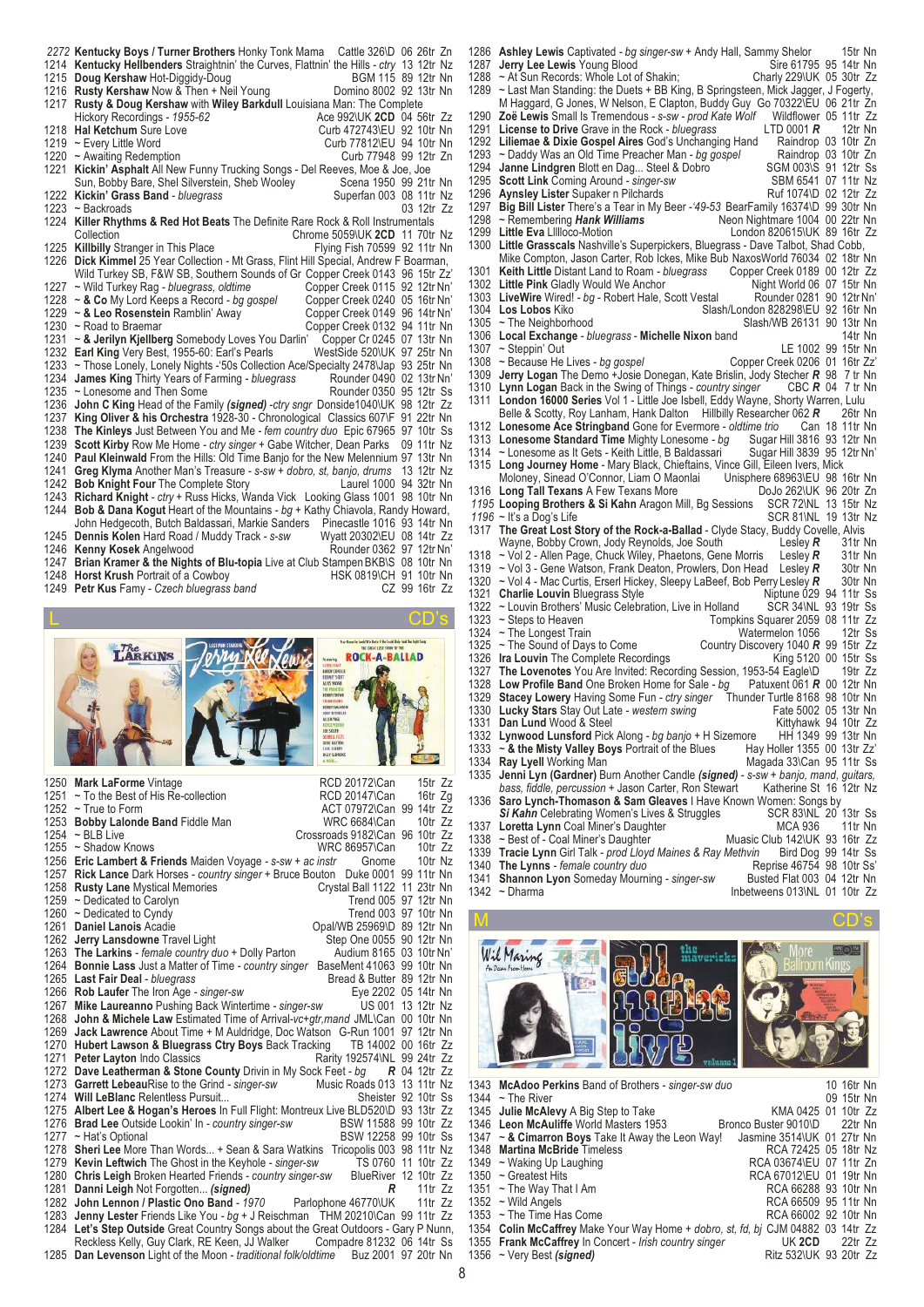|      | 2272 Kentucky Boys / Turner Brothers Honky Tonk Mama Cattle 326\D 06 26tr Zn             |                    |
|------|------------------------------------------------------------------------------------------|--------------------|
|      | 1214 Kentucky Hellbenders Straightnin' the Curves, Flattnin' the Hills - ctry 13 12tr Nz |                    |
|      | 1215 Doug Kershaw Hot-Diggidy-Doug                                                       | BGM 115 89 12tr Nn |
|      | 1216 Rusty Kershaw Now & Then + Neil Young<br>Domino 8002 92 13tr Nn                     |                    |
|      | 1217 Rusty & Doug Kershaw with Wiley Barkdull Louisiana Man: The Complete                |                    |
|      | Hickory Recordings - 1955-62<br>Ace 992\UK 2CD 04 56tr Zz                                |                    |
|      | 1218 Hal Ketchum Sure Love<br>Curb 472743\EU 92 10tr Nn                                  |                    |
|      | 1219 ~ Every Little Word<br>Curb 77812\EU 94 10tr Nn                                     |                    |
|      | Curb 77948 99 12tr Zn<br>1220 ~ Awaiting Redemption                                      |                    |
|      | 1221 Kickin' Asphalt All New Funny Trucking Songs - Del Reeves, Moe & Joe, Joe           |                    |
|      | Sun, Bobby Bare, Shel Silverstein, Sheb Wooley<br>Scena 1950 99 21tr Nn                  |                    |
|      | 1222 Kickin' Grass Band - bluegrass<br>Superfan 003 08 11tr Nz                           |                    |
|      | $1223$ ~ Backroads                                                                       | 03 12tr Zz         |
|      | 1224 Killer Rhythms & Red Hot Beats The Definite Rare Rock & Roll Instrumentals          |                    |
|      | Collection<br>Chrome 5059\UK 2CD 11 70tr Nz                                              |                    |
|      | 1225 Killbilly Stranger in This Place<br>Flying Fish 70599 92 11tr Nn                    |                    |
|      | 1226 Dick Kimmel 25 Year Collection - Mt Grass, Flint Hill Special, Andrew F Boarman,    |                    |
|      | Wild Turkey SB, F&W SB, Southern Sounds of Gr Copper Creek 0143 96 15tr Zz'              |                    |
|      | 1227 ~ Wild Turkey Rag - bluegrass, oldtime<br>Copper Creek 0115 92 12tr Nn'             |                    |
|      | 1228 ~ & Co My Lord Keeps a Record - bg gospel<br>Copper Creek 0240 05 16tr Nn'          |                    |
|      | 1229 ~ & Leo Rosenstein Ramblin' Away<br>Copper Creek 0149 96 14tr Nn'                   |                    |
|      | 1230 ~ Road to Braemar<br>Copper Creek 0132 94 11tr Nn                                   |                    |
|      | 1231 ~ & Jerilyn Kjellberg Somebody Loves You Darlin'<br>Copper Cr 0245 07 13tr Nn       |                    |
|      | 1232 Earl King Very Best, 1955-60: Earl's Pearls<br>WestSide 520\UK 97 25tr Nn           |                    |
|      | 1233 ~ Those Lonely, Lonely Nights -'50s Collection Ace/Specialty 2478\Jap 93 25tr Nn    |                    |
| 1234 | <b>James King Thirty Years of Farming - bluegrass</b><br>Rounder 0490 02 13tr Nn'        |                    |
| 1235 | Rounder 0350 95 12tr Ss<br>~ Lonesome and Then Some                                      |                    |
| 1236 | John C King Head of the Family (signed) -ctry sngr Donside1040\UK 98 12tr Zz             |                    |
| 1237 | King Oliver & his Orchestra 1928-30 - Chronological Classics 607\F 91 22tr Nn            |                    |
|      | 1238 The Kinleys Just Between You and Me - fem country duo Epic 67965 97 10tr Ss         |                    |
|      | 1239 Scott Kirby Row Me Home - ctry singer + Gabe Witcher, Dean Parks 09 11tr Nz         |                    |
|      | 1240 Paul Kleinwald From the Hills: Old Time Banjo for the New Melennium 97 13tr Nn      |                    |
| 1241 | Greg Klyma Another Man's Treasure - s-sw + dobro, st, banjo, drums 13 12tr Nz            |                    |
|      | 1242 Bob Knight Four The Complete Story<br>Laurel 1000 94 32tr Nn                        |                    |
| 1243 | Richard Knight - ctry + Russ Hicks, Wanda Vick Looking Glass 1001 98 10tr Nn             |                    |
| 1244 | Bob & Dana Kogut Heart of the Mountains - bg + Kathy Chiavola, Randy Howard,             |                    |
|      | John Hedgecoth, Butch Baldassari, Markie Sanders<br>Pinecastle 1016 93 14tr Nn           |                    |
|      | 1245 Dennis Kolen Hard Road / Muddy Track - s-sw<br>Wyatt 20302\EU 08 14tr Zz            |                    |
|      | 1246 Kenny Kosek Angelwood<br>Rounder 0362 97 12tr Nn'                                   |                    |
| 1247 | Brian Kramer & the Nights of Blu-topia Live at Club Stampen BKB\S 08 10tr Nn             |                    |

- 1248 **Horst Krush** Portrait of a Cowboy **HSK 0819\CH 91 10tr Nn**<br>1249 **Petr Kus** Famy Czech bluegrass band CZ 99 16tr Zz
- 1249 **Petr Kus** Famy Czech bluegrass band
- 



1254 ~ BLB Live Crossroads 9182\Can 96 10tr Zz<br>1255 ~ Shadow Knows Crossroads 9182\Can 10tr Zz WRC 86957\Can 10tr Zz<br>1256 Eric Lambert & Friends Maiden Voyage - s-sw + ac instr Gnome 10tr Nz 1257 **Rick Lance** Dark Horses *- country singer* + Bruce Bouton Duke 0001 99 11tr Nn 1258 **Rusty Lane** Mystical Memories Crystal Ball 1122 11 23tr Nn 1259 ~ Dedicated to Carolyn 1260 ~ Dedicated to Cyndy 1260 ~ Dedicated to Cyndy Trend 003 97 10tr Nn<br>1261 **Daniel Lanois** Acadie **The Control of Cyndy Conditional Accord Cyndy Condition** 1261 **Daniel Lanois** Acadie **Cannel Constant Constant Opal/WB 25969\D 89 12tr Nn**<br>1262 **Jerry Lansdowne** Travel Light **Cannel Constant Constant Constant Constant Constant Constant Constant Constant** Jerry Lansdowne Travel Light Step One 0055 90 12tr Nn<br>The Larkins - female country duo + Dolly Parton Audium 8165 03 10tr Nn' 1263 **The Larkins** *- female country duo* + Dolly Parton 1264 **Bonnie Lass** Just a Matter of Time *- country sing* **1264 Bonnie Lass Just a Matter of Time** *- country singer* BaseMent 41063 99 10tr Nn<br>Bread & Butter 89 12tr Nn 1265 **Last Fair Deal** *- bluegrass* Bread & Butter 89 12tr Nn<br>1266 **Rob Laufer** The Iron Age *- singer-sw* Bye 2202 05 14tr Nn Rob Laufer The Iron Age *- singer-sw* Eye 2202 05 14tr Nn<br>Mike Laureanno Pushing Back Wintertime *- singer-sw* US 001 13 12tr Nz 1267 **Mike Laureanno** Pushing Back Wintertime *- singer-sw* 1268 John & Michele Law Estimated Time of Arrival-vc+atr. 1268 **John & Michele Law** Estimated Time of Arrival*-vc+gtr,mand* JML\Can 00 10tr Nn 1269 **Jack Lawrence** About Time + M Auldridge, Doc Watson G-Run 1001 97 12tr Nn Hubert Lawson & Bluegrass Ctry Boys Back Tracking TB 14002 00 16tr Zz<br>Peter Layton Indo Classics **Fig. 24tr Zz** 1271 **Peter Layton** Indo Classics<br>1272 **Dave Leatherman & Stone County Drivin in My Sock Feet - bg <b>R** 04 12tr Zz **Dave Leatherman & Stone County** Drivin in My Sock Feet *- bg* **R** 04 12tr Zz<br>Garrett LebeauRise to the Grind *- singer-sw* Music Roads 013 13 11tr Nz 1273 **Garrett Lebeau**Rise to the Grind *- singer-sw* Music Roads 013 13 11tr Nz<br>1274 Will LeBlanc Relentless Pursuit... Sheister 92 10tr Ss 1274 Will LeBlanc Relentless Pursuit... 1275 **Albert Lee & Hogan's Heroes** In Full Flight: Montreux Live BLD520\D 93 13tr Zz 1276 **Brad Lee** Outside Lookin' In *- country singer-sw*<br>1277 ~ Hat's Optional 1277 ~ Hat's Optional **BSW 12258 99 10tr Ss**<br>1278 Sheri Lee More Than Words... + Sean & Sara Watkins Tricopolis 003 98 11tr Nz **Sheri Lee** More Than Words... + Sean & Sara Watkins Tricopolis 003 98 11tr Nz<br>Kevin Leftwich The Ghost in the Keyhole - *singer-sw* TS 0760 11 10tr Zz 1279 **Kevin Leftwich** The Ghost in the Keyhole *- singer-sw* TS 0760 11 10tr Zz 1280 **Chris Leigh** Broken Hearted Friends *- country singer-sw* BlueRiver 12 10tr Zz 1281 **Danni Leigh** Not Forgotten... *(signed) R* 11tr Zz 1282 **John Lennon / Plastic Ono Band** - 1970<br>1283 **Jenny Lester** Friends Like You - ba + J Ro 1283 **Jenny Lester** Friends Like You - bg + J Reischman THM 20210\Can 99 11tr Zz<br>1284 Let's Step Outside Great Country Songs about the Great Outdoors - Gary P Nunn, Let's Step Outside Great Country Songs about the Great Outdoors - Gary P Nunn, Reckless Kelly, Guy Clark, RE Keen, JJ Walker Compadre 81232 06 14tr Ss Reckless Kelly, Guy Clark, RE Keen, JJ Walker Compadre 81232 06 14tr Ss<br>**Dan Levenson** Light of the Moon - traditional folk/oldtime Buz 2001 97 20tr Nn 1285 **Dan Levenson** Light of the Moon - traditional folk/oldtime

1286 **Ashley Lewis** Captivated *- bg singer-sw* + Andy Hall, Sammy Shelor 15tr Nn 1287 **Jerry Lee Lewis** Young Blood Sire 61795 95 14tr Nn<br>1288 ~ At Sun Records: Whole Lot of Shakin; Charly 229\UK 05 30tr Zz 1288 ~ At Sun Records: Whole Lot of Shakin;<br>1289 ~ Last Man Standing: the Duets + BB Kir ~ Last Man Standing: the Duets + BB King, B Springsteen, Mick Jagger, J Fogerty, M Haggard, G Jones, W Nelson, E Clapton, Buddy Guy Go 70322\EU 06 21tr Zn<br>Zoë Lewis Small Is Tremendous - s-sw - prod Kate Wolf Vildflower 05 11tr Zz 1290 **Zoë Lewis** Small Is Tremendous *- s-sw - prod Kate Wolf* Wildflower 05 11tr Zz License to Drive Grave in the Rock *- bluegrass* LTD 0001 **R** 12tr Nn<br>
Liliemae & Dixie Gospel Aires God's Unchanging Hand Raindrop 03 10tr Zn 1292 **Liliemae & Dixie Gospel Aires** God's Unchanging Hand Raindrop 03 10tr Zn 1293 ~ Daddy Was an Old Time Preacher Man *- bg gospel* Raindrop 03 10tr Zn 1294 **Janne Lindgren** Blott en Dag... Steel & Dobro SGM 003\S 91 12tr Ss<br>1295 **Scott Link** Coming Around - *singer-sw* SSM 6541 07 11tr Nz 1295 **Scott Link** Coming Around *- singer-sw* SBM 6541 07 11tr Nz 1296 **Aynsley Lister** Supaker n Pilchards<br>1297 **Big Bill Lister** There's a Tear in My F 1297 **Big Bill Lister** There's a Tear in My Beer *-'49-53* BearFamily 16374\D 99 30tr Nn 1298 ~ Remembering *Hank Williams*<br>1299 Little Eva Lillloco-Motion 1299 L**ittle Eva** LIIIIoco-Motion London 820615\UK 89 16tr Zz<br>1300 L**ittle Grasscals** Nashville's Superpickers. Bluegrass - Dave Talbot. Shad Cobb. Little Grasscals Nashville's Superpickers, Bluegrass - Dave Talbot, Shad Cobb, Mike Compton, Jason Carter, Rob Ickes, Mike Bub NaxosWorld 76034 02 18tr Nn<br>Keith Little Distant Land to Roam - bluegrass Copper Creek 0189 00 12tr Zz 1301 **Keith Little** Distant Land to Roam *- bluegrass* Copper Creek 0189 00 12tr Zz 1302 **Little Pink** Gladly Would We Anchor Night World 06 07 15tr Nn<br>1303 Live Wire Wired! - ba - Robert Hale, Scott Vestal Rounder 0281 90 12tr Nn 1303 **LiveWire** Wired! *- bg* - Robert Hale, Scott Vestal 1304 Los Lobos Kiko 1304 **Los Lobos** Kiko Shash/London 828298\EU 92 16tr Nn<br>1305 ~ The Neighborhood Slash/WB 26131 90 13tr Nn Slash/WB 26131 90 13tr Nn<br>14tr Nn 1306 Local Exchange *- bluegrass* - Michelle Nixon band<br>1307 ~ Steppin' Out 1307 ~ Steppin' Out<br>
1308 ~ Because He Lives - bg gospel<br>
1308 ~ Because He Lives - bg gospel Copper Creek 0206 01 16tr Zz' 1308 ~ Because He Lives - bg gospel<br>1309 **Jerry Logan The Demo + losie I** 1309 **Jerry Logan** The Demo + Josie Donegan, Kate Brislin, Jody Stecher **R** 98 7 tr Nn<br>1310 **Lynn Logan** Back in the Swing of Things - *country singer* CBC **R** 04 7 tr Nn 1310 **Lynn Logan** Back in the Swing of Things *- country singer* CBC *R* 04 7 tr Nn 1311 **London 16000 Series** Vol 1 - Little Joe Isbell, Eddy Wayne, Shorty Warren, Lulu Belle & Scotty, Roy Lanham, Hank Dalton Hillbilly Researcher 062 **R** 26tr Nn<br>**Lonesome Ace Stringband** Gone for Evermore - oldtime trio Can 18 11tr Nn 1312 **Lonesome Ace Stringband** Gone for Evermore *- oldtime trio* Can 18 11tr Nn 1313 Lonesome Standard Time Mighty Lonesome *- bg* Sugar Hill 3816 93 12tr Nr<br>1314 ~ Lonesome as It Gets - Keith Little, B Baldassari Sugar Hill 3839 95 12tr Nn ~ Lonesome as It Gets - Keith Little, B Baldassari 1315 **Long Journey Home** - Mary Black, Chieftains, Vince Gill, Eileen Ivers, Mick Moloney, Sinead O'Connor, Liam O Maonlai Unisphere 68963\EU 98 16tr Nn<br>
Long Tall Texans A Few Texans More DoJo 262\UK 96 20tr Zn 1316 Long Tall Texans A Few Texans More DoJo 262\UK 96 20tr Zn<br>1195 Looping Brothers & Si Kahn Aragon Mill, Bg Sessions SCR 72\NL 13 15tr Nz *1195* Looping Brothers & Si Kahn Aragon Mill, Bg Sessions *1196* ~ It's a Dog's Life 1196 ~ It's a Dog's Life SCR 81\NL 19 13tr Nz<br>1317 The Great Lost Story of the Rock-a-Ballad - Clyde Stacy, Buddy Covelle, Alvis **The Great Lost Story of the Rock-a-Ballad** - Clyde Stacy, Buddy Covelle, Alvis<br>Wayne, Bobby Crown, Jody Reynolds, Joe South Lesley **R** 31tr Nn Wayne, Bobby Crown, Jody Reynolds, Joe South Lesley **R** 31tr Nn<br>
~ Vol 2 - Allen Page, Chuck Wiley, Phaetons, Gene Morris Lesley **R** 31tr Nn 1318 ~ Vol 2 - Allen Page, Chuck Wiley, Phaetons, Gene Morris Lesley *R* 31tr Nn 1319 ~ Vol 3 - Gene Watson, Frank Deaton, Prowlers, Don Head Lesley *R* 30tr Nn 1320 ~ Vol 4 - Mac Curtis, Erserl Hickey, Sleepy LaBeef, Bob Perry Lesley *R* 30tr Nn 1321 **Charlie Louvin** Bluegrass Style **Niptune 1281** Niptune 029 94 11tr Ss<br>1322 ~ Louvin Brothers' Music Celebration. Live in Holland SCR 34 NL 93 19tr Ss 1322 ~ Louvin Brothers' Music Celebration, Live in Holland 1323 ~ Steps to Heaven 1323 ~ Steps to Heaven **The Constitution Construction Tompkins Squarer 2059 08 11tr Zz**<br>1324 ~ The Longest Train **The Watermelon 1056** 12tr Ss 1324 ~ The Longest Train<br>1325 ~ The Sound of Days to Come 1325 ~ The Sound of Days to Come Country Discovery 1040 **R** 99 15tr Zz<br>1326 **Ira Louvin** The Complete Recordings Country Discovery King 5120 00 15tr Ss Ira Louvin The Complete Recordings King 5120<br>The Lovenotes You Are Invited: Recording Session, 1953-54 Eagle\D 1327 **The Lovenotes** You Are Invited: Recording Session, 1953-54 Eagle\D 19tr Zz 1328 **Low Profile Band** One Broken Home for Sale *- bg* Patuxent 061 *R* 00 12tr Nn 1329 **Stacey Lowery** Having Some Fun *- ctry singer* Thunder Turtle 8168 98 10tr Nn 1330 **Lucky Stars** Stay Out Late *- western swing* Fate 5002 05 13tr Nn 1331 **Dan Lund** Wood & Steel Kittyhawk 94 10tr Zz<br>1331 Lynwood Lunsford Pick Along - bg banjo + H Sizemore HH 1349 99 13tr Nn 1332 Lynwood Lunsford Pick Along *- bg banjo* + H Sizemore HH 1349 99 13tr Nr<br>1333 ~ & the Misty Valley Boys Portrait of the Blues Hay Holler 1355 00 13tr Zz 1333 ~ **& the Misty Valley Boys** Portrait of the Blues Hay Holler 1355 00 13tr Zz' 1334 **Ray Lyell** Working Man Magada 33\Can 95 11tr Ss Magada 33\Can 95 11tr Ss<br>1335 **Jenni Lyn (Gardner)** Burn Another Candle (signed) - s-sw + banjo, mand, guitars, 1335 **Jenni Lyn (Gardner)** Burn Another Candle *(signed) - s-sw + banjo, mand, guitars, bass, fiddle, percussion* + Jason Carter, Ron Stewart 1336 **Saro Lynch-Thomason & Sam Gleaves** I Have Known Women: Songs by **Si Kahn** Celebrating Women's Lives & Struggles SCR 83\NL 20 13tr Ss<br> **Loretta Lynn** Coal Miner's Daughter **School Struggles** MCA 936 11tr Nn 1337 **Loretta Lynn** Coal Miner's Daughter **Communist Construct Propert Construct** 11st Nn<br>1338 ~ Best of - Coal Miner's Daughter Muasic Club 142\UK 93 16tr Zz 1338 ~ Best of - Coal Miner's Daughter<br>1339 Tracie I vnn Girl Talk - prod Llovo 1339 **Tracie Lynn** Girl Talk *- prod Lloyd Maines & Ray Methvin*<br>1340 **The Lynns** *- female country duo*<br>Rec vin Bird Dog 99 14tr Ss<br> **Reprise 46754 98 10tr Ss'**<br> **Busted Flat 003 04 12tr Nn** 1341 **Shannon Lyon** Someday Mourning - singer-sw<br>1342 ~ Dharma Inbetweens 013\NL 01 10tr Zz



1348 **Martina McBride** Timeless<br>1349 ~ Waking Up Laughing 1349 ~ Waking Up Laughing The CA 03674\EU 07 11tr Zn<br>1350 ~ Greatest Hits The RCA 67012\EU 01 19tr Nn RCA 67012\EU 01 19tr Nn<br>RCA 66288 93 10tr Nn 1351 ~ The Way That I Am 1352 ~ Wild Angels 1352 ~ Wild Angels 1352 + 2010 12:00 RCA 66509 95 11tr Nn<br>1353 ~ The Time Has Come 12:00 RCA 66002 92 10tr Nn 1353 ~ The Time Has Come<br>1354 **Colin McCaffrey** Make 1354 **Colin McCaffrey** Make Your Way Home *+ dobro, st, fd, bj* CJM 04882 03 14tr Zz

Ritz 532\UK 93 20tr Zz

- 
- 1355 **Frank McCaffrey** In Concert Irish country singer<br>1356 ~ Very Best (signed)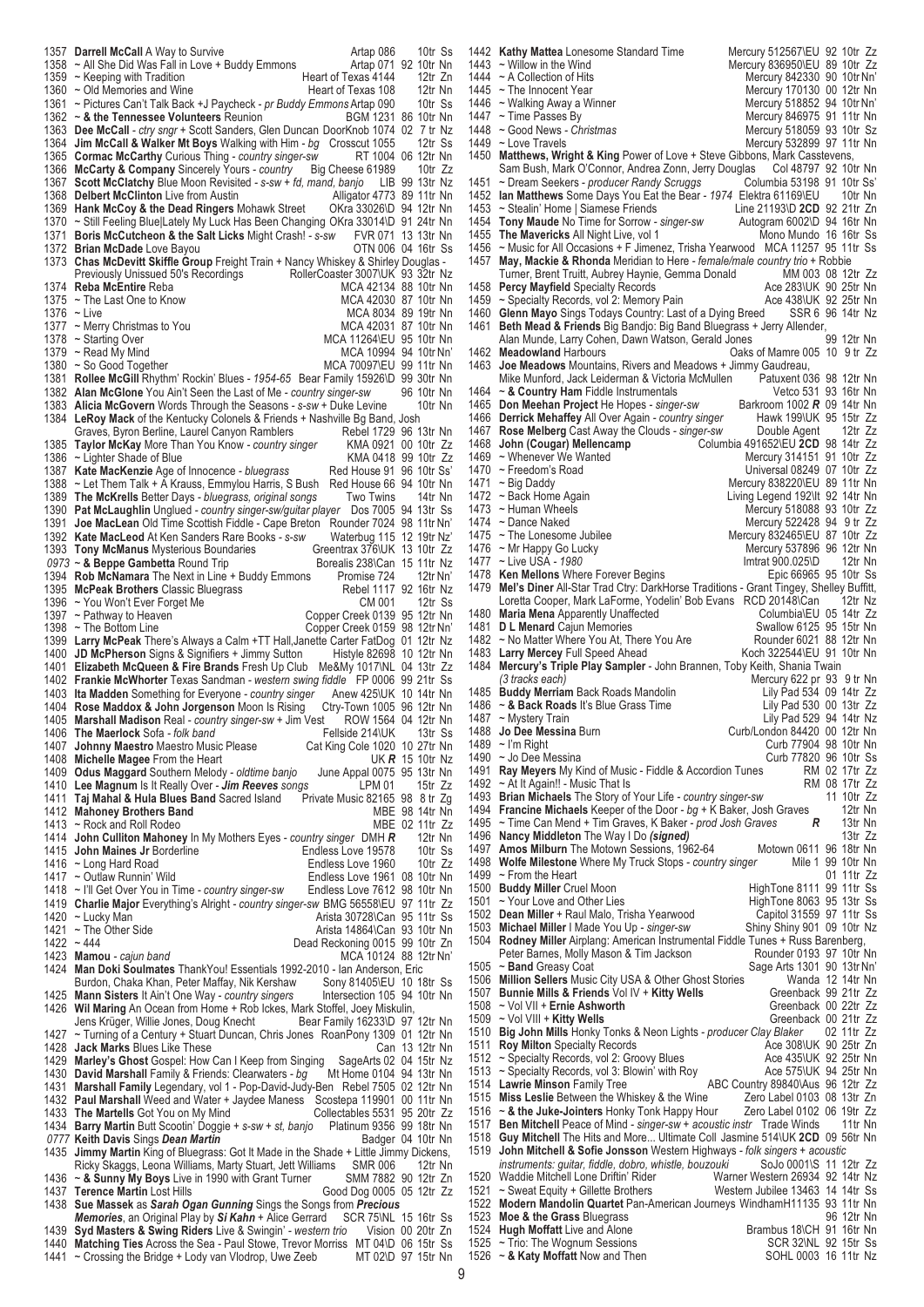**Darrell McCall** A Way to Survive **Call Artap 086** 10tr Ss<br>1358 ~ All She Did Was Fall in Love + Buddy Emmons Artap 071 92 10tr Nn ~ All She Did Was Fall in Love + Buddy Emmons Artap 071 92 10tr Nn 1359 ~ Keeping with Tradition **Franchise Communist Communist Communist Communist Communist Communist Communist Communist Communist Communist Communist Communist Communist Communist Communist Communist Communist Communist C** 1360 ~ Old Memories and Wine Heart of Texas 108 12tr Nn<br>1361 ~ Pictures Can't Talk Back +J Pavcheck - *or Buddy Emmons* Artap 090 10tr Ss 1361 ~ Pictures Can't Talk Back +J Paycheck - *pr Buddy Emmons* Artap 090 10tr Ss<br>1362 ~ & the Tennessee Volunteers Reunion BGM 1231 86 10tr Nn  $\sim$  & the Tennessee Volunteers Reunion **Dee McCall** *- ctry sngr* + Scott Sanders, Glen Duncan DoorKnob 1074 02 7 tr Nz **Jim McCall & Walker Mt Boys** Walking with Him *- bg* Crosscut 1055 12tr Ss **Cormac McCarthy** Curious Thing *- country singer-sw* RT 1004 06 12tr Nn **McCarty & Company** Sincerely Yours *- country* Big Cheese 61989 10tr Zz **Scott McClatchy** Blue Moon Revisited *- s-sw + fd, mand, banjo* LIB 99 13tr Nz **Delbert McClinton** Live from Austin **Alligator 4773** 89 11tr Nn 1369 **Hank McCoy & the Dead Ringers** Mohawk Street OKra 33026\D 94 12tr Nn **Hank McCoy & the Dead Ringers** Mohawk Street 1370 ~ Still Feeling Bluell ately My Luck Has Been Chang 1370 ~ Still Feeling Blue|Lately My Luck Has Been Changing OKra 33014\D 91 24tr Nn<br>1371 **Boris McCutcheon & the Salt Licks** Might Crash! - s-sw FVR 071 13 13tr Nn **Boris McCutcheon & the Salt Licks** Might Crash! *- s-sw* FVR 071 13 13tr Nn **Brian McDade** Love Bayou<br>1373 **Chas McDevitt Skiffle Grou Chas McDevitt Skiffle Group** Freight Train + Nancy Whiskey & Shirley Douglas - Previously Unissued 50's Recordings RollerCoaster 3007\UK 93 32tr Nz Previously Unissued 50's Recordings RollerCoaster 3007\UK 93 32tr Nz<br>Reba McEntire Reba Much 42134 88 10tr Nn **Reba McEntire** Reba<br>1375 ~ The Last One to Know MCA 42030 87 10tr Nn  $~\sim$  The Last One to Know 1376  $~\sim$  Live MCA 8034 89 19tr Nn<br>MCA 42031 87 10tr Nn 1377 ~ Merry Christmas to You 1378 ~ Starting Over 1378 ~ Starting Over 1378 < Note 11264\EU 95 10tr Nn 1379 ~ Read My Mind 1379 + MCA 10994 94 10tr Nn' 1379 ~ Read My Mind MCA 10994 94 10tr Nn'<br>1380 ~ So Good Together MCA 70097\EU 99 11tr Nn MCA 70097\EU 99 11tr Nn **Rollee McGill** Rhythm' Rockin' Blues *- 1954-65* Bear Family 15926\D 99 30tr Nn **Alan McGlone** You Ain't Seen the Last of Me *- country singer-sw* 96 10tr Nn **Alicia McGovern** Words Through the Seasons - s-sw + Duke Levine 1384 LeRoy Mack of the Kentucky Colonels & Friends + Nashville Bo Ban **LeRoy Mack** of the Kentucky Colonels & Friends + Nashville Bg Band, Josh<br>Graves. Byron Berline. Laurel Canvon Ramblers Rebel 1729 96 13tr Nn Graves, Byron Berline, Laurel Canyon Ramblers Rebel 1729 96 13tr Nn<br>
Taylor McKay More Than You Know - country singer KMA 0921 00 10tr 7z **Taylor McKay** More Than You Know *- country singer* KMA 0921 00 10tr Zz ~ Lighter Shade of Blue <br>
1386 Kate MacKenzie Age of Innocence - bluegrass Red House 91 96 10tr Ss 1387 Kate MacKenzie Age of Innocence *- bluegrass* 1388 ~ Let Them Talk + A Krauss. Emmylou Harris. S 1388 ~ Let Them Talk + A Krauss, Emmylou Harris, S Bush Red House 66 94 10tr Nn<br>1389 The McKrells Better Days - bluegrass, original songs Two Twins 14tr Nn The McKrells Better Days *- bluegrass, original songs* Two Twins 14tr Nn<br>Pat McLaughlin Unglued *- country singer-sw/guitar player* Dos 7005 94 13tr Ss **Pat McLaughlin** Unglued *- country singer-sw/guitar player* Dos 7005 94 13tr Ss **Joe MacLean** Old Time Scottish Fiddle - Cape Breton Rounder 7024 98 11tr Nn'<br>1392 Kate MacLeod At Ken Sanders Rare Books - s-sw Waterbug 115 12 19tr Nz' **Kate MacLeod** At Ken Sanders Rare Books *- s-sw* Waterbug 115 12 19tr Nz' **Tony McManus** Mysterious Boundaries Greentrax 376\UK 13 10tr Zz<br>0973 ~ & Beppe Gambetta Round Trip Borealis 238\Can 15 11tr Nz  $\sim$  & Beppe Gambetta Round Trip **Rob McNamara** The Next in Line + Buddy Emmons Promise 724 12tr Nn'<br>1395 **McPeak Brothers** Classic Bluegrass Rebel 1117 92 16tr Nz **McPeak Brothers** Classic Bluegrass Rebel 1117 92 16tr Nz<br>1396 ~ You Won't Ever Forget Me CM 001 12tr Ss 1396 ~ You Won't Ever Forget Me<br>1397 ~ Pathway to Heaven 1397 ~ Pathway to Heaven Copper Creek 0139 95 12tr Nn 1398 ~ The Bottom Line Copper Creek 0159 98 12tr Nn' 1398 ~ The Bottom Line Copper Creek 0159 98 12tr Nn' **Larry McPeak** There's Always a Calm +TT Hall,Janette Carter FatDog 01 12tr Nz **JD McPherson** Signs & Signifiers + Jimmy Sutton Histyle 82698 10 12tr Nn **Elizabeth McQueen & Fire Brands** Fresh Up Club Me&My 1017\NL 04 13tr Zz **Frankie McWhorter** Texas Sandman *- western swing fiddle* FP 0006 99 21tr Ss **Ita Madden** Something for Everyone *- country singer* Anew 425\UK 10 14tr Nn **Rose Maddox & John Jorgenson** Moon Is Rising Ctry-Town 1005 96 12tr Nn **Marshall Madison** Real *- country singer-sw* + Jim Vest ROW 1564<br>1406 **The Maerlock** Sofa *- folk band* **The Maerlock** Sofa *- folk band* Fellside 214\UK 13tr Ss<br>1407 **Johnny Maestro** Maestro Music Please Cat King Cole 1020 10 27tr Nn **Johnny Maestro** Maestro Music Please Cat King Cole 1020 10 27tr Nn **Michelle Magee** From the Heart **Care Control Control Control Control Control Control 1409 <b>Odus Maggard** Southern Melody - oldtime banjo June Appal 0075 95 13tr Nn **Odus Maggard** Southern Melody *- oldtime banjo* June Appal 0075<br>1410 Lee Magnum Is It Really Over *- Jim Reeves songs* LPM 01 **Lee Magnum** Is It Really Over *- Jim Reeves songs* LPM 01 15tr Zz **Taj Mahal & Hula Blues Band** Sacred Island Private Music 82165 98 8 tr Zg **Mahoney Brothers Band** MBE 98 14tr Nn 1413 ~ Rock and Roll Rodeo MBE 02 11tr Zz<br>1414 **John Culliton Mahonev** In My Mothers Fyes - country singer DMH **R** 12tr Nn **John Culliton Mahoney** In My Mothers Eyes *- country singer* DMH *R* 12tr Nn **John Maines Jr** Borderline **Endless Love 19578** 10tr Ss 1416 ~ Long Hard Road **Endless Love 1960** 10tr Zz<br>1417 ~ Outlaw Runnin' Wild **Endless Love 1961 08 10tr Nn** Endless Love 1961 08 10tr Nn<br>Endless Love 7612 98 10tr Nn 1418 ~ I'll Get Over You in Time - country singer-sw **Charlie Major** Everything's Alright *- country singer-sw* BMG 56558\EU 97 11tr Zz − Lucky Man <br>
Figure 30728\Can 95 11tr Ss → The Other Side Can be a state of the Arista 14864\Can 93 10tr Nn 1421 ~ The Other Side **Arista 14864\Can 93 10tr Nn**<br>1422 ~ 444 **Dead Reckoning 0015 99 10tr 7n** Dead Reckoning 0015 99 10tr Zn<br>MCA 10124 88 12tr Nn' **Mamou** - cajun band<br>1424 Man Doki Soulmates **Man Doki Soulmates** ThankYou! Essentials 1992-2010 - Ian Anderson, Eric Burdon, Chaka Khan, Peter Maffay, Nik Kershaw Sony 81405\EU 10 18tr Ss<br>
Mann Sisters It Ain't One Way - country singers lntersection 105 94 10tr Nn **Mann Sisters** It Ain't One Way *- country singers* 1426 Wil Maring An Ocean from Home + Rob Ickes. **Wil Maring** An Ocean from Home + Rob Ickes, Mark Stoffel, Joey Miskulin, Jens Krüger, Willie Jones, Doug Knecht<br>Jens Krüger, Willie Jones, Doug Knecht<br>Bear Family 16233\D 97 12tr Nn Jens Krüger, Willie Jones, Doug Knecht ~ Turning of a Century + Stuart Duncan, Chris Jones RoanPony 1309 01 12tr Nn 1428 Jack Marks Blues Like These<br>1429 **Marley's Ghost** Gospel: How Can I Keep from Singing SageArts 02 04 15tr Nz **Marley's Ghost** Gospel: How Can I Keep from Singing SageArts 02 04 15tr Nz **David Marshall** Family & Friends: Clearwaters - bg **Marshall Family** Legendary, vol 1 - Pop-David-Judy-Ben Rebel 7505 02 12tr Nn **Paul Marshall** Weed and Water + Jaydee Maness Scostepa 119901 00 11tr Nn<br>1433 The Martells Got You on My Mind Collectables 5531 95 20tr Zz **The Martells** Got You on My Mind Collectables 5531 95 20tr Zz **Barry Martin** Butt Scootin' Doggie *+ s-sw + st, banjo* Platinum 9356 99 18tr Nn Keith Davis Sings *Dean Martin* Badger 04 10tr Nn<br>1435 Jimmy Martin King of Bluegrass: Got It Made in the Shade + Little Jimmy Dickens **Jimmy Martin** King of Bluegrass: Got It Made in the Shade + Little Jimmy Dickens,<br>Ricky Skagos Leona Williams, Marty Stuart, Jett Williams SMR 006 12tr Nn Ricky Skaggs, Leona Williams, Marty Stuart, Jett Williams SMR 006 12tr Nn ~ **& Sunny My Boys** Live in 1990 with Grant Turner SMM 7882 90 12tr Zn **Terence Martin** Lost Hills Good Dog 0005 05 12tr Zz **Sue Massek** as *Sarah Ogan Gunning* Sings the Songs from *Precious Memories*, an Original Play by *Si Kahn* + Alice Gerrard SCR 75\NL 15 16tr Ss<br>**Syd Masters & Swing Riders** Live & Swingin' - western trio Vision 00 20tr Zn **Syd Masters & Swing Riders** Live & Swingin' - western trio 1440 Matching Ties Across the Sea - Paul Stowe Trevor Morriss Matching Ties Across the Sea - Paul Stowe, Trevor Morriss MT 04\D 06 15tr Ss<br>- Crossing the Bridge + Lody van Vlodrop, Uwe Zeeb MT 02\D 97 15tr Nn  $\sim$  Crossing the Bridge + Lody van Vlodrop, Uwe Zeeb

1442 **Kathy Mattea** Lonesome Standard Time Mercury 512567\EU 92 10tr Zz<br>1443 ~ Willow in the Wind Mercury 836950\EU 89 10tr Zz 1443 ~ Willow in the Wind Mercury 836950\EU 89 10tr Zz<br>1444 ~ A Collection of Hits Mercury 842330 90 10tr Nn' 1444 ~ A Collection of Hits Mercury 842330 90 10tr Nn<br>1445 ~ The Innocent Year Mercury 170130 00 12tr Nn 1445 ~ The Innocent Year Mercury 170130 00 12tr Nn<br>1446 ~ Walking Away a Winner Mercury 518852 94 10tr Nn' 1446 ~ Walking Away a Winner **Mercury 518852 94 10tr Nn'**<br>1447 ~ Time Passes By Mercury 846975 91 11tr Nn Mercury 846975 91 11tr Nn<br>Mercury 518059 93 10tr Sz 1448 ~ Good News - Christmas<br>1449 ~ Love Travels 1449 ~ Love Travels Mercury 532899 97 11tr Nn<br>1450 **Matthews, Wright & King** Power of Love + Steve Gibbons, Mark Casstevens, Matthews, Wright & King Power of Love + Steve Gibbons, Mark Casstevens, Sam Bush, Mark O'Connor, Andrea Zonn, Jerry Douglas Cold 48797 92 10tr Nn Sam Bush, Mark O'Connor, Andrea Zonn, Jerry Douglas Col 48797 92 10tr Nn<br>
~ Dream Seekers - producer Randy Scruggs Columbia 53198 91 10tr Ss 1451 ~ Dream Seekers - *producer Randy Scruggs* Columbia 53198 91 10tr Ss'<br>1452 **Ian Matthews** Some Days You Eat the Bear - 1974 Elektra 61169\EU 10tr Nn 1452 **Ian Matthews** Some Days You Eat the Bear *- 1974* Elektra 61169\EU 10tr Nn 1453 ~ Stealin' Home | Siamese Friends Line 21193\D **2CD** 92 21tr Zn<br>1454 **Tony Maude** No Time for Sorrow - singer-sw Autogram 6002\D 94 16tr Nn 1454 **Tony Maude** No Time for Sorrow *- singer-sw* Autogram 6002\D 94 16tr Nn 1455 **The Mavericks** All Night Live, vol 1<br>1456 ~ Music for All Occasions + F Jimene 1456 ~ Music for All Occasions + F Jimenez, Trisha Yearwood MCA 11257 95 11tr Ss<br>1457 May, Mackie & Rhonda Meridian to Here - *female/male country trio* + Robbie 1457 **May, Mackie & Rhonda** Meridian to Here *- female/male country trio* + Robbie Turner, Brent Truitt, Aubrey Haynie, Gemma Donald MM 003 08 12tr Zz<br> **Percy Mayfield** Specialty Records **May 18th Ace 283 ACE 283 10K 90 25tr Nn** 1458 **Percy Mayfield** Specialty Records **Ace 283 Ace 283\UK 90 25tr Nn**<br>1459 ~ Specialty Records, vol 2: Memory Pain **Ace 438\UK 92 25tr Nn** 1459 ~ Specialty Records, vol 2: Memory Pain Ace 438\UK 92 25tr Nn<br>1460 Glenn Mayo Sings Todays Country: Last of a Dying Breed SSR 6 96 14tr Nz 1460 **Glenn Mayo** Sings Todays Country: Last of a Dying Breed SSR 6 96 14tr Nz **1461 Beth Mead & Friends** Big Bandjo: Big Band Bluegrass + Jerry Allender,<br>Alan Munde, Larry Cohen, Dawn Watson, Gerald Jones 99 12tr Nn Alan Munde, Larry Cohen, Dawn Watson, Gerald Jones<br>Oaks 99 1462 Meadowland Harbours 1462 **Meadowland Harbours Call Bull Coates Call Call Call Mamre 005 10 9 tr Zz**<br>1463 **Joe Meadows** Mountains, Rivers and Meadows + Jimmy Gaudreau, **Joe Meadows** Mountains, Rivers and Meadows + Jimmy Gaudreau,<br>Mike Munford, Jack Leiderman & Victoria McMullen Patuxent 036 98 12tr Nn Mike Munford, Jack Leiderman & Victoria McMullen Patuxent 036 98 12tr Nn<br>A **Country Ham** Fiddle Instrumentals Patuary 13 16tr Nn 1464 ~ **& Country Ham** Fiddle Instrumentals Vetco 531 93 16tr Nn<br>1465 **Don Meehan Proiect** He Hopes - *singer-sw* Barkroom 1002 **R** 09 14tr Nn 1465 **Don Meehan Project** He Hopes *- singer-sw* Barkroom 1002 *R* 09 14tr Nn 1466 **Derrick Mehaffey** All Over Again *- country singer* Hawk 199\UK 95 15tr Zz 1467 **Rose Melberg** Cast Away the Clouds *- singer-sw*<br>1468 **John (Cougar) Mellencamp** Colur 1468 **John (Cougar) Mellencamp** Columbia 491652\EU **2CD** 98 14tr Zz 1469 ~ Whenever We Wanted Mercury 314151 91 10tr Zz<br>1470 ~ Freedom's Road Mercury 314151 97 10tr Zz 1470 ~ Freedom's Road 1990 Universal 08249 07 10tr Universal 08249 07 10tr 2010 Universal 08249 07 10tr 1471 ~ Big Daddy **Mercury 838220\EU 89 11tr Nn**<br>1472 ~ Back Home Again **Mercury Strategy Again** Living Legend 192\lt 92 14tr Nn 1472 ~ Back Home Again Living Legend 192\It 92 14tr Nn 1473 ~ Human Wheels Mercury 518088 93 10tr Zz Mercury 522428 94 9 tr Zz<br>1475 ~ The Lonesome Jubilee Mercury 832465\EU 87 10tr Zz 1475 ~ The Lonesome Jubilee Mercury 832465\EU 87 10tr Zz<br>1476 ~ Mr Happy Go Lucky Mercury 537896 96 12tr Nn Mercury 537896 96 12tr Nn<br>Imtrat 900.025\D 12tr Nn 1477 ~ Live USA - 1980<br>1478 **Ken Mellons** Where Forever Begins **Intrat 900.025\D** 12tr Nn 1478 **Ken Mellons** Where Forever Begins<br>1479 **Mel's Diner All-Star Trad Ctrv: Darkh Mel's Diner All-Star Trad Ctry: DarkHorse Traditions - Grant Tingey, Shelley Buffitt, Loretta Cooper. Mark LaForme. Yodelin' Bob Evans RCD 20148\Can 12tr Nz** Loretta Cooper, Mark LaForme, Yodelin' Bob Evans RCD 20148\Can 12tr Nz<br>Maria Mena Apparently Unaffected Columbia\EU 05 14tr Zz 1480 **Maria Mena** Apparently Unaffected **Columbia** Columbia CU 05 14tr Zz<br>1481 **D L Menard** Cajun Memories **COLUM** Canadiow 6125 95 15tr Nn 1481 **D L Menard** Cajun Memories **System State State State State State 15 Nm**<br>1482 ~ No Matter Where You At, There You Are **Rounder 6021 88 12tr Nn** 1482 ~ No Matter Where You At, There You Are Rounder 6021 88 12tr Nn<br>1483 Larry Mercey Full Speed Ahead Koch 322544\EU 91 10tr Nn 1483 Larry Mercey Full Speed Ahead<br>1484 Mercury's Triple Play Sampler **Mercury's Triple Play Sampler** - John Brannen, Toby Keith, Shania Twain (3 tracks each) *Mercury 622 pr 93 9 tr Nn<br>Lily Pad 534 09 14tr Zz* 1485 **Buddy Merriam** Back Roads Mandolin Lily Pad 534 09 14tr Zz<br>1486 **~ & Back Roads** It's Blue Grass Time Lily Pad 530 00 13tr Zz 1486 ~ & Back Roads It's Blue Grass Time<br>1487 ~ Mystery Train 1487 ~ Mystery Train Lily Pad 529 94 14tr Nz 1488 **Jo Dee Messina** Burn Curb/London 84420 00 12tr Nn 1489 ~ I'm Right Curb 77904 98 10tr Nn<br>1490 ~ Jo Dee Messina Curb 77820 96 10tr Ss – 1490 ∼ Jo Dee Messina Curb 77820 96 10tr Ss<br>1491 **Ray Meyers** My Kind of Music - Fiddle & Accordion Tunes FRM 02 17tr Zz 1491 **Ray Meyers** My Kind of Music - Fiddle & Accordion Tunes RM 02 17tr Zz<br>1492 ~ At It Again!! - Music That Is Al 1492 ~ At It Again!! - Music That Is All also a That Is RM 08 17tr Zz<br>1493 Prian Michaels The Story of Your Life - *country singer-sw* 11 10tr Zz 1493 **Brian Michaels** The Story of Your Life *- country singer-sw* 11 10tr Zz 1494 **Francine Michaels** Keeper of the Door *- bg* + K Baker, Josh Graves 12tr Nn<br>1495 ~ Time Can Mend + Tim Graves. K Baker *- prod Josh Graves* R 13tr Nn 1495 ~ Time Can Mend + Tim Graves, K Baker *- prod Josh Graves R* 13tr Nn 1496 **Nancy Middleton** The Way I Do *(signed)* 13tr Zz 1497 **Amos Milburn** The Motown Sessions, 1962-64 Motown 0611 96 18tr Nn<br>1498 Wolfe Milestone Where My Truck Stops - country singer Mile 1 99 10tr Nn 1498 **Wolfe Milestone** Where My Truck Stops *- country singer* Mile 1 99 10tr Nn 1499 ~ From the Heart<br>1500 **Buddy Miller** Cruel Moon 1500 **Buddy Miller** Cruel Moon **HighTone 8111 99 11tr Ss**<br>1501 ~ Your Love and Other Lies **HighTone 8063 95 13tr Ss** 1501 ~ Your Love and Other Lies Manus and HighTone 8063 95 13tr Ss<br>1502 Dean Miller + Raul Malo, Trisha Yearwood Capitol 31559 97 11tr Ss 1502 **Dean Miller** + Raul Malo, Trisha Yearwood Capitol 31559 97 11tr Ss 1503 **Michael Miller** I Made You Up - singer-sw<br>1504 **Rodney Miller** Airplang: American Instrum Rodney Miller Airplang: American Instrumental Fiddle Tunes + Russ Barenberg,<br>Peter Barnes, Molly Mason & Tim Jackson<br>Rounder 0193 97 10tr Nn Peter Barnes, Molly Mason & Tim Jackson<br>~ Band Greasy Coat 1505 ~ **Band** Greasy Coat Sage Arts 1301 90 13tr Nn'<br>1506 **Million Sellers** Music City USA & Other Ghost Stories Wanda 12 14tr Nn 1506 **Million Sellers** Music City USA & Other Ghost Stories Wanda 12 14tr Nn<br>1507 **Bunnie Mills & Friends** Vol IV + Kitty Wells Greenback 99 21tr Zz 1507 **Bunnie Mills & Friends** Vol IV + **Kitty Wells** Greenback 99 21tr Zz 1508 ~ Vol VII + **Ernie Ashworth**<br>1509 ~ Vol VIII + **Kitty Wells** Greenback 00 21tr Zz 1509 ~ Vol VIII + **Kitty Wells** Greenback 00 21tr Zz 1510 **Big John Mills** Honky Tonks & Neon Lights *- producer Clay Blaker* 02 11tr Zz 1511 **Roy Milton** Specialty Records **Ace 308\UK 90 25tr Zn**<br>1512 ~ Specialty Records, vol 2: Groovy Blues Ace 435\UK 92 25tr Nn 1512 ~ Specialty Records, vol 2: Groovy Blues Ace 435\UK 92 25tr Nn<br>1513 ~ Specialty Records, vol 3: Blowin' with Roy Ace 575\UK 94 25tr Nn 1513 ~ Specialty Records, vol 3: Blowin' with Roy<br>1514 Lawrie Minson Family Tree 1514 **Lawrie Minson** Family Tree **ABC Country 89840\Aus 96 12tr Zz**<br>1515 **Miss Leslie** Between the Whiskey & the Wine Zero Label 0103 08 13tr Zn 1515 **Miss Leslie** Between the Whiskey & the Wine Zero Label 0103 08 13tr Zn 1516 ~ & the Juke-Jointers Honky Tonk Happy Hour Zero Label 0102 06 19tr Zz<br>1517 **Ben Mitchell** Peace of Mind - *singer-sw + acoustic instr.* Trade Winds 11tr Nn 1517 **Ben Mitchell** Peace of Mind *- singer-sw + acoustic instr* Trade Winds<br>1518 Guy Mitchell The Hits and More Ultimate Coll Jasmine 514\UK 2CD 1518 **Guy Mitchell** The Hits and More... Ultimate Coll Jasmine 514\UK **2CD** 09 56tr Nn 1519 **John Mitchell & Sofie Jonsson** Western Highways *- folk singers + acoustic instruments: guitar, fiddle, dobro, whistle, bouzouki*<br>Waddie Mitchell Lone Driftin' Rider **War** 1520 Waddie Mitchell Lone Driftin' Rider Warner Western 26934 92 14tr Nz<br>1521 ~ Sweat Equity + Gillette Brothers Western Jubilee 13463 14 14tr Ss 1521 ~ Sweat Equity + Gillette Brothers<br>1522 **Modern Mandolin Quartet Pan-A** 1522 **Modern Mandolin Quartet** Pan-American Journeys WindhamH11135 93 11tr Nn 1523 **Moe & the Grass** Bluegrass 96 12tr Nn<br>1524 **Hugh Moffatt** Live and Alone **1524 Brambus** 18 CH 91 16tr Nn **Hugh Moffatt** Live and Alone Brambus 18\CH 91 16tr Nn<br>Trio: The Wognum Sessions SCR 32\NL 92 15tr Ss 1525 ~ Trio: The Wognum Sessions The Script Script Script Script Script Script Script Script Script Script Script Script Script Script Script Script Script Script Script Script Script Script Script Script Script Script Scr 1526  $\sim$  & Katy Moffatt Now and Then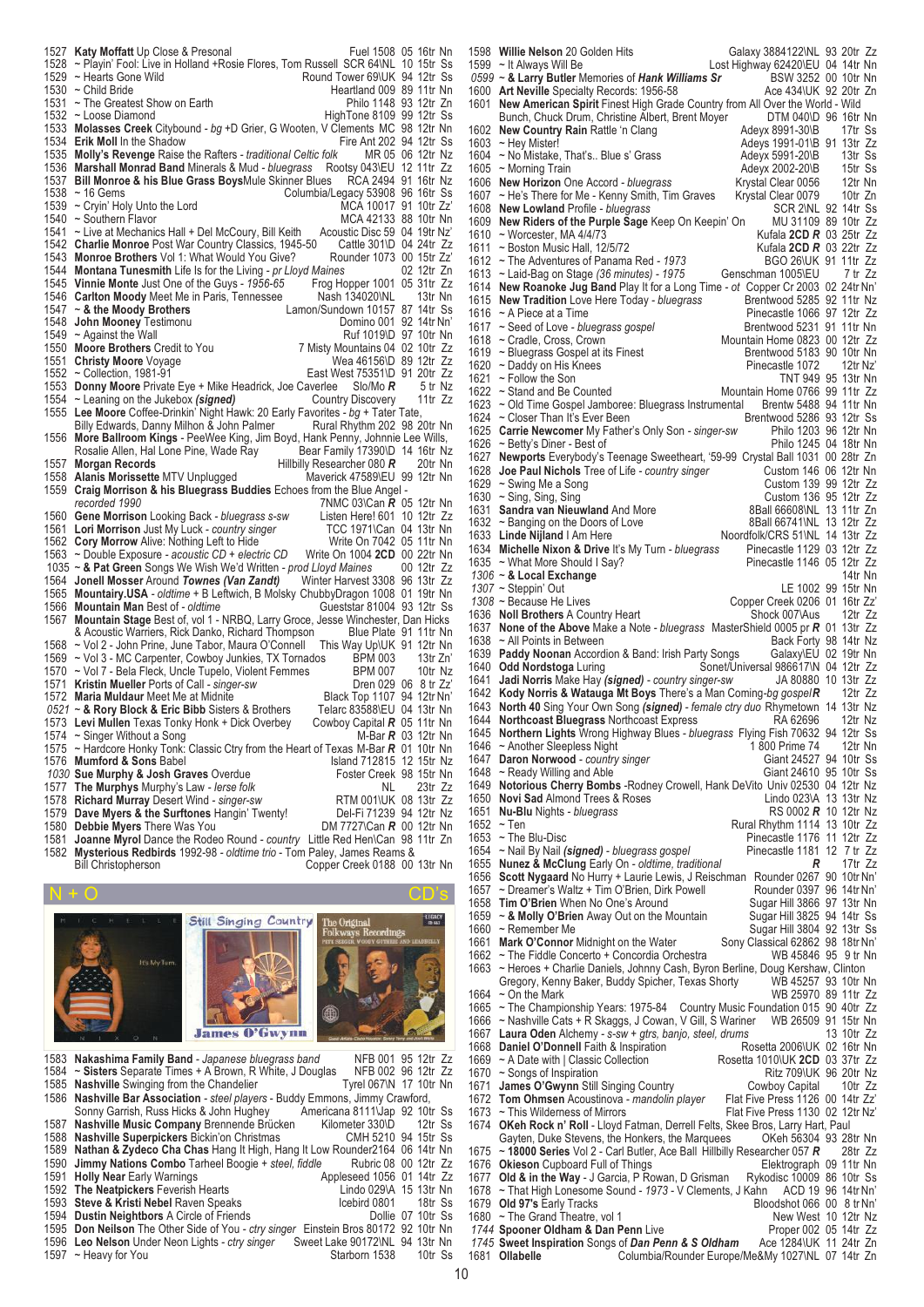|              | 1527 Katy Moffatt Up Close & Presonal                                                                                                                    | Fuel 1508 05 16tr Nn  |                  |  |
|--------------|----------------------------------------------------------------------------------------------------------------------------------------------------------|-----------------------|------------------|--|
|              | 1528 ~ Playin' Fool: Live in Holland +Rosie Flores, Tom Russell SCR 64\NL 10 15tr Ss                                                                     |                       |                  |  |
|              | 1529 ~ Hearts Gone Wild<br>Round Tower 69\UK 94 12tr Ss                                                                                                  |                       |                  |  |
|              | 1530 $\sim$ Child Bride<br>Heartland 009 89 11tr Nn                                                                                                      |                       |                  |  |
| 1531         | ~ The Greatest Show on Earth                                                                                                                             | Philo 1148 93 12tr Zn |                  |  |
|              | 1532 ~ Loose Diamond<br>HighTone 8109 99 12tr Ss                                                                                                         |                       |                  |  |
| 1533         | Molasses Creek Citybound - bg +D Grier, G Wooten, V Clements MC 98 12tr Nn                                                                               |                       |                  |  |
| 1534         | Fire Ant 202 94 12tr Ss<br><b>Erik Moll In the Shadow</b>                                                                                                |                       |                  |  |
|              | 1535 Molly's Revenge Raise the Rafters - traditional Celtic folk                                                                                         | MR 05 06 12tr Nz      |                  |  |
| 1536         | <b>Marshall Monrad Band Minerals &amp; Mud - bluegrass</b><br>Rootsy 043\EU 12 11tr Zz                                                                   |                       |                  |  |
| 1537         | Bill Monroe & his Blue Grass BoysMule Skinner Blues                                                                                                      | RCA 2494 91 16tr Nz   |                  |  |
| 1538         | Columbia/Legacy 53908 96 16tr Ss<br>$~16$ Gems                                                                                                           |                       |                  |  |
| 1539         | MCA 10017 91 10tr Zz'<br>$\sim$ Cryin' Holy Unto the Lord<br>1540 ~ Southern Flavor<br>MCA 42133 88 10tr Nn                                              |                       |                  |  |
|              | 1541 ~ Live at Mechanics Hall + Del McCoury, Bill Keith<br>Acoustic Disc 59 04 19tr Nz'                                                                  |                       |                  |  |
|              | 1542 Charlie Monroe Post War Country Classics, 1945-50<br>Cattle $301/D$ 04 24tr $Zz$                                                                    |                       |                  |  |
|              | 1543 Monroe Brothers Vol 1: What Would You Give?<br>Rounder 1073 00 15tr Zz'                                                                             |                       |                  |  |
| 1544         | <b>Montana Tunesmith</b> Life Is for the Living - pr Lloyd Maines                                                                                        |                       | 02 12tr Zn       |  |
|              | 1545 Vinnie Monte Just One of the Guys - 1956-65<br>Frog Hopper 1001 05 31tr Zz                                                                          |                       |                  |  |
|              | 1546 Carlton Moody Meet Me in Paris, Tennessee<br>Nash 134020\NL                                                                                         |                       | 13tr Nn          |  |
| 1547         | $\sim$ & the Moody Brothers<br>Lamon/Sundown 10157 87 14tr Ss                                                                                            |                       |                  |  |
| 1548         | Domino 001 92 14tr Nn'<br>John Mooney Testimonu                                                                                                          |                       |                  |  |
| 1549         | Ruf 1019\D 97 10tr Nn<br>$\sim$ Against the Wall                                                                                                         |                       |                  |  |
|              | 1550 Moore Brothers Credit to You<br>7 Misty Mountains 04 02 10tr Zz                                                                                     |                       |                  |  |
| 1551         | Wea 46156\D 89 12tr Zz<br><b>Christy Moore Voyage</b>                                                                                                    |                       |                  |  |
|              | East West 75351\D 91 20tr Zz<br>1552 ~ Collection, 1981-91                                                                                               |                       |                  |  |
| 1553         | Donny Moore Private Eye + Mike Headrick, Joe Caverlee<br>$S$ lo/Mo $R$                                                                                   |                       | 5 tr Nz          |  |
| 1554<br>1555 | ~ Leaning on the Jukebox (signed)<br><b>Country Discovery</b><br>Lee Moore Coffee-Drinkin' Night Hawk: 20 Early Favorites - bg + Tater Tate,             |                       | 11 $tr$ $Zz$     |  |
|              | Billy Edwards, Danny Milhon & John Palmer<br>Rural Rhythm 202 98 20tr Nn                                                                                 |                       |                  |  |
| 1556         | More Ballroom Kings - PeeWee King, Jim Boyd, Hank Penny, Johnnie Lee Wills,                                                                              |                       |                  |  |
|              | Rosalie Allen, Hal Lone Pine, Wade Ray<br>Bear Family 17390\D 14 16tr Nz                                                                                 |                       |                  |  |
| 1557         | <b>Morgan Records</b><br>Hillbilly Researcher 080 R                                                                                                      |                       | 20tr Nn          |  |
|              | 1558 Alanis Morissette MTV Unplugged<br>Maverick 47589\EU 99 12tr Nn                                                                                     |                       |                  |  |
|              | 1559 Craig Morrison & his Bluegrass Buddies Echoes from the Blue Angel -                                                                                 |                       |                  |  |
|              | recorded 1990<br>7NMC 03\Can <b>R</b> 05 12tr Nn                                                                                                         |                       |                  |  |
|              | 1560 Gene Morrison Looking Back - bluegrass s-sw<br>Listen Here! 601 10 12tr Zz                                                                          |                       |                  |  |
|              | 1561 Lori Morrison Just My Luck - country singer<br>TCC 1971\Can 04 13tr Nn                                                                              |                       |                  |  |
|              | 1562 Cory Morrow Alive: Nothing Left to Hide<br>Write On 7042 05 11tr Nn                                                                                 |                       |                  |  |
|              | 1563 ~Double Exposure - <i>acoustic CD</i> + <i>electric CD</i> Write On 1004 <b>2CD</b> 00 22tr Nn                                                      |                       |                  |  |
|              | 1035 ~ & Pat Green Songs We Wish We'd Written - prod Lloyd Maines                                                                                        |                       | 00 12tr Zz       |  |
|              | 1564 Jonell Mosser Around Townes (Van Zandt)<br>Winter Harvest 3308 96 13tr Zz                                                                           |                       |                  |  |
|              | 1565 Mountairy.USA - oldtime + B Leftwich, B Molsky ChubbyDragon 1008 01 19tr Nn                                                                         |                       |                  |  |
|              | 1566 Mountain Man Best of - oldtime<br>Gueststar 81004 93 12tr Ss<br>1567 Mountain Stage Best of, vol 1 - NRBQ, Larry Groce, Jesse Winchester, Dan Hicks |                       |                  |  |
|              | & Acoustic Warriers, Rick Danko, Richard Thompson Blue Plate 91 11tr Nn                                                                                  |                       |                  |  |
|              | 1568 ~ Vol 2 - John Prine, June Tabor, Maura O'Connell<br>This Way Up\UK 91 12tr Nn                                                                      |                       |                  |  |
|              | 1569 ~ Vol 3 - MC Carpenter, Cowboy Junkies, TX Tornados<br><b>BPM 003</b>                                                                               |                       | 13tr Zn'         |  |
|              | 1570 ~ Vol 7 - Bela Fleck, Uncle Tupelo, Violent Femmes<br>BPM 007                                                                                       |                       | 10tr Nz          |  |
|              | 1571 Kristin Mueller Ports of Call - singer-sw                                                                                                           | Dren 029 06 8 tr Zz'  |                  |  |
|              | Black Top 1107 94 12tr Nn'<br>1572 Maria Muldaur Meet Me at Midnite                                                                                      |                       |                  |  |
|              | 0521 ~ & Rory Block & Eric Bibb Sisters & Brothers<br>Telarc 83588\EU 04 13tr Nn                                                                         |                       |                  |  |
|              | 1573 Levi Mullen Texas Tonky Honk + Dick Overbey<br>Cowboy Capital R 05 11tr Nn                                                                          |                       |                  |  |
|              | 1574 ~ Singer Without a Song                                                                                                                             | M-Bar $R$ 03 12tr Nn  |                  |  |
|              | 1575 ~ Hardcore Honky Tonk: Classic Ctry from the Heart of Texas M-Bar R 01 10tr Nn                                                                      |                       |                  |  |
|              | 1576 Mumford & Sons Babel<br>Island 712815 12 15tr Nz                                                                                                    |                       |                  |  |
|              | 1030 Sue Murphy & Josh Graves Overdue<br>Foster Creek 98 15tr Nn<br>1577 The Murphys Murphy's Law - lerse folk                                           | NL.                   | 23tr Zz          |  |
|              | 1578 Richard Murray Desert Wind - singer-sw<br>RTM 001\UK 08 13tr Zz                                                                                     |                       |                  |  |
|              | 1579 Dave Myers & the Surftones Hangin' Twenty!<br>Del-Fi 71239 94 12tr Nz                                                                               |                       |                  |  |
|              | 1580 Debbie Myers There Was You<br>DM 7727\Can $R$ 00 12tr Nn                                                                                            |                       |                  |  |
| 1581         | <b>Joanne Myrol</b> Dance the Rodeo Round - country Little Red Hen\Can 98 11tr Zn                                                                        |                       |                  |  |
|              | 1582 Mysterious Redbirds 1992-98 - oldtime trio - Tom Paley, James Reams &                                                                               |                       |                  |  |
|              | <b>Bill Christopherson</b><br>Copper Creek 0188 00 13tr Nn                                                                                               |                       |                  |  |
|              |                                                                                                                                                          |                       |                  |  |
|              | 0                                                                                                                                                        |                       |                  |  |
|              |                                                                                                                                                          |                       |                  |  |
|              | Still Singing Country<br>The Original                                                                                                                    |                       | LEGACY<br>CD 463 |  |
|              | Folkways Recordings<br>PETU SEDGEL WOODY GUTHILL AND LEADBELLY                                                                                           |                       |                  |  |
|              |                                                                                                                                                          |                       |                  |  |
|              | It's My Turn                                                                                                                                             |                       |                  |  |

| <b>James O'Gwynn</b>                                                                |
|-------------------------------------------------------------------------------------|
| NFB 001 95 12tr Zz<br>1583 Nakashima Family Band - Japanese bluegrass band          |
| 1584 ~ Sisters Separate Times + A Brown, R White, J Douglas NFB 002 96 12tr Zz      |
| 1585 Nashville Swinging from the Chandelier<br>Tyrel 067\N 17 10tr Nn               |
| Nashville Bar Association - steel players - Buddy Emmons, Jimmy Crawford,           |
| Sonny Garrish, Russ Hicks & John Hughey Americana 8111\Jap 92 10tr Ss               |
| 1587 Nashville Music Company Brennende Brücken Kilometer 330\D 12tr Ss              |
| 1588 Nashville Superpickers Bickin'on Christmas CMH 5210 94 15tr Ss                 |
| 1589 Nathan & Zydeco Cha Chas Hang It High, Hang It Low Rounder2164 06 14tr Nn      |
| Jimmy Nations Combo Tarheel Boogie + steel, fiddle<br>Rubric 08 00 12tr Zz          |
| <b>Holly Near Early Warnings</b><br>Appleseed 1056 01 14tr Zz                       |
| The Neatpickers Feverish Hearts<br>Lindo 029\A 15 13tr Nn                           |
| 1593 Steve & Kristi Nebel Raven Speaks<br>Icebird 0801<br>18tr Ss                   |
| 1594 Dustin Neightbors A Circle of Friends<br>Dollie 07 10tr Ss                     |
| 1595 Don Neilson The Other Side of You - ctry singer Einstein Bros 80172 92 10tr Nn |
| Sweet Lake 90172\NL 94 13tr Nn<br>1596 Leo Nelson Under Neon Lights - ctry singer   |
| Starborn 1538<br>10tr Ss<br>~ Heavy for You                                         |
| 1592                                                                                |

|      | Galaxy 3884122\NL 93 20tr Zz<br>1598 Willie Nelson 20 Golden Hits                                                                                              |            |  |
|------|----------------------------------------------------------------------------------------------------------------------------------------------------------------|------------|--|
|      | Lost Highway 62420\EU 04 14tr Nn<br>1599 ~ It Always Will Be                                                                                                   |            |  |
|      | 0599 ~ & Larry Butler Memories of Hank Williams Sr<br>BSW 3252 00 10tr Nn                                                                                      |            |  |
|      | 1600 Art Neville Specialty Records: 1956-58<br>Ace 434\UK 92 20tr Zn                                                                                           |            |  |
|      | 1601 New American Spirit Finest High Grade Country from All Over the World - Wild                                                                              |            |  |
|      | DTM 040\D 96 16tr Nn<br>Bunch, Chuck Drum, Christine Albert, Brent Moyer                                                                                       |            |  |
|      | 1602 New Country Rain Rattle 'n Clang<br>Adeyx 8991-30\B                                                                                                       | 17tr Ss    |  |
|      | Adeys 1991-01\B 91 13tr Zz<br>1603 ~ Hey Mister!                                                                                                               |            |  |
|      | 1604 ~ No Mistake, That's Blue s' Grass<br>Adeyx 5991-20\B                                                                                                     | 13tr Ss    |  |
|      | 1605 ~ Morning Train<br>Adeyx 2002-20\B                                                                                                                        | 15tr Ss    |  |
|      | 1606 New Horizon One Accord - bluegrass<br>Krystal Clear 0056<br>Krystal Clear 0079 10tr Zn                                                                    | 12tr Nn    |  |
|      | 1607 ~ He's There for Me - Kenny Smith, Tim Graves                                                                                                             |            |  |
|      | 1608 New Lowland Profile - bluegrass<br>SCR 2\NL 92 14tr Ss<br>MU 31109 89 10tr Zz                                                                             |            |  |
|      | 1609 New Riders of the Purple Sage Keep On Keepin' On<br>Kufala 2CD R 03 25tr Zz<br>1610 ~ Worcester, MA 4/4/73                                                |            |  |
|      | 1611 ~ Boston Music Hall, 12/5/72<br>Kufala $2CD R$ 03 22tr $Zz$                                                                                               |            |  |
|      | 1612 ~ The Adventures of Panama Red - 1973<br>BGO 26\UK 91 11tr Zz                                                                                             |            |  |
|      | 1613 ~ Laid-Bag on Stage (36 minutes) - 1975<br>Genschman 1005\EU                                                                                              | 7 tr Zz    |  |
|      | 1614 New Roanoke Jug Band Play It for a Long Time - of Copper Cr 2003 02 24tr Nn'                                                                              |            |  |
|      | Brentwood 5285 92 11tr Nz<br>1615 New Tradition Love Here Today - bluegrass                                                                                    |            |  |
|      | 1616 $\sim$ A Piece at a Time<br>Pinecastle 1066 97 12tr Zz                                                                                                    |            |  |
|      | 1617 ~ Seed of Love - bluegrass gospel<br>Brentwood 5231 91 11tr Nn                                                                                            |            |  |
|      | Mountain Home 0823 00 12tr Zz<br>1618 ~ Cradle, Cross, Crown                                                                                                   |            |  |
|      | 1619 ~ Bluegrass Gospel at its Finest<br>Brentwood 5183 90 10tr Nn                                                                                             |            |  |
|      | 1620 ~ Daddy on His Knees<br>Pinecastle 1072                                                                                                                   | 12tr Nz'   |  |
|      | 1621 $\sim$ Follow the Son<br>TNT 949 95 13tr Nn                                                                                                               |            |  |
|      | 1622 ~ Stand and Be Counted<br>Mountain Home 0766 99 11tr Zz                                                                                                   |            |  |
|      | 1623 ~ Old Time Gospel Jamboree: Bluegrass Instrumental<br>Brentw 5488 94 11tr Nn                                                                              |            |  |
|      | 1624 ~ Closer Than It's Ever Been<br>Brentwood 5286 93 12tr Ss                                                                                                 |            |  |
|      | 1625 Carrie Newcomer My Father's Only Son - singer-sw<br>Philo 1203 96 12tr Nn                                                                                 |            |  |
|      | 1626 ~ Betty's Diner - Best of<br>Philo 1245 04 18tr Nn                                                                                                        |            |  |
|      | 1627 Newports Everybody's Teenage Sweetheart, '59-99 Crystal Ball 1031 00 28tr Zn                                                                              |            |  |
|      | 1628 Joe Paul Nichols Tree of Life - country singer<br>Custom 146 06 12tr Nn<br>1629 ~ Swing Me a Song<br>Custom 139 99 12tr Zz                                |            |  |
|      | 1630 ~ Sing, Sing, Sing<br>Custom 136 95 12tr Zz                                                                                                               |            |  |
|      | 8Ball 66608\NL 13 11tr Zn<br>1631 Sandra van Nieuwland And More                                                                                                |            |  |
|      | 1632 ~ Banging on the Doors of Love<br>8Ball 66741\NL 13 12tr Zz                                                                                               |            |  |
|      | 1633 Linde Nijland   Am Here<br>Noordfolk/CRS 51\NL 14 13tr Zz                                                                                                 |            |  |
|      | 1634 Michelle Nixon & Drive It's My Turn - bluegrass<br>Pinecastle 1129 03 12tr Zz                                                                             |            |  |
|      | Pinecastle 1146 05 12tr Zz<br>1635 ~ What More Should I Say?                                                                                                   |            |  |
|      | 1306 $\sim$ & Local Exchange                                                                                                                                   | 14tr Nn    |  |
|      | 1307 ~ Steppin' Out<br>LE 1002 99 15tr Nn                                                                                                                      |            |  |
|      | Copper Creek 0206 01 16tr Zz'<br>$1308 \sim$ Because He Lives                                                                                                  |            |  |
|      | Shock 007\Aus 12tr Zz<br>1636 Noll Brothers A Country Heart                                                                                                    |            |  |
|      | 1637 None of the Above Make a Note - bluegrass MasterShield 0005 pr R 01 13tr Zz                                                                               |            |  |
|      | 1638 ~ All Points in Between<br>Back Forty 98 14tr Nz                                                                                                          |            |  |
|      | 1639 Paddy Noonan Accordion & Band: Irish Party Songs<br>Galaxy\EU 02 19tr Nn                                                                                  |            |  |
|      | 1640 Odd Nordstoga Luring<br>Sonet/Universal 986617\N 04 12tr Zz                                                                                               |            |  |
|      | 1641 Jadi Norris Make Hay (signed) - country singer-sw<br>JA 80880 10 13tr Zz                                                                                  |            |  |
|      | 1642 Kody Norris & Watauga Mt Boys There's a Man Coming-bg gospelR 12tr Zz<br>1643 North 40 Sing Your Own Song (signed) - female ctry duo Rhymetown 14 13tr Nz |            |  |
|      | 1644 Northcoast Bluegrass Northcoast Express<br>RA 62696                                                                                                       | 12tr Nz    |  |
|      | 1645 Northern Lights Wrong Highway Blues - bluegrass Flying Fish 70632 94 12tr Ss                                                                              |            |  |
|      | 1646 ~ Another Sleepless Night<br>1 800 Prime 74                                                                                                               | 12tr Nn    |  |
|      | 1647 Daron Norwood - country singer<br>Giant 24527 94 10tr Ss                                                                                                  |            |  |
|      | 1648 ~ Ready Willing and Able<br>Giant 24610 95 10tr Ss                                                                                                        |            |  |
|      | 1649 Notorious Cherry Bombs - Rodney Crowell, Hank DeVito Univ 02530 04 12tr Nz                                                                                |            |  |
|      | Lindo 023\A 13 13tr Nz<br>1650 Novi Sad Almond Trees & Roses                                                                                                   |            |  |
| 1651 | RS 0002 R 10 12tr Nz<br><b>Nu-Blu Nights - bluegrass</b>                                                                                                       |            |  |
|      | Rural Rhythm 1114 13 10tr Zz<br>1652 ~ Ten                                                                                                                     |            |  |
|      | Pinecastle 1176 11 12tr Zz<br>1653 ~ The Blu-Disc                                                                                                              |            |  |
|      | 1654 ~ Nail By Nail (signed) - bluegrass gospel<br>Pinecastle 1181 12 7 tr Zz<br>R                                                                             |            |  |
|      | 1655 Nunez & McClung Early On - oldtime, traditional<br>1656 Scott Nygaard No Hurry + Laurie Lewis, J Reischman Rounder 0267 90 10tr Nn'                       | 17tr Zz    |  |
|      | 1657 ~ Dreamer's Waltz + Tim O'Brien, Dirk Powell<br>Rounder 0397 96 14tr Nn'                                                                                  |            |  |
|      | 1658 Tim O'Brien When No One's Around<br>Sugar Hill 3866 97 13tr Nn                                                                                            |            |  |
|      | 1659 ~ & Molly O'Brien Away Out on the Mountain<br>Sugar Hill 3825 94 14tr Ss                                                                                  |            |  |
|      | Sugar Hill 3804 92 13tr Ss<br>1660 ~ Remember Me                                                                                                               |            |  |
|      | 1661 Mark O'Connor Midnight on the Water<br>Sony Classical 62862 98 18tr Nn'                                                                                   |            |  |
|      | 1662 ~ The Fiddle Concerto + Concordia Orchestra<br>WB 45846 95 9 tr Nn                                                                                        |            |  |
|      | 1663 ~ Heroes + Charlie Daniels, Johnny Cash, Byron Berline, Doug Kershaw, Clinton                                                                             |            |  |
|      | Gregory, Kenny Baker, Buddy Spicher, Texas Shorty<br>WB 45257 93 10tr Nn                                                                                       |            |  |
|      | WB 25970 89 11tr Zz<br>1664 $\sim$ On the Mark                                                                                                                 |            |  |
|      | 1665 ~ The Championship Years: 1975-84 Country Music Foundation 015 90 40tr Zz                                                                                 |            |  |
|      | 1666 ~ Nashville Cats + R Skaggs, J Cowan, V Gill, S Wariner WB 26509 91 15tr Nn<br>1667 Laura Oden Alchemy - s-sw + gtrs, banjo, steel, drums                 | 13 10tr Zz |  |
|      | Rosetta 2006\UK 02 16tr Nn<br>1668 Daniel O'Donnell Faith & Inspiration                                                                                        |            |  |
|      | Rosetta 1010\UK 2CD 03 37tr Zz<br>1669 ~ A Date with   Classic Collection                                                                                      |            |  |
|      | Ritz 709\UK 96 20tr Nz<br>1670 $\sim$ Songs of Inspiration                                                                                                     |            |  |
|      | 1671 James O'Gwynn Still Singing Country<br>Cowboy Capital 10tr Zz                                                                                             |            |  |
|      | 1672 Tom Ohmsen Acoustinova - mandolin player<br>Flat Five Press 1126 00 14tr Zz'                                                                              |            |  |
|      | 1673 ~ This Wilderness of Mirrors<br>Flat Five Press 1130 02 12tr Nz'                                                                                          |            |  |
|      | 1674 OKeh Rock n' Roll - Lloyd Fatman, Derrell Felts, Skee Bros, Larry Hart, Paul                                                                              |            |  |
|      | Gayten, Duke Stevens, the Honkers, the Marquees<br>OKeh 56304 93 28tr Nn                                                                                       |            |  |
|      | 1675 ~ 18000 Series Vol 2 - Carl Butler, Ace Ball Hillbilly Researcher 057 R                                                                                   | 28tr Zz    |  |
|      | 1676 Okieson Cupboard Full of Things<br>Elektrograph 09 11tr Nn                                                                                                |            |  |
|      | 1677 Old & in the Way - J Garcia, P Rowan, D Grisman<br>Rykodisc 10009 86 10tr Ss                                                                              |            |  |
|      | 1678 ~ That High Lonesome Sound - 1973 - V Clements, J Kahn ACD 19 96 14tr Nn'<br>Bloodshot 066 00 8 tr Nn'<br>1679 Old 97's Early Tracks                      |            |  |
|      | 1680 ~ The Grand Theatre, vol 1<br>New West 10 12tr Nz                                                                                                         |            |  |
|      | 1744 Spooner Oldham & Dan Penn Live<br>Proper 002 05 14tr Zz                                                                                                   |            |  |
|      | Ace 1284\UK 11 24tr Zn<br>1745 Sweet Inspiration Songs of Dan Penn & S Oldham                                                                                  |            |  |
|      | 1681 Ollabelle<br>Columbia/Rounder Europe/Me&My 1027\NL 07 14tr Zn                                                                                             |            |  |
|      |                                                                                                                                                                |            |  |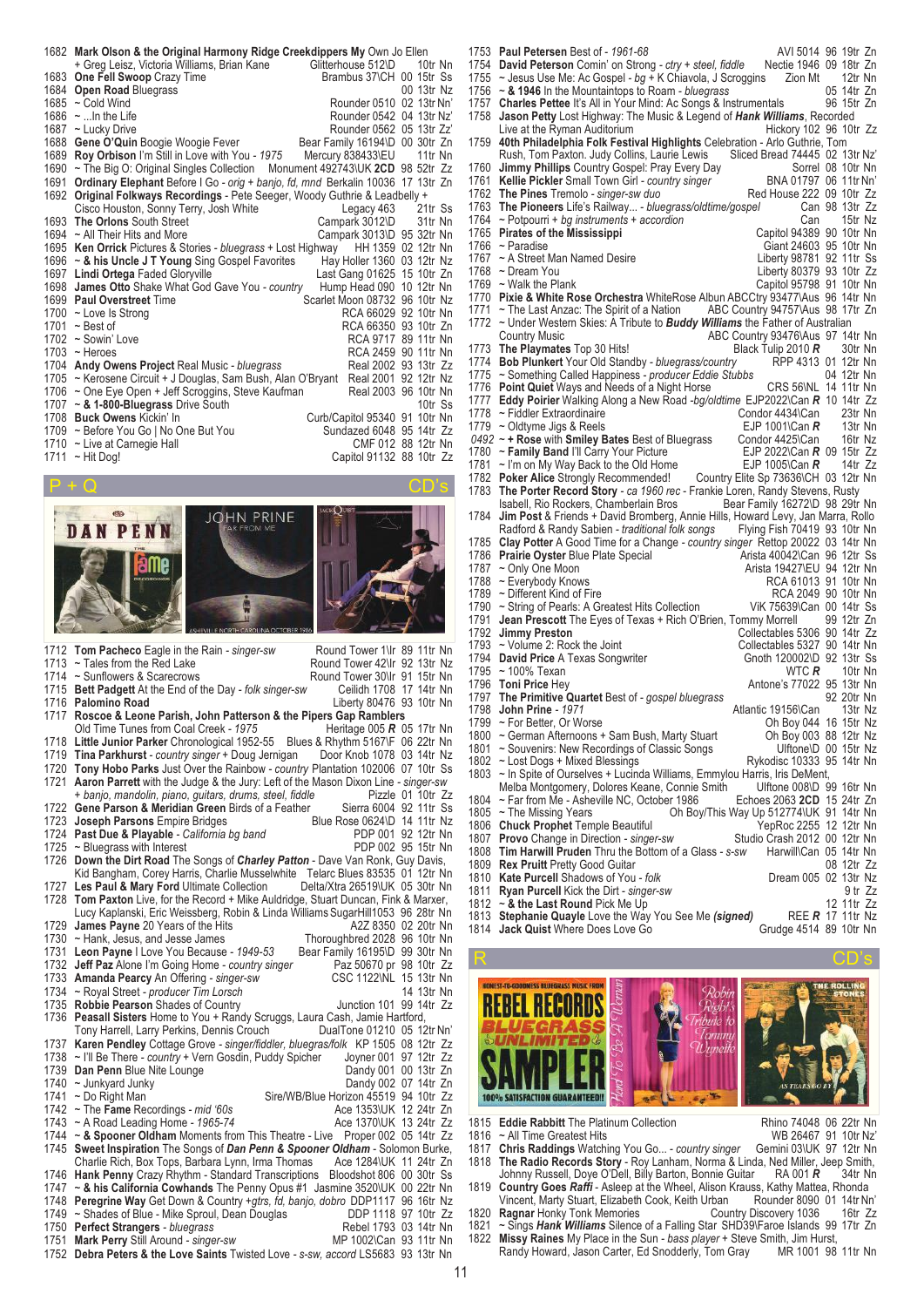|                           | 1682 Mark Olson & the Original Harmony Ridge Creekdippers My Own Jo Ellen         |                               | 10tr Nn            |
|---------------------------|-----------------------------------------------------------------------------------|-------------------------------|--------------------|
|                           | + Greg Leisz, Victoria Williams, Brian Kane Glitterhouse 512\D                    |                               |                    |
| 1683                      | One Fell Swoop Crazy Time                                                         | Brambus 37\CH 00 15tr Ss      |                    |
| 1684<br>1685              | <b>Open Road Bluegrass</b><br>$\sim$ Cold Wind                                    | Rounder 0510 02 13tr Nn'      | 00 13tr Nz         |
|                           |                                                                                   |                               |                    |
|                           | 1686 $\sim$ In the Life                                                           | Rounder 0542 04 13tr Nz'      |                    |
|                           | 1687 ~ Lucky Drive                                                                | Rounder 0562 05 13tr Zz'      |                    |
| 1688                      | Gene O'Quin Boogie Woogie Fever Bear Family 16194\D 00 30tr Zn                    |                               |                    |
| 1689                      | Roy Orbison I'm Still in Love with You - 1975 Mercury 838433\EU                   |                               | 11tr Nn            |
| 1690                      | ~ The Big O: Original Singles Collection  Monument 492743\UK 2CD 98 52tr Zz       |                               |                    |
| 1691                      | Ordinary Elephant Before I Go - orig + banjo, fd, mnd Berkalin 10036 17 13tr Zn   |                               |                    |
| 1692                      | Original Folkways Recordings - Pete Seeger, Woody Guthrie & Leadbelly +           |                               |                    |
|                           | Cisco Houston, Sonny Terry, Josh White                                            | Legacy 463 21tr Ss            |                    |
| 1693                      | The Orlons South Street                                                           | Campark 3012\D                | 31tr Nn            |
|                           | 1694 $\sim$ All Their Hits and More                                               | Campark 3013\D 95 32tr Nn     |                    |
|                           | 1695 Ken Orrick Pictures & Stories - bluegrass + Lost Highway HH 1359 02 12tr Nn  |                               |                    |
|                           | 1696 ~ & his Uncle J T Young Sing Gospel Favorites                                | Hay Holler 1360 03 12tr Nz    |                    |
| 1697                      | <b>Lindi Ortega Faded Gloryville</b>                                              | Last Gang 01625 15 10tr Zn    |                    |
|                           | 1698 James Otto Shake What God Gave You - country                                 | Hump Head 090 10 12tr Nn      |                    |
|                           | 1699 Paul Overstreet Time                                                         | Scarlet Moon 08732 96 10tr Nz |                    |
|                           | 1700 ~ Love Is Strong                                                             | RCA 66029 92 10tr Nn          |                    |
| 1701                      | $\sim$ Best of                                                                    | RCA 66350 93 10tr Zn          |                    |
| 1702                      | $\sim$ Sowin' Love                                                                | RCA 9717 89 11tr Nn           |                    |
|                           | $1703$ ~ Heroes                                                                   | RCA 2459 90 11tr Nn           |                    |
|                           | 1704 Andy Owens Project Real Music - bluegrass                                    | Real 2002 93 13tr Zz          |                    |
|                           | 1705 ~ Kerosene Circuit + J Douglas, Sam Bush, Alan O'Bryant Real 2001 92 12tr Nz |                               |                    |
| 1706                      | ~ One Eye Open + Jeff Scroggins, Steve Kaufman                                    | Real 2003 96 10tr Nn          |                    |
|                           | 1707 $\sim$ & 1-800-Bluegrass Drive South                                         |                               | 10tr Ss            |
|                           | 1708 Buck Owens Kickin' In                                                        | Curb/Capitol 95340 91 10tr Nn |                    |
|                           | 1709 ~ Before You Go   No One But You                                             | Sundazed 6048 95 14tr Zz      |                    |
|                           | 1710 ~ Live at Carnegie Hall                                                      |                               | CMF 012 88 12tr Nn |
|                           | 1711 ~ Hit Dog!                                                                   | Capitol 91132 88 10tr Zz      |                    |
|                           |                                                                                   |                               |                    |
| $\mathbf{B}$ $\mathbf{A}$ |                                                                                   |                               | $\sim$ $\sim$      |



1715 **Bett Padgett** At the End of the Day *- folk singer-sw* 1716 **Palomino Road** 1716 **Palomino Road** Liberty 80476 93 10tr Nn<br>1717 **Roscoe & Leone Parish, John Patterson & the Pipers Gap Ramblers Roscoe & Leone Parish, John Patterson & the Pipers Gap Ramblers**<br>Old Time Tunes from Coal Creek - 1975<br>Heritage 005 R 05 17tr Nn Old Time Tunes from Coal Creek - 1975 1718 **Little Junior Parker** Chronological 1952-55 Blues & Rhythm 5167\F 06 22tr Nn 1719 **Tina Parkhurst** *- country singer* + Doug Jernigan Door Knob 1078 03 14tr Nz 1720 **Tony Hobo Parks** Just Over the Rainbow *- country* Plantation 102006 07 10tr Ss 1721 **Aaron Parrett** with the Judge & the Jury: Left of the Mason Dixon Line *- singer-sw + banjo, mandolin, piano, guitars, drums, steel, fiddle* Pizzle 01 10tr Zz 1722 **Gene Parson & Meridian Green** Birds of a Feather Sierra 6004 92 11tr Ss 1723 **Joseph Parsons** Empire Bridges<br>1723 **Joseph Parsons** Empire Bridges<br>1724 **Past Due & Playable** - California bg band<br>1724 **Past Due & Playable** - California bg band<br>1821 212 **PDP** 001 92 1724 **Past Due & Playable** *- California bg band* PDP 001 92 12tr Nn 1725 ~ Bluegrass with Interest **PDP 002 95 15tr Nn** 1726 **Down the Dirt Road** The Songs of *Charley Patton* - Dave Van Ronk, Guy Davis, Kid Bangham, Corey Harris, Charlie Musselwhite Telarc Blues 83535 01 12tr Nn 1727 **Les Paul & Mary Ford** Ultimate Collection Delta/Xtra 26519\UK 05 30tr Nn 1728 **Tom Paxton** Live, for the Record + Mike Auldridge, Stuart Duncan, Fink & Marxer, Lucy Kaplanski, Eric Weissberg, Robin & Linda Williams SugarHill1053 96 28tr Nn<br>James Pavne 20 Years of the Hits<br>A2Z 8350 02 20tr Nn 1729 **James Payne** 20 Years of the Hits **A2Z 8350 02 20tr Nn**<br>1730 ~ Hank, Jesus, and Jesse James **Thoroughbred** 2028 96 10tr Nn 1730 ~ Hank, Jesus, and Jesse James<br>1731 Leon Payne I Love You Because - 1949-53 Bear Family 16195\D 99 30tr Nn 1731 **Leon Payne** I Love You Because *- 1949-53* Bear Family 16195\D 99 30tr Nn 1732 **Jeff Paz** Alone I'm Going Home *- country singer* Paz 50670 pr 98 10tr Zz 1733 **Amanda Pearcy** An Offering *- singer-sw* CSC 1122\NL 15 13tr Nn<br>1734 ~ Royal Street *- producer Tim Lorsch* CSC 1122\NL 15 13tr Nn 1734 ~ Royal Street *- producer Tim Lorsch* 14 13tr Nn 1735 **Robbie Pearson** Shades of Country<br>1736 **Peasall Sisters** Home to You + Ran 1736 **Peasall Sisters** Home to You + Randy Scruggs, Laura Cash, Jamie Hartford, Tony Harrell, Larry Perkins, Dennis Crouch 1737 **Karen Pendley** Cottage Grove *- singer/fiddler, bluegras/folk* KP 1505 08 12tr Zz 1738 ~ I'll Be There *- country* + Vern Gosdin, Puddy Spicher Joyner 001 97 12tr Zz 1739 **Dan Penn** Blue Nite Lounge **Dance Communist Communist Communist Communist Communist Communist Communist Communist Communist Communist Communist Communist Communist Communist Communist Communist Communist Communist Co** 1740 ~ Junkyard Junky<br>1741 ~ Do Right Man Sire/WB/Blue Horizon 45519 94 10tr Zz<br>Ace 1353\UK 12 24tr Zn 1742 ~ The **Fame** Recordings *- mid '60s* Ace 1353\UK 12 24tr Zn <br>1743 ~ A Road Leading Home *- 1965-74* Ace 1370\UK 13 24tr Zz 1743 ~ A Road Leading Home - 1965-74 1744 ~ & Spooner Oldham Moments from This Theatre - Live Proper 002 05 14tr Zz<br>1745 Sweet Inspiration The Songs of *Dan Penn & Spooner Oldham* - Solomon Burke, **Sweet Inspiration** The Songs of *Dan Penn & Spooner Oldham* - Solomon Burke, Charlie Rich, Box Tops, Barbara Lynn, Irma Thomas Ace 1284\UK 11 24tr Zn Charlie Rich, Box Tops, Barbara Lynn, Irma Thomas 1746 **Hank Penny** Crazy Rhythm - Standard Transcriptions Bloodshot 806 00 30tr Ss ~ & his California Cowhands The Penny Opus #1 Jasmine 3520\UK 00 22tr Nn 1748 **Peregrine Way** Get Down & Country *+gtrs, fd, banjo, dobro* DDP1117 96 16tr Nz 1749 ~ Shades of Blue - Mike Sproul, Dean Douglas DDP 1118 97 10tr Zz 1750 **Perfect Strangers** *- bluegrass* Rebel 1793 03 14tr Nn<br>1751 **Mark Perry** Still Around *- singer-sw* Rebel 17902\Can 93 11tr Nn

- 1751 Mark Perry Still Around singer-sw 1752 **Debra Peters & the Love Saints** Twisted Love *- s-sw, accord* LS5683 93 13tr Nn
- 

1753 **Paul Petersen** Best of *- 1961-68* AVI 5014 96 19tr Zn 1754 **David Peterson** Comin' on Strong *- ctry + steel, fiddle* Nectie 1946 09 18tr Zn 1755 ~ Jesus Use Me: Ac Gospel *- bg* + K Chiavola, J Scroggins Zion Mt 12tr Nn<br>1756 ~ **& 1946** In the Mountaintops to Roam *- bluegrass* 05 14tr Zn 1756 ~ **& 1946** In the Mountaintops to Roam *- bluegrass* 05 14tr Zn 1757 **Charles Pettee** It's All in Your Mind: Ac Songs & Instrumentals 1758 Jason Petty Lost Highway: The Music & Legend of Hank Willi 1758 **Jason Petty** Lost Highway: The Music & Legend of *Hank Williams*, Recorded Live at the Ryman Auditorium 1759 **40th Philadelphia Folk Festival Highlights** Celebration - Arlo Guthrie, Tom Rush, Tom Paxton. Judy Collins, Laurie Lewis Sliced Bread 74445 02 13tr Nz'<br>Jimmy Phillins Country Gospel: Pray Every Day 1760 **Jimmy Phillips** Country Gospel: Pray Every Day<br>1760 **Jimmy Phillips** Country Gospel: Pray Every Day Sorrel 08 10tr Nn<br>1761 **Kellie Pickler** Small Town Girl - *country singer* BNA 01797 06 11tr Nn 1761 **Kellie Pickler** Small Town Girl *- country singer* BNA 01797 06 11tr Nn'<br>1762 The Pines Tremolo - *singer-sw duo*<br>1762 The Pines Tremolo - *singer-sw duo* The Pines Tremolo - *singer-sw duo*<br>
The Pinesers Life's Railway... - *bluegrass/oldtime/gospel* Can 98 13tr Zz 1763 **The Pioneers** Life's Railway... *- bluegrass/oldtime/gospel* Can 98 13tr Zz 1764 ~ Potpourri + bg instruments + accordion can can 15tr Nz 1765 **Pirates of the Mississippi** Capitol 94389 90 10tr Nn 1766 ~ Paradise Giant 24603 95 10tr Nn<br>1767 ~ A Street Man Named Desire Giant 24603 95 10tr Nn<br>1767 ~ A Street Man Named Desire Giant 250 11tr Ss 1767 ~ A Street Man Named Desire<br>1768 ~ Dream You Named Desire Liberty 98781 92 11tr Ss 1768 ~ Dream You **Liberty 80379 93 10tr** Zz 1769 ~ Walk the Plank Capitol 95798 91 10tr Nn 1770 **Pixie & White Rose Orchestra** WhiteRose Albun ABCCtry 93477\Aus 96 14tr Nn 1771 ~ The Last Anzac: The Spirit of a Nation 1772 ~ Under Western Skies: A Tribute to **Bud** 1772 ~ Under Western Skies: A Tribute to *Buddy Williams* the Father of Australian ABC Country 93476\Aus 97 14tr Nn<br>Black Tulip 2010  $\mathbb{R}$  30tr Nn 1773 The Playmates Top 30 Hits!<br>1774 **Bob Plunkert** Your Old Standby - *bluegrass/country* RPP 4313 01 12tr Nn 1774 **Bob Plunkert** Your Old Standby *- bluegrass/country* RPP 4313 01 12tr Nn<br>1775 ~ Something Called Happiness *- producer Eddie Stubbs* 04 12tr Nn 1775 ~ Something Called Happiness *- producer Eddie Stubbs* 04 12tr Nn 1776 **Point Quiet** Ways and Needs of a Night Horse CRS 56\NL 14 11tr Nn 1777 **Eddy Poirier** Walking Along a New Road *-bg/oldtime* EJP2022\Can *R* 10 14tr Zz 1778 ~ Fiddler Extraordinaire Condor 4434\Can 23tr Nn<br>1779 ~ Oldtyme Jigs & Reels Condor CDIP 1001\Can R 13tr Nn <sup>2</sup> Oldtyme Jigs & Reels **EJP 1001\Can** *R* 13tr Nn <br>217 Hose with Smiley Bates Best of Bluegrass Condor 4425\Can 16tr Nz *0492* ~ **+ Rose** with **Smiley Bates** Best of Bluegrass Condor 4425\Can 16tr Nz 1780 ~ **Family Band** I'll Carry Your Picture EJP 2022\Can **R** 09 15tr Zz<br>1781 ~ I'm on My Way Back to the Old Home EJP 1005\Can **R** 14tr Zz 1781 ~ I'm on My Way Back to the Old Home<br>1782 **Poker Alice** Strongly Recommended! 1782 **Poker Alice** Strongly Recommended! Country Elite Sp 73636\CH 03 12tr Nn<br>1783 The Porter Record Story - ca 1960 rec - Frankie Loren, Randy Stevens, Rusty **The Porter Record Story** *- ca 1960 rec* - Frankie Loren, Randy Stevens, Rusty<br>
Isabell, Rio Rockers, Chamberlain Bros<br>
Bear Family 16272\D 98 29tr Nn Isabell, Rio Rockers, Chamberlain Bros 1784 **Jim Post** & Friends + David Bromberg, Annie Hills, Howard Levy, Jan Marra, Rollo Radford & Randy Sabien - traditional folk songs 1785 **Clay Potter** A Good Time for a Change *- country singer* Rettop 20022 03 14tr Nn 1786 **Prairie Oyster** Blue Plate Special 1787 ~ Only One Moon 1787 ~ Only One Moon **Arista 19427\EU 94 12tr Nn**<br>1788 ~ Everybody Knows **Arista 19427\EU 94 12tr Nn** 1788 ~ Everybody Knows RCA 61013 91 10tr Nn 1789 ~ Different Kind of Fire RCA 2049 90 10tr Nn 1790 ~ String of Pearls: A Greatest Hits Collection Vik 75639\Can 00 14tr Ss 1790 ~ String of Pearls: A Greatest Hits Collection ViK 75639\Can 00 14tr Ss<br>1791 Jean Prescott The Eyes of Texas + Rich O'Brien, Tommy Morrell 99 12tr Zn 1791 **Jean Prescott** The Eyes of Texas + Rich O'Brien, Tommy Morrell<br>1792 **Jimmy Preston** Collectables 3 1792 **Jimmy Preston**<br>1792 **Jimmy Preston**<br>1793 ~ Volume 2: Rock the Joint Collectables 5327 90 14tr Nn 1793 ~ Volume 2: Rock the Joint Collectables 5327 90 14tr Nn<br>1794 David Price A Texas Songwriter Gnoth 120002\D 92 13tr Ss 1794 **David Price** A Texas Songwriter Gnoth 120002\D 92 13tr Ss<br>1795 ~ 100% Texan<br>WTC R 10tr Nn 1795 ~ 100% Texan<br>1796 **Toni Price** Hey 1796 **Toni Price** Hey **Antone's 77022 95 13tr Nn**<br>1797 **The Primitive Quartet** Best of - *gospel bluegrass* 92 20tr Nn 1797 **The Primitive Quartet** Best of *- gospel bluegrass* 92 20tr Nn 1798 **John Prine** *- 1971*<br>1799 ~ For Better, Or Worse 1799 ~ For Better, Or Worse <br>1800 ~ German Afternoons + Sam Bush, Marty Stuart Oh Boy 003 88 12tr Nz 1800 ~ German Afternoons + Sam Bush, Marty Stuart Oh Boy 003 88 12tr Nz<br>1801 ~ Souvenirs: New Recordings of Classic Songs Ulftone\D 00 15tr Nz 1801 ~ Souvenirs: New Recordings of Classic Songs Ulftone\D 00 15tr Nz<br>1802 ~ Lost Dogs + Mixed Blessings The Rykodisc 10333 95 14tr Nn 1802 ~ Lost Dogs + Mixed Blessings<br>1803 ~ In Spite of Ourselves + Lucing ~ In Spite of Ourselves + Lucinda Williams, Emmylou Harris, Iris DeMent,<br>Melba Montgomery, Dolores Keane, Connie Smith Ulftone 008\D 99 16tr Nn Melba Montgomery, Dolores Keane, Connie Smith Ulftone 008\D 99 16tr Nn 1804 ~ Far from Me - Asheville NC, October 1986<br>1805 ~ The Missing Years **2063** Oh Boy 1805 ~ The Missing Years Oh Boy/This Way Up 512774\UK 91 14tr Nn<br>1806 **Chuck Prophet** Temple Beautiful Oh Boy/This Way Up 512774\UK 91 14tr Nn 1806 **Chuck Prophet** Temple Beautiful *YepRoc 2255* 12 12tr Nn<br>1807 **Provo** Change in Direction - *singer-sw* Studio Crash 2012 00 12tr Nn Provo Change in Direction - singer-sw 1808 **Tim Harwill Pruden** Thru the Bottom of a Glass *- s-sw* Harwill\Can 05 14tr Nn 1809 **Rex Pruitt** Pretty Good Guitar **Community 1809 Rex Pruitt** Pretty Good Guitar 1810 **Kate Purcell Shadows of You** - *folk* Community Dream 005 02 13tr Nz 1810 **Kate Purcell** Shadows of You *- folk* Dream 005 02 13tr Nz<br>1811 **Ryan Purcell** Kick the Dirt *- singer-sw* 1811 **Ryan Purcell** Kick the Dirt *- singer-sw* 9tr Zz<br>1812 ~ & the Last Round Pick Me Up 9the State 12 11tr Zz 1812 ~ **& the Last Round** Pick Me Up 12 11tr Zz 1813 **Stephanie Quayle** Love the Way You See Me *(signed)* REE *R* 17 11tr Nz **Jack Quist** Where Does Love Go



- 1815 **Eddie Rabbitt** The Platinum Collection **Rhino 74048 06 22tr Nn**<br>1816 ~ All Time Greatest Hits **Reserves Concerned Automates** WR 26467 91 10tr Nz<sup>2</sup>
- 
- WB 26467 91 10tr Nz'<br>1817 Chris Raddings Watching You Go... country singer Gemini 03\UK 97 12tr Nn **Chris Raddings** Watching You Go... *- country singer* 1818 **The Radio Records Story** - Roy Lanham, Norma & Linda, Ned Miller, Jeep Smith, Johnny Russell, Doye O'Dell, Billy Barton, Bonnie Guitar

1819 **Country Goes** *Raffi* - Asleep at the Wheel, Alison Krauss, Kathy Mattea, Rhonda Vincent, Marty Stuart, Elizabeth Cook, Keith Urban Rounder 8090<br>Ragnar Honky Tonk Memories Country Discovery 1036 1820 **Ragnar** Honky Tonk Memories Country Discovery 1036 16tr Zz

1821 ~ Sings *Hank Williams* Silence of a Falling Star SHD39\Faroe Islands 99 17tr Zn

1822 **Missy Raines** My Place in the Sun *- bass player* + Steve Smith, Jim Hurst, Randy Howard, Jason Carter, Ed Snodderly, Tom Grav

11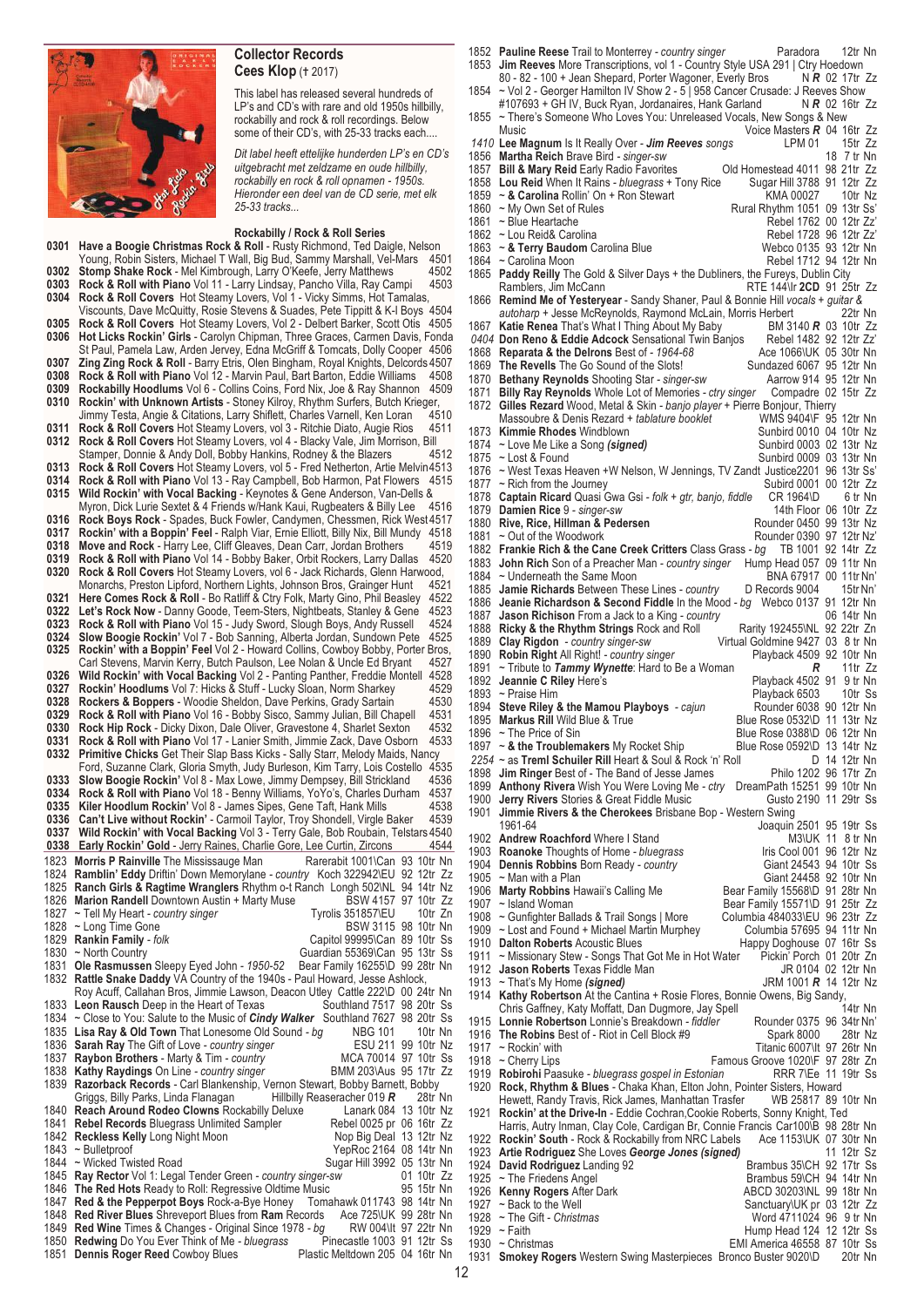

## **Collector Records Cees Klop** († 2017)

This label has released several hundreds of LP's and CD's with rare and old 1950s hillbilly, rockabilly and rock & roll recordings. Below some of their CD's, with 25-33 tracks each....

*Dit label heeft ettelijke hunderden LP's en CD's uitgebracht met zeldzame en oude hillbilly, rockabilly en rock & roll opnamen - 1950s. Hieronder een deel van de CD serie, met elk 25-33 tracks...*

|      | Rockabilly / Rock & Roll Series                                                                                            |
|------|----------------------------------------------------------------------------------------------------------------------------|
| 0301 | Have a Boogie Christmas Rock & Roll - Rusty Richmond, Ted Daigle, Nelson                                                   |
|      | Young, Robin Sisters, Michael T Wall, Big Bud, Sammy Marshall, Vel-Mars<br>4501                                            |
| 0302 | <b>Stomp Shake Rock</b> - Mel Kimbrough, Larry O'Keefe, Jerry Matthews<br>4502                                             |
| 0303 | <b>Rock &amp; Roll with Piano</b> Vol 11 - Larry Lindsay, Pancho Villa, Ray Campi<br>4503                                  |
| 0304 | <b>Rock &amp; Roll Covers</b> Hot Steamy Lovers, Vol 1 - Vicky Simms, Hot Tamalas,                                         |
|      | Viscounts, Dave McQuitty, Rosie Stevens & Suades, Pete Tippitt & K-I Boys 4504                                             |
| 0305 | Rock & Roll Covers Hot Steamy Lovers, Vol 2 - Delbert Barker, Scott Otis 4505                                              |
| 0306 | Hot Licks Rockin' Girls - Carolyn Chipman, Three Graces, Carmen Davis, Fonda                                               |
|      |                                                                                                                            |
|      | St Paul, Pamela Law, Arden Jervey, Edna McGriff & Tomcats, Dolly Cooper  4506                                              |
| 0307 | <b>Zing Zing Rock &amp; Roll</b> - Barry Etris, Olen Bingham, Royal Knights, Delcords 4507                                 |
| 0308 | <b>Rock &amp; Roll with Piano</b> Vol 12 - Marvin Paul, Bart Barton, Eddie Williams<br>4508                                |
| 0309 | <b>Rockabilly Hoodlums</b> Vol 6 - Collins Coins, Ford Nix, Joe & Ray Shannon<br>4509                                      |
| 0310 | Rockin' with Unknown Artists - Stoney Kilroy, Rhythm Surfers, Butch Krieger,                                               |
|      | Jimmy Testa, Angie & Citations, Larry Shiflett, Charles Varnell, Ken Loran<br>4510                                         |
| 0311 | <b>Rock &amp; Roll Covers</b> Hot Steamy Lovers, vol 3 - Ritchie Diato, Augie Rios<br>4511                                 |
| 0312 | Rock & Roll Covers Hot Steamy Lovers, vol 4 - Blacky Vale, Jim Morrison, Bill                                              |
|      | Stamper, Donnie & Andy Doll, Bobby Hankins, Rodney & the Blazers<br>4512                                                   |
| 0313 | <b>Rock &amp; Roll Covers</b> Hot Steamy Lovers, vol 5 - Fred Netherton, Artie Melvin 4513                                 |
| 0314 | <b>Rock &amp; Roll with Piano</b> Vol 13 - Ray Campbell, Bob Harmon, Pat Flowers<br>4515                                   |
| 0315 | Wild Rockin' with Vocal Backing - Keynotes & Gene Anderson, Van-Dells &                                                    |
|      | Myron, Dick Lurie Sextet & 4 Friends w/Hank Kaui, Rugbeaters & Billy Lee<br>4516                                           |
| 0316 | Rock Boys Rock - Spades, Buck Fowler, Candymen, Chessmen, Rick West 4517                                                   |
| 0317 | Rockin' with a Boppin' Feel - Ralph Viar, Ernie Elliott, Billy Nix, Bill Mundy<br>4518                                     |
| 0318 | Move and Rock - Harry Lee, Cliff Gleaves, Dean Carr, Jordan Brothers<br>4519                                               |
| 0319 | Rock & Roll with Piano Vol 14 - Bobby Baker, Orbit Rockers, Larry Dallas<br>4520                                           |
| 0320 | Rock & Roll Covers Hot Steamy Lovers, vol 6 - Jack Richards, Glenn Harwood,                                                |
|      | Monarchs, Preston Lipford, Northern Lights, Johnson Bros, Grainger Hunt<br>4521                                            |
| 0321 | <b>Here Comes Rock &amp; Roll</b> - Bo Ratliff & Ctry Folk, Marty Gino, Phil Beasley<br>4522                               |
| 0322 | Let's Rock Now - Danny Goode, Teem-Sters, Nightbeats, Stanley & Gene<br>4523                                               |
| 0323 | Rock & Roll with Piano Vol 15 - Judy Sword, Slough Boys, Andy Russell<br>4524                                              |
| 0324 | <b>Slow Boogie Rockin'</b> Vol 7 - Bob Sanning, Alberta Jordan, Sundown Pete<br>4525                                       |
| 0325 | Rockin' with a Boppin' Feel Vol 2 - Howard Collins, Cowboy Bobby, Porter Bros,                                             |
|      | Carl Stevens, Marvin Kerry, Butch Paulson, Lee Nolan & Uncle Ed Bryant<br>4527                                             |
| 0326 | Wild Rockin' with Vocal Backing Vol 2 - Panting Panther, Freddie Montell<br>4528                                           |
| 0327 | Rockin' Hoodlums Vol 7: Hicks & Stuff - Lucky Sloan, Norm Sharkey<br>4529                                                  |
| 0328 | <b>Rockers &amp; Boppers</b> - Woodie Sheldon, Dave Perkins, Grady Sartain<br>4530                                         |
| 0329 | <b>Rock &amp; Roll with Piano</b> Vol 16 - Bobby Sisco, Sammy Julian, Bill Chapell<br>4531                                 |
| 0330 | Rock Hip Rock - Dicky Dixon, Dale Oliver, Gravestone 4, Sharlet Sexton<br>4532                                             |
| 0331 | <b>Rock &amp; Roll with Piano</b> Vol 17 - Lanier Smith, Jimmie Zack, Dave Osborn<br>4533                                  |
| 0332 |                                                                                                                            |
|      |                                                                                                                            |
|      | Primitive Chicks Get Their Slap Bass Kicks - Sally Starr, Melody Maids, Nancy                                              |
|      | Ford, Suzanne Clark, Gloria Smyth, Judy Burleson, Kim Tarry, Lois Costello<br>4535                                         |
| 0333 | Slow Boogie Rockin' Vol 8 - Max Lowe, Jimmy Dempsey, Bill Strickland<br>4536                                               |
| 0334 | <b>Rock &amp; Roll with Piano</b> Vol 18 - Benny Williams, YoYo's, Charles Durham<br>4537                                  |
| 0335 | Kiler Hoodlum Rockin' Vol 8 - James Sipes, Gene Taft, Hank Mills<br>4538                                                   |
| 0336 | 4539<br><b>Can't Live without Rockin'</b> - Carmoil Taylor, Troy Shondell, Virgle Baker                                    |
| 0337 | Wild Rockin' with Vocal Backing Vol 3 - Terry Gale, Bob Roubain, Telstars 4540                                             |
| 0338 | Early Rockin' Gold - Jerry Raines, Charlie Gore, Lee Curtin, Zircons<br>4544                                               |
| 1823 | <b>Morris P Rainville</b> The Mississauge Man<br>Rarerabit 1001\Can 93 10tr Nn                                             |
| 1824 | Ramblin' Eddy Driftin' Down Memorylane - country Koch 322942\EU 92 12tr Zz                                                 |
| 1825 | Ranch Girls & Ragtime Wranglers Rhythm o-t Ranch Longh 502\NL 94 14tr Nz                                                   |
| 1826 | <b>Marion Randell</b> Downtown Austin + Marty Muse<br>BSW 4157 97 10tr Zz                                                  |
| 1827 | Tyrolis 351857\EU<br>10tr Zn<br>~ Tell My Heart - country singer                                                           |
|      | BSW 3115 98 10tr Nn<br>1828 ~ Long Time Gone                                                                               |
|      | Capitol 99995\Can 89 10tr Ss<br>1829 Rankin Family - folk                                                                  |
|      | Guardian 55369\Can 95 13tr Ss<br>1830 ~ North Country                                                                      |
|      | 1831 Ole Rasmussen Sleepy Eyed John - 1950-52<br>Bear Family 16255\D 99 28tr Nn                                            |
|      | 1832 Rattle Snake Daddy VA Country of the 1940s - Paul Howard, Jesse Ashlock,                                              |
|      | Roy Acuff, Callahan Bros, Jimmie Lawson, Deacon Utley Cattle 222\D 00 24tr Nn                                              |
|      | 1833 Leon Rausch Deep in the Heart of Texas<br>Southland 7517 98 20tr Ss                                                   |
|      | 1834 ~ Close to You: Salute to the Music of <i>Cindy Walker</i> Southland 7627 98 20tr Ss                                  |
|      | 1835 Lisa Ray & Old Town That Lonesome Old Sound - bg<br><b>NBG 101</b><br>10tr Nn                                         |
|      | ESU 211 99 10tr Nz<br>1836 Sarah Ray The Gift of Love - country singer                                                     |
|      | MCA 70014 97 10tr Ss<br>1837 Raybon Brothers - Marty & Tim - country                                                       |
|      | 1838 Kathy Raydings On Line - country singer<br>BMM 203\Aus 95 17tr Zz                                                     |
|      | 1839 Razorback Records - Carl Blankenship, Vernon Stewart, Bobby Barnett, Bobby                                            |
|      | Hillbilly Reaseracher 019 R<br>Griggs, Billy Parks, Linda Flanagan<br>28tr Nn                                              |
|      | 1840 Reach Around Rodeo Clowns Rockabilly Deluxe<br>Lanark 084 13 10tr Nz                                                  |
|      | 1841 Rebel Records Bluegrass Unlimited Sampler<br>Rebel 0025 pr 06 16tr Zz                                                 |
|      | 1842 Reckless Kelly Long Night Moon<br>Nop Big Deal 13 12tr Nz                                                             |
|      | $1843 \sim$ Bulletproof<br>YepRoc 2164 08 14tr Nn                                                                          |
|      | 1844 ~ Wicked Twisted Road<br>Sugar Hill 3992 05 13tr Nn                                                                   |
|      | 1845 Ray Rector Vol 1: Legal Tender Green - country singer-sw<br>01 10tr Zz                                                |
|      | 1846 The Red Hots Ready to Roll: Regressive Oldtime Music<br>95 15tr Nn                                                    |
| 1847 | Tomahawk 011743 98 14tr Nn<br><b>Red &amp; the Pepperpot Boys Rock-a-Bye Honey</b>                                         |
|      | Ace 725\UK 99 28tr Nn<br>1848 Red River Blues Shreveport Blues from Ram Records                                            |
|      | RW 004\It 97 22tr Nn                                                                                                       |
|      | 1849 <b>Red Wine</b> Times & Changes - Original Since 1978 - bg<br>Pinecastle 1003 91 12tr Ss                              |
|      | 1850 Redwing Do You Ever Think of Me - bluegrass<br>Plastic Meltdown 205 04 16tr Nn<br>1851 Dennis Roger Reed Cowboy Blues |

|      | $\sim$ $\sim$ $\sim$ $\sim$ $\sim$ $\sim$ $\sim$<br>1853 Jim Reeves More Transcriptions, vol 1 - Country Style USA 291   Ctry Hoedown                               |              |  |
|------|---------------------------------------------------------------------------------------------------------------------------------------------------------------------|--------------|--|
|      | 80 - 82 - 100 + Jean Shepard, Porter Wagoner, Everly Bros NR 02 17tr Zz                                                                                             |              |  |
|      | 1854 ~ Vol 2 - Georger Hamilton IV Show 2 - 5   958 Cancer Crusade: J Reeves Show<br>#107693 + GH IV, Buck Ryan, Jordanaires, Hank Garland<br>N <b>R</b> 02 16tr Zz |              |  |
|      | 1855 ~ There's Someone Who Loves You: Unreleased Vocals, New Songs & New                                                                                            |              |  |
|      | Voice Masters R 04 16tr Zz<br>Music                                                                                                                                 |              |  |
|      | 1410 Lee Magnum Is It Really Over - Jim Reeves songs<br>LPM 01                                                                                                      | 15tr Zz      |  |
|      | 1856 Martha Reich Brave Bird - singer-sw                                                                                                                            | 18 7 tr Nn   |  |
|      | Old Homestead 4011 98 21tr Zz<br>1857 Bill & Mary Reid Early Radio Favorites                                                                                        |              |  |
|      | Sugar Hill 3788 91 12tr Zz<br>1858 Lou Reid When It Rains - bluegrass + Tony Rice                                                                                   |              |  |
|      | 1859 ~ & Carolina Rollin' On + Ron Stewart<br>KMA 00027                                                                                                             | 10tr Nz      |  |
|      | Rural Rhythm 1051 09 13tr Ss'<br>1860 ~ My Own Set of Rules<br>Rebel 1762 00 12tr Zz'<br>1861 ~ Blue Heartache                                                      |              |  |
|      | 1862 ~ Lou Reid& Carolina<br>Rebel 1728 96 12tr Zz'                                                                                                                 |              |  |
|      | 1863 ~ & Terry Baudom Carolina Blue<br>Webco 0135 93 12tr Nn                                                                                                        |              |  |
|      | 1864 ~ Carolina Moon<br>Rebel 1712 94 12tr Nn                                                                                                                       |              |  |
|      | 1865 Paddy Reilly The Gold & Silver Days + the Dubliners, the Fureys, Dublin City                                                                                   |              |  |
|      | RTE 144\lr 2CD 91 25tr Zz<br>Ramblers, Jim McCann                                                                                                                   |              |  |
|      | 1866 Remind Me of Yesteryear - Sandy Shaner, Paul & Bonnie Hill vocals + guitar &                                                                                   |              |  |
|      | autoharp + Jesse McReynolds, Raymond McLain, Morris Herbert                                                                                                         | 22tr Nn      |  |
|      | 1867 Katie Renea That's What I Thing About My Baby<br>BM 3140 <b>R</b> 03 10tr Zz                                                                                   |              |  |
|      | 0404 Don Reno & Eddie Adcock Sensational Twin Banjos Rebel 1482 92 12tr Zz'                                                                                         |              |  |
|      | Ace 1066\UK 05 30tr Nn<br>1868 Reparata & the Delrons Best of - 1964-68                                                                                             |              |  |
|      | 1869 The Revells The Go Sound of the Slots!<br>Sundazed 6067 95 12tr Nn                                                                                             |              |  |
|      | 1870 Bethany Reynolds Shooting Star - singer-sw<br>Aarrow 914 95 12tr Nn                                                                                            |              |  |
|      | 1871 Billy Ray Reynolds Whole Lot of Memories - ctry singer Compadre 02 15tr Zz                                                                                     |              |  |
|      | 1872 Gilles Rezard Wood, Metal & Skin - banjo player + Pierre Bonjour, Thierry                                                                                      |              |  |
|      | Massoubre & Denis Rezard + tablature booklet<br>WMS 9404\F 95 12tr Nn                                                                                               |              |  |
|      | 1873 Kimmie Rhodes Windblown<br>Sunbird 0010 04 10tr Nz                                                                                                             |              |  |
|      | 1874 ~ Love Me Like a Song (signed)<br>Sunbird 0003 02 13tr Nz<br>1875 $\sim$ Lost & Found                                                                          |              |  |
|      | Sunbird 0009 03 13tr Nn<br>1876 ~ West Texas Heaven +W Nelson, W Jennings, TV Zandt Justice 2201 96 13tr Ss'                                                        |              |  |
|      | 1877 $\sim$ Rich from the Journey<br>Subird 0001 00 12tr Zz                                                                                                         |              |  |
|      | 1878 Captain Ricard Quasi Gwa Gsi - folk + gtr, banjo, fiddle<br>CR 1964\D                                                                                          | 6 tr Nn      |  |
|      | 1879 Damien Rice 9 - singer-sw<br>14th Floor 06 10tr Zz                                                                                                             |              |  |
|      | 1880 Rive, Rice, Hillman & Pedersen<br>Rounder 0450 99 13tr Nz                                                                                                      |              |  |
|      | 1881 $\sim$ Out of the Woodwork<br>Rounder 0390 97 12tr Nz'                                                                                                         |              |  |
|      | 1882 Frankie Rich & the Cane Creek Critters Class Grass - bg TB 1001 92 14tr Zz                                                                                     |              |  |
| 1883 | <b>John Rich</b> Son of a Preacher Man - country singer<br>Hump Head 057 09 11tr Nn                                                                                 |              |  |
|      | 1884 ~ Underneath the Same Moon<br>BNA 67917 00 11tr Nn'                                                                                                            |              |  |
|      | 1885 Jamie Richards Between These Lines - country<br>D Records 9004                                                                                                 | 15tr Nn'     |  |
|      | 1886   Jeanie Richardson & Second Fiddle In the Mood <i>- bg</i> Webco 0137  91  12tr Nn                                                                            |              |  |
| 1887 | <b>Jason Richison</b> From a Jack to a King - country                                                                                                               | 06 14tr Nn   |  |
|      | 1888 Ricky & the Rhythm Strings Rock and Roll<br>Rarity 192455\NL 92 22tr Zn                                                                                        |              |  |
|      | 1889 Clay Rigdon - country singer-sw<br>Virtual Goldmine 9427 03 8 tr Nn                                                                                            |              |  |
|      | 1890 Robin Right All Right! - country singer<br>Playback 4509 92 10tr Nn                                                                                            |              |  |
|      | 1891 ~ Tribute to Tammy Wynette: Hard to Be a Woman<br>R                                                                                                            | 11tr Zz      |  |
|      | 1892 Jeannie C Riley Here's<br>Playback 4502 91 9 tr Nn<br>1893 ~ Praise Him<br>Playback 6503                                                                       | 10tr Ss      |  |
|      | 1894 Steve Riley & the Mamou Playboys - cajun<br>Rounder 6038 90 12tr Nn                                                                                            |              |  |
|      | 1895 Markus Rill Wild Blue & True<br>Blue Rose 0532\D 11 13tr Nz                                                                                                    |              |  |
|      |                                                                                                                                                                     |              |  |
|      |                                                                                                                                                                     |              |  |
|      | 1896 $\sim$ The Price of Sin<br>Blue Rose 0388\D 06 12tr Nn<br>1897 ~ & the Troublemakers My Rocket Ship                                                            |              |  |
|      | Blue Rose 0592\D 13 14tr Nz<br>2254 ~ as Treml Schuiler Rill Heart & Soul & Rock 'n' Roll                                                                           | D 14 12tr Nn |  |
|      | 1898 Jim Ringer Best of - The Band of Jesse James<br>Philo 1202 96 17tr Zn                                                                                          |              |  |
|      | 1899 Anthony Rivera Wish You Were Loving Me - ctry DreamPath 15251 99 10tr Nn                                                                                       |              |  |
|      | 1900 Jerry Rivers Stories & Great Fiddle Music<br>Gusto 2190 11 29tr Ss                                                                                             |              |  |
| 1901 | Jimmie Rivers & the Cherokees Brisbane Bop - Western Swing                                                                                                          |              |  |
|      | Joaquin 2501 95 19tr Ss<br>1961-64                                                                                                                                  |              |  |
|      | 1902 Andrew Roachford Where I Stand<br>M3\UK 11 8 tr Nn                                                                                                             |              |  |
|      | 1903 Roanoke Thoughts of Home - bluegrass<br>Iris Cool 001 96 12tr Nz                                                                                               |              |  |
|      | Giant 24543 94 10tr Ss<br>1904 Dennis Robbins Born Ready - country                                                                                                  |              |  |
|      | 1905 ~ Man with a Plan<br>Giant 24458 92 10tr Nn                                                                                                                    |              |  |
|      | 1906 Marty Robbins Hawaii's Calling Me<br>Bear Family 15568\D 91 28tr Nn                                                                                            |              |  |
|      | Bear Family 15571\D 91 25tr Zz<br>1907 ~ Island Woman<br>Columbia 484033\EU 96 23tr Zz                                                                              |              |  |
|      | 1908 ~ Gunfighter Ballads & Trail Songs   More                                                                                                                      |              |  |
|      | Columbia 57695 94 11tr Nn<br>1909 ~ Lost and Found + Michael Martin Murphey<br>1910 Dalton Roberts Acoustic Blues                                                   |              |  |
|      | Happy Doghouse 07 16tr Ss<br>Pickin' Porch 01 20tr Zn                                                                                                               |              |  |
|      | 1911 ~ Missionary Stew - Songs That Got Me in Hot Water<br>JR 0104 02 12tr Nn<br>1912 Jason Roberts Texas Fiddle Man                                                |              |  |
|      | 1913 ~ That's My Home (signed)<br>JRM 1001 <b>R</b> 14 12tr Nz                                                                                                      |              |  |
|      | 1914 Kathy Robertson At the Cantina + Rosie Flores, Bonnie Owens, Big Sandy,                                                                                        |              |  |
|      | Chris Gaffney, Katy Moffatt, Dan Dugmore, Jay Spell                                                                                                                 | 14tr Nn      |  |
|      | 1915 Lonnie Robertson Lonnie's Breakdown - fiddler<br>Rounder 0375 96 34tr Nn'                                                                                      |              |  |
|      | 1916 The Robins Best of - Riot in Cell Block #9<br>Spark 8000                                                                                                       | 28tr Nz      |  |
|      | 1917 ~ Rockin' with<br>Titanic 6007\It 97 26tr Nn                                                                                                                   |              |  |
|      | Famous Groove 1020\F 97 28tr Zn<br>1918 ~ Cherry Lips                                                                                                               |              |  |
|      | 1919 Robirohi Paasuke - bluegrass gospel in Estonian<br>RRR 7\Ee 11 19tr Ss                                                                                         |              |  |
|      | 1920 Rock, Rhythm & Blues - Chaka Khan, Elton John, Pointer Sisters, Howard                                                                                         |              |  |
|      | Hewett, Randy Travis, Rick James, Manhattan Trasfer<br>WB 25817 89 10tr Nn                                                                                          |              |  |
| 1921 | Rockin' at the Drive-In - Eddie Cochran, Cookie Roberts, Sonny Knight, Ted                                                                                          |              |  |
|      | Harris, Autry Inman, Clay Cole, Cardigan Br, Connie Francis Car100\B 98 28tr Nn<br>1922 Rockin' South - Rock & Rockabilly from NRC Labels<br>Ace 1153\UK 07 30tr Nn |              |  |
|      | 1923 Artie Rodriguez She Loves George Jones (signed)                                                                                                                | 11 12tr Sz   |  |
|      | Brambus 35\CH 92 17tr Ss<br>1924 David Rodriguez Landing 92                                                                                                         |              |  |
|      | 1925 ~ The Friedens Angel<br>Brambus 59\CH 94 14tr Nn                                                                                                               |              |  |
|      | 1926 Kenny Rogers After Dark<br>ABCD 30203\NL 99 18tr Nn                                                                                                            |              |  |
|      | 1927 $\sim$ Back to the Well<br>Sanctuary\UK pr 03 12tr Zz                                                                                                          |              |  |
|      | 1928 ~ The Gift - Christmas<br>Word 4711024 96 9 tr Nn                                                                                                              |              |  |
|      | 1929 ~ Faith<br>Hump Head 124 12 12tr Ss                                                                                                                            |              |  |
| 1931 | 1930 $\sim$ Christmas<br>EMI America 46558 87 10tr Ss<br>Smokey Rogers Western Swing Masterpieces Bronco Buster 9020\D                                              | 20tr Nn      |  |

**Pauline Reese** Trail to Monterrey *- country singer* Paradora 12tr Nn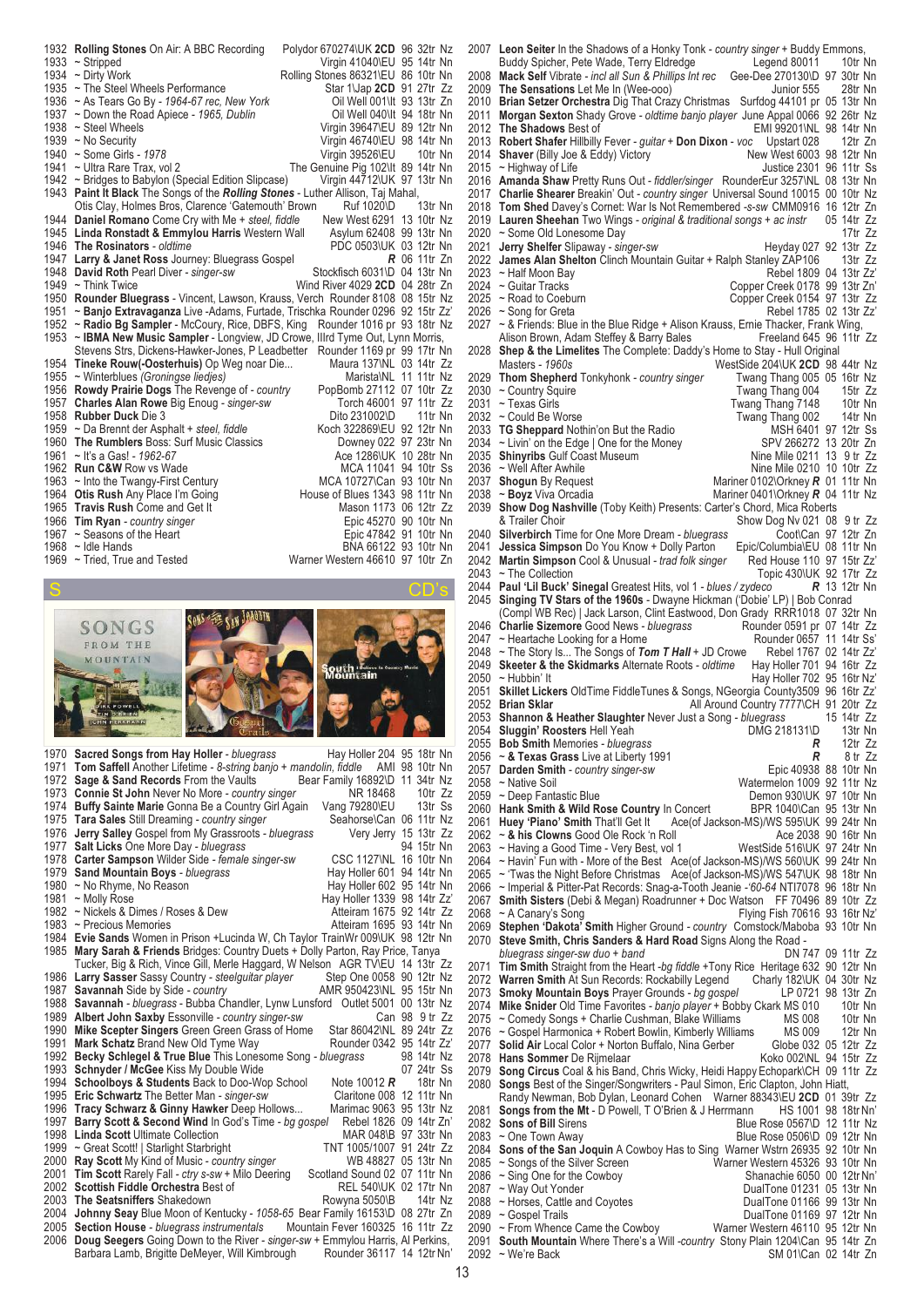| 1932 | <b>Rolling Stones On Air: A BBC Recording</b>                                | Polydor 670274\UK 2CD 96 32tr Nz   |
|------|------------------------------------------------------------------------------|------------------------------------|
| 1933 | $\sim$ Stripped                                                              | Virgin 41040\EU 95 14tr Nn         |
| 1934 | $\sim$ Dirty Work                                                            | Rolling Stones 86321\EU 86 10tr Nn |
| 1935 | ~ The Steel Wheels Performance                                               | Star 1\Jap 2CD 91 27tr Zz          |
| 1936 | $\sim$ As Tears Go By - 1964-67 rec, New York                                | Oil Well 001\It 93 13tr Zn         |
| 1937 | ~ Down the Road Apiece - 1965, Dublin                                        | Oil Well 040\It 94 18tr Nn         |
| 1938 | ~ Steel Wheels                                                               | Virgin 39647\EU 89 12tr Nn         |
| 1939 | ~ No Security                                                                | Virgin 46740\EU 98 14tr Nn         |
| 1940 | $\sim$ Some Girls - 1978                                                     | Virgin 39526\EU<br>10tr Nn         |
| 1941 | ~ Ultra Rare Trax, vol 2                                                     | The Genuine Pig 102\It 89 14tr Nn  |
|      | 1942 ~ Bridges to Babylon (Special Edition Slipcase)                         | Virgin 44712\UK 97 13tr Nn         |
| 1943 | Paint It Black The Songs of the Rolling Stones - Luther Allison, Taj Mahal,  |                                    |
|      | Otis Clay, Holmes Bros, Clarence 'Gatemouth' Brown                           | Ruf 1020\D<br>13tr Nn              |
| 1944 | Daniel Romano Come Cry with Me + steel, fiddle                               | New West 6291 13 10tr Nz           |
|      | 1945 Linda Ronstadt & Emmylou Harris Western Wall                            | Asylum 62408 99 13tr Nn            |
|      | 1946 The Rosinators - oldtime                                                | PDC 0503\UK 03 12tr Nn             |
|      | 1947 Larry & Janet Ross Journey: Bluegrass Gospel                            | $R$ 06 11tr Zn                     |
| 1948 | David Roth Pearl Diver - singer-sw                                           | Stockfisch 6031\D 04 13tr Nn       |
| 1949 | $\sim$ Think Twice                                                           | Wind River 4029 2CD 04 28tr Zn     |
| 1950 | Rounder Bluegrass - Vincent, Lawson, Krauss, Verch Rounder 8108 08 15tr Nz   |                                    |
| 1951 | ~ Banjo Extravaganza Live -Adams, Furtade, Trischka Rounder 0296 92 15tr Zz' |                                    |
| 1952 | ~ Radio Bg Sampler - McCoury, Rice, DBFS, King Rounder 1016 pr 93 18tr Nz    |                                    |
| 1953 | ~ IBMA New Music Sampler - Longview, JD Crowe, Illrd Tyme Out, Lynn Morris,  |                                    |
|      | Stevens Strs, Dickens-Hawker-Jones, P Leadbetter Rounder 1169 pr 99 17tr Nn  |                                    |
|      | 1954 Tineke Rouw(-Oosterhuis) Op Weg noar Die                                | Maura 137\NL 03 14tr Zz            |
|      | 1955 ~ Winterblues (Groningse liedjes)                                       | Marista\NL 11 11tr Nz              |
| 1956 | <b>Rowdy Prairie Dogs</b> The Revenge of - country                           | PopBomb 27112 07 10tr Zz           |
| 1957 | <b>Charles Alan Rowe Big Enoug - singer-sw</b>                               | Torch 46001 97 11tr Zz             |
| 1958 | <b>Rubber Duck Die 3</b>                                                     | Dito 231002\D<br>11tr Nn           |
| 1959 | ~ Da Brennt der Asphalt + steel, fiddle                                      | Koch 322869\EU 92 12tr Nn          |
| 1960 | <b>The Rumblers Boss: Surf Music Classics</b>                                | Downey 022 97 23tr Nn              |
| 1961 | ~ It's a Gas! - 1962-67                                                      | Ace 1286\UK 10 28tr Nn             |
| 1962 | <b>Run C&amp;W Row vs Wade</b>                                               | MCA 11041 94 10tr Ss               |
| 1963 | $\sim$ Into the Twangy-First Century                                         | MCA 10727\Can 93 10tr Nn           |
| 1964 | <b>Otis Rush Any Place I'm Going</b>                                         | House of Blues 1343 98 11tr Nn     |
| 1965 | Travis Rush Come and Get It                                                  | Mason 1173 06 12tr Zz              |
| 1966 | <b>Tim Ryan</b> - country singer                                             | Epic 45270 90 10tr Nn              |
| 1967 | ~ Seasons of the Heart                                                       | Epic 47842 91 10tr Nn              |
|      | 1968 $\sim$ Idle Hands                                                       | BNA 66122 93 10tr Nn               |
| 1969 | ~ Tried, True and Tested                                                     | Warner Western 46610 97 10tr Zn    |



|      | 1970 Sacred Songs from Hay Holler - bluegrass<br>Hay Holler 204 95 18tr Nn         |                |   |
|------|------------------------------------------------------------------------------------|----------------|---|
| 1971 | Tom Saffell Another Lifetime - 8-string banjo + mandolin, fiddle AMI 98 10tr Nn    |                |   |
| 1972 | Bear Family 16892\D 11 34tr Nz<br>Sage & Sand Records From the Vaults              |                |   |
| 1973 | Connie St John Never No More - country singer<br>NR 18468                          | 10 $tr$ $Zz$   |   |
| 1974 | <b>Buffy Sainte Marie Gonna Be a Country Girl Again</b><br>Vang 79280\EU           | 13tr Ss        |   |
| 1975 | Tara Sales Still Dreaming - country singer<br>Seahorse\Can 06 11tr Nz              |                |   |
| 1976 | Jerry Salley Gospel from My Grassroots - bluegrass<br>Very Jerry 15 13tr Zz        |                |   |
| 1977 | Salt Licks One More Day - bluegrass                                                | 94 15tr Nn     |   |
| 1978 | Carter Sampson Wilder Side - female singer-sw<br>CSC 1127\NL 16 10tr Nn            |                |   |
| 1979 | Sand Mountain Boys - bluegrass<br>Hay Holler 601 94 14tr Nn                        |                |   |
| 1980 | Hay Holler 602 95 14tr Nn<br>~ No Rhyme, No Reason                                 |                |   |
| 1981 | Hay Holler 1339 98 14tr Zz'<br>~ Molly Rose                                        |                |   |
| 1982 | ~ Nickels & Dimes / Roses & Dew<br>Atteiram 1675 92 14tr Zz                        |                |   |
| 1983 | ~ Precious Memories<br>Atteiram 1695 93 14tr Nn                                    |                |   |
| 1984 | Evie Sands Women in Prison +Lucinda W, Ch Taylor TrainWr 009\UK 98 12tr Nn         |                |   |
| 1985 | Mary Sarah & Friends Bridges: Country Duets + Dolly Parton, Ray Price, Tanya       |                |   |
|      | Tucker, Big & Rich, Vince Gill, Merle Haggard, W Nelson AGR TV\EU 14 13tr Zz       |                |   |
| 1986 | Larry Sasser Sassy Country - steelguitar player<br>Step One 0058 90 12tr Nz        |                |   |
| 1987 | Savannah Side by Side - country<br>AMR 950423\NL 95 15tr Nn                        |                |   |
| 1988 | Savannah - bluegrass - Bubba Chandler, Lynw Lunsford Outlet 5001 00 13tr Nz        |                |   |
| 1989 | Albert John Saxby Essonville - country singer-sw                                   | Can 98 9 tr Zz |   |
| 1990 | Mike Scepter Singers Green Green Grass of Home<br>Star 86042\NL 89 24tr Zz         |                |   |
| 1991 | Mark Schatz Brand New Old Tyme Way<br>Rounder 0342 95 14tr Zz'                     |                |   |
| 1992 | Becky Schlegel & True Blue This Lonesome Song - bluegrass                          | 98 14tr Nz     |   |
| 1993 | Schnyder / McGee Kiss My Double Wide                                               | 07 24tr Ss     |   |
| 1994 | <b>Schoolboys &amp; Students Back to Doo-Wop School</b><br>Note 10012 $R$          | 18tr Nn        |   |
| 1995 | Claritone 008 12 11tr Nn<br>Eric Schwartz The Better Man - singer-sw               |                |   |
| 1996 | Tracy Schwarz & Ginny Hawker Deep Hollows<br>Marimac 9063 95 13tr Nz               |                |   |
| 1997 | Barry Scott & Second Wind In God's Time - bg gospel<br>Rebel 1826 09 14tr Zn'      |                |   |
| 1998 | MAR 048\B 97 33tr Nn<br><b>Linda Scott Ultimate Collection</b>                     |                |   |
| 1999 | TNT 1005/1007 91 24tr Zz<br>~ Great Scott!   Starlight Starbright                  |                |   |
| 2000 | WB 48827 05 13tr Nn<br>Ray Scott My Kind of Music - country singer                 |                |   |
| 2001 | Tim Scott Rarely Fall - ctry s-sw + Milo Deering<br>Scotland Sound 02 07 11tr Nn   |                |   |
| 2002 | Scottish Fiddle Orchestra Best of<br>REL 540\UK 02 17tr Nn                         |                |   |
| 2003 | The Seatsniffers Shakedown<br>Rowyna 5050\B                                        | 14tr Nz        |   |
| 2004 | Johnny Seay Blue Moon of Kentucky - 1058-65 Bear Family 16153\D 08 27tr Zn         |                |   |
| 2005 | Mountain Fever 160325 16 11tr Zz<br><b>Section House</b> - bluegrass instrumentals |                |   |
| 2006 | Doug Seegers Going Down to the River - singer-sw + Emmylou Harris, Al Perkins,     |                |   |
|      | Rounder 36117 14 12tr Nn'<br>Barbara Lamb, Brigitte DeMeyer, Will Kimbrough        |                |   |
|      |                                                                                    |                | 1 |

 **Leon Seiter** In the Shadows of a Honky Tonk *- country singer* + Buddy Emmons, Buddy Spicher, Pete Wade, Terry Eldredge **Mack Self** Vibrate *- incl all Sun & Phillips Int rec* Gee-Dee 270130\D 97 30tr Nn 2009 The Sensations Let Me In (Wee-ooo) Junior 555 28tr Nn **Brian Setzer Orchestra** Dig That Crazy Christmas Surfdog 44101 pr 05 13tr Nn **Morgan Sexton** Shady Grove *- oldtime banjo player* June Appal 0066 92 26tr Nz **The Shadows** Best of EMI 99201\NL 98 14tr Nn **Robert Shafer** Hillbilly Fever *- guitar* + **Don Dixon** - *voc* Upstart 028 12tr Zn **Shaver** (Billy Joe & Eddy) Victory New West 6003 98 12tr Nn 2015 ~ Highway of Life The Muslim Control of Life Justice 2301 96 11tr Ss **Amanda Shaw** Pretty Runs Out *- fiddler/singer* RounderEur 3257\NL 08 13tr Nn **Charlie Shearer** Breakin' Out *- country singer* Universal Sound 10015 00 10tr Nz **Tom Shed** Davey's Cornet: War Is Not Remembered *-s-sw* CMM0916 16 12tr Zn **Lauren Sheehan** Two Wings *- original & traditional songs + ac instr* 05 14tr Zz 2020 ~ Some Old Lonesome Day<br>2021 **Jerry Shelfer** Slipaway - singer-sw **17tr 2x** Heyday 027 92 13tr Zz **Jerry Shelfer** Slipaway *- singer-sw* Heyday 027 92 13tr Zz **James Alan Shelton** Clinch Mountain Guitar + Ralph Stanley ZAP106 13tr Zz 2023 ~ Half Moon Bay<br>2024 ~ Guitar Tracks Copper Creek 0178 99 13tr Zi 2024 ~ Guitar Tracks<br>2025 ~ Road to Coeburn Copper Creek 0154 97 13tr Zz ~ Road to Coeburn Copper Creek 0154 97 13tr Zz 2026 ~ Song for Greta<br>2027 ~ & Friends: Blue in the Blue Ridge + Alison Krauss. Ernie Thacker. Frank Wing. ~ & Friends: Blue in the Blue Ridge + Alison Krauss, Ernie Thacker, Frank Wing,<br>Alison Brown, Adam Steffey & Barry Bales [15] Freeland 645 96 11tr Alison Brown, Adam Steffey & Barry Bales **Shep & the Limelites** The Complete: Daddy's Home to Stay - Hull Original WestSide 204\UK **2CD** 98 44tr Nz<br>Twang Thang 005 05 16tr Nz **Thom Shepherd** Tonkyhonk *- country singer* Twang Thang 005 05 16tr Nz ~ Country Squire Twang Thang 004 15tr Zz ~ Texas Girls Twang Thang 7148 10tr Nn Twang Thang 002 14tr Nn<br>MSH 6401 97 12tr Ss **TG Sheppard** Nothin'on But the Radio MSH 6401 97 12tr Ss<br>2034 ~ Livin' on the Edge | One for the Money SPV 266272 13 20tr Zn <sup>2</sup> Livin' on the Edge | One for the Money SPV 266272 13 20tr Zn<br> **Shinyribs** Gulf Coast Museum Shine Mile 0211 13 9 tr Zz **Shinyribs** Gulf Coast Museum<br>2036 ~ Well After Awhile 2036 ~ Well After Awhile Nine Mile 0210 10 10tr Zz<br>2037 **Shogun** By Request Natiner 0102\Orkney **R** 01 11tr Nn **Shogun** By Request Mariner 0102\Orkney **R** 01 11tr Nn<br>2038 ~ **Boyz** Viva Orcadia Mariner 0401\Orkney **R** 04 11tr Nz Mariner 0401\Orkney *R* 04 11tr Nz **Show Dog Nashville** (Toby Keith) Presents: Carter's Chord, Mica Roberts Show Dog Nv 021 08 9 tr Zz<br>Coot\Can 97 12tr Zn **Silverbirch** Time for One More Dream *- bluegrass* Coot\Can 97 12tr Zn<br>2041 Jessica Simpson Do You Know + Dolly Parton Epic/Columbia\EU 08 11tr Nn **Jessica Simpson** Do You Know + Dolly Parton Epic/Columbia\EU 08 11tr Nr<br>**Martin Simpson** Cool & Unusual - *trad folk singer* Red House 110 97 15tr Zz **Martin Simpson** Cool & Unusual *- trad folk singer* 2043 ~ The Collection Topic 430\UK 92 17tr Zz<br>  $\frac{1}{2}$ eco **R** 13 12tr Nn **Paul 'Lil Buck' Sinegal** Greatest Hits, vol 1 *- blues / zydeco R* 13 12tr Nn **Singing TV Stars of the 1960s** - Dwayne Hickman ('Dobie' LP) | Bob Conrad (Compl WB Rec) | Jack Larson, Clint Eastwood, Don Grady RRR1018 07 32tr Nn<br>
Charlie Sizemore Good News - bluegrass Rounder 0591 pr 07 14tr Zz **Charlie Sizemore** Good News *- bluegrass* Rounder 0591 pr 07 14tr Zz 2047 ~ Heartache Looking for a Home The Michael Rounder 0657 11 14tr Ss<br>2048 ~ The Story Is... The Songs of Tom T Hall + JD Crowe Rebel 1767 02 14tr Zz ~ The Story Is... The Songs of *Tom T Hall* + JD Crowe Rebel 1767 02 14tr Zz'<br>Skeeter & the Skidmarks Alternate Roots - oldtime Hay Holler 701 94 16tr Zz **Skeeter & the Skidmarks** Alternate Roots - oldtime 2050 ~ Hubbin' It ~ Hubbin' It Hay Holler 702 95 16tr Nz' **Skillet Lickers** OldTime FiddleTunes & Songs, NGeorgia County3509 96 16tr Zz' **Brian Sklar All Around Country 7777\CH 91 20tr Zz**<br>2053 **Shannon & Heather Slaughter** Never Just a Song - bluegrass 15 14tr Zz **Shannon & Heather Slaughter** Never Just a Song *- bluegrass* 15 14tr Zz **Sluggin' Roosters** Hell Yeah 2055 **DMG** 218131\D 13tr Nn<br>2055 **Bob Smith** Memories - bluegrass **DEE 12tr 2**z **Bob Smith** Memories *- bluegrass R* 12tr Zz ~ **& Texas Grass** Live at Liberty 1991 *R* 8 tr Zz **Darden Smith** - country singer-sw<br>2058 ~ Native Soil ~ Native Soil Watermelon 1009 92 11tr Nz Demon 930\UK 97 10tr Nn<br>BPR 1040\Can 95 13tr Nn **Hank Smith & Wild Rose Country** In Concert 2061 **Huey 'Piano' Smith** That'll Get It Ace(of Ja **Huey 'Piano' Smith** That'll Get It Ace(of Jackson-MS)/WS 595\UK 99 24tr Nn<br>2062 ~ & his Clowns Good Ole Rock 'n Roll Ace 2038 90 16tr Nn 2062 ~ **& his Clowns** Good Ole Rock 'n Roll **Ace 2038 90 16tr Nn**<br>2063 ~ Having a Good Time - Very Best, vol 1 WestSide 516\UK 97 24tr Nn 2063 ~ Having a Good Time - Very Best, vol 1<br>2064 ~ Havin' Fun with - More of the Best Ac ~ Havin' Fun with - More of the Best Ace(of Jackson-MS)/WS 560\UK 99 24tr Nn ~ 'Twas the Night Before Christmas Ace(of Jackson-MS)/WS 547\UK 98 18tr Nn ~ Imperial & Pitter-Pat Records: Snag-a-Tooth Jeanie *-'60-64* NTI7078 96 18tr Nn **Smith Sisters** (Debi & Megan) Roadrunner + Doc Watson FF 70496 89 10tr Zz Flying Fish 70616 93 16tr Nz' **Stephen 'Dakota' Smith** Higher Ground *- country* Comstock/Maboba 93 10tr Nn **Steve Smith, Chris Sanders & Hard Road** Signs Along the Road  *bluegrass singer-sw duo + band*  **Tim Smith** Straight from the Heart *-bg fiddle* +Tony Rice Heritage 632 90 12tr Nn **Warren Smith** At Sun Records: Rockabilly Legend Charly 182\UK 04 30tr Nz **Smoky Mountain Boys** Prayer Grounds *- bg gospel* LP 0721 98 13tr Zn **Mike Snider** Old Time Favorites *- banjo player* + Bobby Ckark MS 010 10tr Nn ~ Comedy Songs + Charlie Cushman, Blake Williams MS 008 10tr Nn<br>→ Gospel Harmonica + Robert Bowlin, Kimberly Williams MS 009 12tr Nn 2076 ~ Gospel Harmonica + Robert Bowlin, Kimberly Williams MS 009 12tr Nn<br>2077 Solid Air Local Color + Norton Buffalo, Nina Gerber Globe 032 05 12tr Zz **2007 Solid Air** Local Color + Norton Buffalo, Nina Gerber Globe 032 05 12tr Zz<br>
Hans Sommer De Rijmelaar Mans Corp Koko 002\NL 94 15tr Zz **Hans Sommer** De Rijmelaar<br>2079 **Song Circus** Coal & his Bang **Song Circus** Coal & his Band, Chris Wicky, Heidi Happy Echopark\CH 09 11tr Zz Songs Best of the Singer/Songwriters - Paul Simon, Eric Clapton, John Hiatt, Randy Newman, Bob Dylan, Leonard Cohen Warner 88343\EU 2CD 01 39tr Zz<br>**Songs from the Mt** - D Powell, T O'Brien & J Herrmann HS 1001 98 18tr Nn' **Songs from the Mt** - D Powell, T O'Brien & J Herrmann 2082 **Sons of Bill** Sirens **Sons of Bill** Sirens **Constant Constant Constant Blue Rose 0567\D 12 11tr Nz**<br>2083 ~ One Town Away **Blue Rose 0506\D 09 12tr Nn** Blue Rose 0506\D 09 12tr Nn **Sons of the San Joquin** A Cowboy Has to Sing Warner Wstrn 26935 92 10tr Nn 2085 ~ Songs of the Silver Screen Warner Western 45326 93 10tr Nn<br>2086 ~ Sing One for the Cowboy Shanachie 6050 00 12tr Nn' 2086 ~ Sing One for the Cowboy<br>2087 ~ Way Out Yonder DualTone 01231 05 13tr Nn<br>DualTone 01166 99 13tr Nn 2088 ~ Horses, Cattle and Coyotes<br>2089 ~ Gospel Trails ~ Gospel Trails DualTone 01169 97 12tr Nn ~ From Whence Came the Cowboy **South Mountain** Where There's a Will *-country* Stony Plain 1204\Can 95 14tr Zn SM 01\Can 02 14tr Zn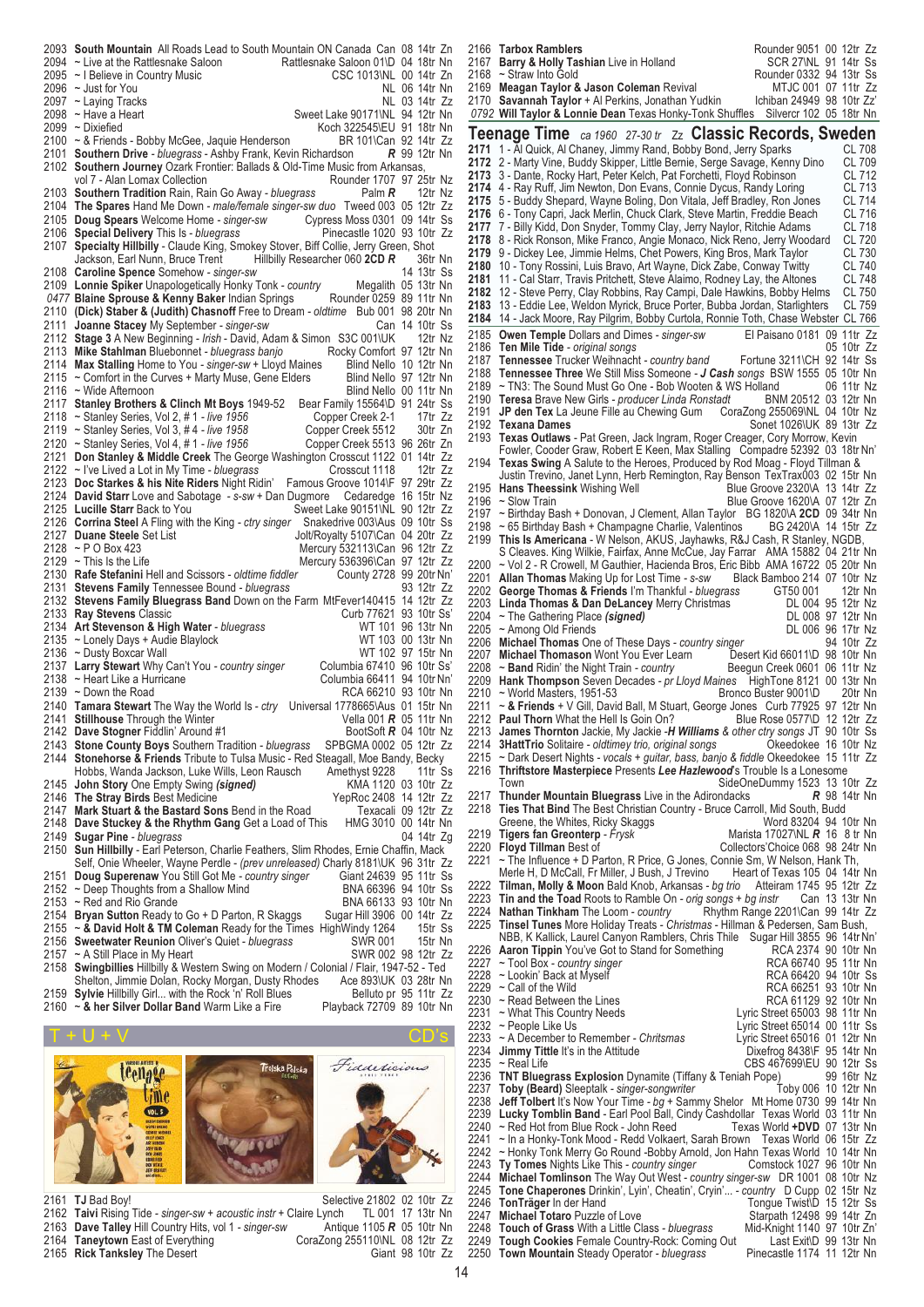|      | 2093 South Mountain All Roads Lead to South Mountain ON Canada Can 08 14tr Zn                                                                  |                                  |                       |
|------|------------------------------------------------------------------------------------------------------------------------------------------------|----------------------------------|-----------------------|
|      | 2094 ~ Live at the Rattlesnake Saloon                                                                                                          |                                  |                       |
|      | Government of Carlista Can 08 14tr Zn<br>Rattlesnake Saloon 01\D 04 18tr Nn<br>2095 ~ I Believe in Country Music                               |                                  |                       |
|      | $2096$ ~ Just for You                                                                                                                          |                                  | NL 06 14tr Nn         |
|      | 2097 ~ Laying Tracks                                                                                                                           |                                  | NL 03 14tr Zz         |
|      | 2098 ~ Have a Heart                                                                                                                            | Sweet Lake 90171\NL 94 12tr Nn   |                       |
|      | 2099 ~ Dixiefied                                                                                                                               | Koch 322545\EU 91 18tr Nn        |                       |
|      | 2100 ~ & Friends - Bobby McGee, Jaquie Henderson                                                                                               | BR 101\Can 92 14tr Zz            |                       |
|      | 2101 Southern Drive - bluegrass - Ashby Frank, Kevin Richardson                                                                                |                                  | <b>R</b> 99 12tr Nn   |
|      |                                                                                                                                                |                                  |                       |
|      | 2102 Southern Journey Ozark Frontier: Ballads & Old-Time Music from Arkansas,                                                                  |                                  |                       |
|      | vol 7 - Alan Lomax Collection                                                                                                                  | Rounder 1707 97 25tr Nz          |                       |
|      | 2103 Southern Tradition Rain, Rain Go Away - bluegrass                                                                                         | Palm R                           | 12tr Nz               |
|      | 2104 The Spares Hand Me Down - male/female singer-sw duo Tweed 003 05 12tr Zz                                                                  |                                  |                       |
|      | 2105 Doug Spears Welcome Home - singer-sw Cypress Moss 0301 09 14tr Ss<br>2106 Special Delivery This Is - bluegrass Pinecastle 1020 93 10tr Zz |                                  |                       |
|      | 2106 Special Delivery This Is - bluegrass                                                                                                      | Pinecastle 1020 93 10tr Zz       |                       |
|      | 2107 Specialty Hillbilly - Claude King, Smokey Stover, Biff Collie, Jerry Green, Shot                                                          |                                  |                       |
|      | Hillbilly Researcher 060 2CD R<br>Jackson, Earl Nunn, Bruce Trent                                                                              |                                  | 36tr Nn               |
|      | 2108 Caroline Spence Somehow - singer-sw                                                                                                       |                                  | 14 13tr Ss            |
|      | 2109 Lonnie Spiker Unapologetically Honky Tonk - country                                                                                       |                                  | Megalith 05 13tr Nn   |
|      | 0477 Blaine Sprouse & Kenny Baker Indian Springs Rounder 0259 89 11tr Nn                                                                       |                                  |                       |
|      | 2110 (Dick) Staber & (Judith) Chasnoff Free to Dream - oldtime Bub 001 98 20tr Nn                                                              |                                  |                       |
|      |                                                                                                                                                |                                  |                       |
|      | 2111 Joanne Stacey My September - singer-sw                                                                                                    |                                  | Can 14 10tr Ss        |
|      | 2112 Stage 3 A New Beginning - Irish - David, Adam & Simon S3C 001\UK                                                                          |                                  | 12tr Nz               |
|      | 2113 Mike Stahlman Bluebonnet - bluegrass banjo                                                                                                | Rocky Comfort 97 12tr Nn         |                       |
|      | 2114 Max Stalling Home to You - singer-sw + Lloyd Maines                                                                                       | Blind Nello 10 12tr Nn           |                       |
|      | 2115 ~ Comfort in the Curves + Marty Muse, Gene Elders                                                                                         | Blind Nello 97 12tr Nn           |                       |
|      | 2116 ~ Wide Afternoon                                                                                                                          | Blind Nello 00 11tr Nn           |                       |
| 2117 | Stanley Brothers & Clinch Mt Boys 1949-52                                                                                                      | Bear Family 15564\D 91 24tr Ss   |                       |
|      | 2118 ~ Stanley Series, Vol 2, #1 - live 1956                                                                                                   | Copper Creek 2-1                 | 17tr Zz               |
|      | 2119 ~ Stanley Series, Vol 3, #4 - live 1958                                                                                                   | Copper Creek 5512                | 30tr Zn               |
|      | 2120 ~ Stanley Series, Vol 4, #1 - live 1956                                                                                                   | Copper Creek 5513 96 26tr Zn     |                       |
|      | 2121 Don Stanley & Middle Creek The George Washington Crosscut 1122 01 14tr Zz                                                                 |                                  |                       |
|      | 2122 ~ I've Lived a Lot in My Time - bluegrass                                                                                                 | Crosscut 1118                    | 12tr Zz               |
|      | 2123 Doc Starkes & his Nite Riders Night Ridin'                                                                                                | Famous Groove 1014\F 97 29tr Zz  |                       |
|      |                                                                                                                                                |                                  |                       |
|      | 2124 David Starr Love and Sabotage - s-sw + Dan Dugmore Cedaredge 16 15tr Nz                                                                   |                                  |                       |
|      | 2125 Lucille Starr Back to You                                                                                                                 | Sweet Lake 90151\NL 90 12tr Zz   |                       |
|      | 2126 Corrina Steel A Fling with the King - ctry singer                                                                                         |                                  |                       |
|      |                                                                                                                                                | Snakedrive 003\Aus 09 10tr Ss    |                       |
|      | 2127 Duane Steele Set List                                                                                                                     | Jolt/Royalty 5107\Can 04 20tr Zz |                       |
|      | 2128 ~ P O Box 423                                                                                                                             | Mercury 532113\Can 96 12tr Zz    |                       |
|      | 2129 $\sim$ This Is the Life                                                                                                                   | Mercury 536396\Can 97 12tr Zz    |                       |
|      | 2130 Rafe Stefanini Hell and Scissors - oldtime fiddler                                                                                        | County 2728 99 20tr Nn'          |                       |
|      | 2131 Stevens Family Tennessee Bound - bluegrass                                                                                                |                                  | 93 12tr Zz            |
|      |                                                                                                                                                |                                  |                       |
|      | 2132 Stevens Family Bluegrass Band Down on the Farm MtFever140415 14 12tr Zz                                                                   |                                  |                       |
|      | 2133 Ray Stevens Classic                                                                                                                       | Curb 77621 93 10tr Ss'           |                       |
|      | 2134 Art Stevenson & High Water - bluegrass                                                                                                    |                                  | WT 101 96 13tr Nn     |
|      | 2135 ~ Lonely Days + Audie Blaylock                                                                                                            |                                  | WT 103 00 13tr Nn     |
|      | 2136 ~ Dusty Boxcar Wall                                                                                                                       |                                  | WT 102 97 15tr Nn     |
|      | 2137 Larry Stewart Why Can't You - country singer                                                                                              | Columbia 67410 96 10tr Ss'       |                       |
|      | 2138 ~ Heart Like a Hurricane                                                                                                                  | Columbia 66411 94 10tr Nn'       |                       |
|      | 2139 $\sim$ Down the Road                                                                                                                      | RCA 66210 93 10tr Nn             |                       |
|      | 2140 Tamara Stewart The Way the World Is - ctry                                                                                                | Universal 1778665\Aus 01 15tr Nn |                       |
|      | 2141 Stillhouse Through the Winter                                                                                                             | Vella 001 <b>R</b> 05 11tr Nn    |                       |
|      | 2142 Dave Stogner Fiddlin' Around #1                                                                                                           | BootSoft <b>R</b> 04 10tr Nz     |                       |
|      | 2143 Stone County Boys Southern Tradition - bluegrass                                                                                          | SPBGMA 0002 05 12tr Zz           |                       |
|      | 2144 Stonehorse & Friends Tribute to Tulsa Music - Red Steagall, Moe Bandy, Becky                                                              |                                  |                       |
|      | Hobbs, Wanda Jackson, Luke Wills, Leon Rausch                                                                                                  | Amethyst 9228                    | 11tr Ss               |
| 2145 |                                                                                                                                                |                                  |                       |
|      | John Story One Empty Swing (signed)                                                                                                            | KMA 1120 03 10tr Zz              |                       |
|      | 2146 The Stray Birds Best Medicine                                                                                                             | YepRoc 2408 14 12tr Zz           |                       |
|      | 2147 Mark Stuart & the Bastard Sons Bend in the Road                                                                                           |                                  | Texacali 09 12tr Zz   |
|      | 2148 Dave Stuckey & the Rhythm Gang Get a Load of This                                                                                         | HMG 3010 00 14tr Nn              |                       |
|      | 2149 Sugar Pine - bluegrass                                                                                                                    |                                  | 04 14tr Zg            |
|      | 2150 Sun Hillbilly - Earl Peterson, Charlie Feathers, Slim Rhodes, Ernie Chaffin, Mack                                                         |                                  |                       |
|      | Self, Onie Wheeler, Wayne Perdle - (prev unreleased) Charly 8181\UK 96 31tr Zz                                                                 |                                  |                       |
| 2151 | Doug Superenaw You Still Got Me - country singer                                                                                               | Giant 24639 95 11tr Ss           |                       |
| 2152 | ~ Deep Thoughts from a Shallow Mind                                                                                                            | BNA 66396 94 10tr Ss             |                       |
|      | $2153$ ~ Red and Rio Grande                                                                                                                    | BNA 66133 93 10tr Nn             |                       |
|      | 2154 Bryan Sutton Ready to Go + D Parton, R Skaggs                                                                                             | Sugar Hill 3906 00 14tr Zz       |                       |
|      | 2155 $\sim$ & David Holt & TM Coleman Ready for the Times High Windy 1264                                                                      |                                  | 15tr Ss               |
|      | 2156 Sweetwater Reunion Oliver's Quiet - bluegrass                                                                                             | SWR 001                          | 15tr Nn               |
|      | 2157 ~ A Still Place in My Heart                                                                                                               |                                  | SWR 002 98 12tr Zz    |
|      | 2158 Swingbillies Hillbilly & Western Swing on Modern / Colonial / Flair, 1947-52 - Ted                                                        |                                  |                       |
|      | Shelton, Jimmie Dolan, Rocky Morgan, Dusty Rhodes                                                                                              | Ace 893\UK 03 28tr Nn            |                       |
| 2159 | Sylvie Hillbilly Girl with the Rock 'n' Roll Blues                                                                                             |                                  | Belluto pr 95 11tr Zz |



|  | 2161 <b>TJ</b> Bad Boy!                                                              | Selective 21802 02 10tr Zz               |  |  |
|--|--------------------------------------------------------------------------------------|------------------------------------------|--|--|
|  | 2162 Taivi Rising Tide - singer-sw + acoustic instr + Claire Lynch TL 001 17 13tr Nn |                                          |  |  |
|  | 2163 Dave Talley Hill Country Hits, vol 1 - singer-sw                                | Antique 1105 $\boldsymbol{R}$ 05 10tr Nn |  |  |
|  | 2164 Taneytown East of Everything                                                    | CoraZong 255110\NL 08 12tr Zz            |  |  |
|  | 2165 Rick Tankslev The Desert                                                        | Giant 98 10tr Zz                         |  |  |

 **Tarbox Ramblers** Rounder 9051 00 12tr Zz **Barry & Holly Tashian** Live in Holland SCR 27\NL 91 14tr Ss 2168 ~ Straw Into Gold **Rounder 0332 94 13tr** Ss **Meagan Taylor & Jason Coleman** Revival **MTJC 001 07 11tr Zz**<br>2170 **Savannah Taylor** + Al Perkins, Jonathan Yudkin Ichiban 24949 98 10tr Zz' **2170 Savannah Taylor** + Al Perkins, Jonathan Yudkin **Will Taylor & Lonnie Dean** Texas Honky-Tonk Shuffles Silvercr 102 05 18tr Nn **Teenage Time** *ca 1960 27-30 tr* Zz **Classic Records, Sweden** 1 - Al Quick, Al Chaney, Jimmy Rand, Bobby Bond, Jerry Sparks CL 708 2 - Marty Vine, Buddy Skipper, Little Bernie, Serge Savage, Kenny Dino CL 709 3 - Dante, Rocky Hart, Peter Kelch, Pat Forchetti, Floyd Robinson CL 712 4 - Ray Ruff, Jim Newton, Don Evans, Connie Dycus, Randy Loring CL 713 5 - Buddy Shepard, Wayne Boling, Don Vitala, Jeff Bradley, Ron Jones CL 714 6 - Tony Capri, Jack Merlin, Chuck Clark, Steve Martin, Freddie Beach CL 716 7 - Billy Kidd, Don Snyder, Tommy Clay, Jerry Naylor, Ritchie Adams CL 718 8 - Rick Ronson, Mike Franco, Angie Monaco, Nick Reno, Jerry Woodard CL 720 9 - Dickey Lee, Jimmie Helms, Chet Powers, King Bros, Mark Taylor CL 730 10 - Tony Rossini, Luis Bravo, Art Wayne, Dick Zabe, Conway Twitty CL 740 11 - Cal Starr, Travis Pritchett, Steve Alaimo, Rodney Lay, the Altones CL 748 12 - Steve Perry, Clay Robbins, Ray Campi, Dale Hawkins, Bobby Helms CL 750 13 - Eddie Lee, Weldon Myrick, Bruce Porter, Bubba Jordan, Starlighters 14 - Jack Moore, Ray Pilgrim, Bobby Curtola, Ronnie Toth, Chase Webster CL 766 **Owen Temple** Dollars and Dimes *- singer-sw* El Paisano 0181 09 11tr Zz **Ten Mile Tide** *- original songs* 05 10tr Zz **Tennessee** Trucker Weihnacht *- country band* 2188 **Tennessee Three** We Still Miss Someone - J **Tennessee Three** We Still Miss Someone *- J Cash songs* BSW 1555 05 10tr Nn 2189 ~ TN3: The Sound Must Go One - Bob Wooten & WS Holland 06 11tr Nz<br>2190 Teresa Brave New Girls - producer Linda Ronstadt BNM 20512 03 12tr Nn **Teresa** Brave New Girls *- producer Linda Ronstadt*<br>2191 **JP den Tex** La Jeune Fille au Chewing Gum Cora **JP den Tex** La Jeune Fille au Chewing Gum CoraZong 255069\NL 04 10tr Nz **Texana Dames** Sonet 1026\UK 89 13tr Zz **Texas Outlaws** - Pat Green, Jack Ingram, Roger Creager, Cory Morrow, Kevin Fowler, Cooder Graw, Robert E Keen, Max Stalling Compadre 52392 03 18tr Nn' **Texas Swing** A Salute to the Heroes, Produced by Rod Moag - Floyd Tillman & Justin Trevino, Janet Lynn, Herb Remington, Ray Benson TexTrax003 02 15tr Nn **Hans Theessink** Wishing Well Blue Groove 2320\A 13 14tr Zz 2196 ~ Slow Train Blue Groove 1620\A 07 12tr Zn<br>2196 ~ Slow Train Blue Groove 1620\A 07 12tr Zn<br>2197 ~ Birthday Bash + Donovan. J Clement. Allan Taylor BG 1820\A 2CD 09 34tr Nn ~ Birthday Bash + Donovan, J Clement, Allan Taylor BG 1820\A **2CD** 09 34tr Nn 2198 ~ 65 Birthday Bash + Champagne Charlie, Valentinos 2199 This Is Americana - W Nelson AKUS Jayhawks R& **This Is Americana** - W Nelson, AKUS, Jayhawks, R&J Cash, R Stanley, NGDB, S Cleaves. King Wilkie, Fairfax, Anne McCue, Jay Farrar AMA 15882 04 21tr Nn 2200 ~ Vol 2 - R Crowell, M Gauthier, Hacienda Bros, Éric Bibb AMA 16722 05 20tr Nn<br>2201 Allan Thomas Making Up for Lost Time - s-sw Black Bamboo 214 07 10tr Nz **Allan Thomas** Making Up for Lost Time *- s-sw* Black Bamboo 214 07 10tr Nz **George Thomas & Friends** I'm Thankful *- bluegrass* GT50 001 12tr Nn **Linda Thomas & Dan DeLancey** Merry Christmas DL 004 95 12tr Nz ~ The Gathering Place *(signed)* DL 008 97 12tr Nn 2205 ~ Among Old Friends **DL 006 96 17tr Nz Michael Thomas** One of These Days *- country singer* 94 10tr Zz **Michael Thomason** Wont You Ever Learn Desert Kid 66011\D 98 10tr Nn ~ **Band** Ridin' the Night Train *- country* Beegun Creek 0601 06 11tr Nz **Hank Thompson** Seven Decades *- pr Lloyd Maines* HighTone 8121 00 13tr Nn ~ World Masters, 1951-53 Bronco Buster 9001\D 20tr Nn ~ **& Friends** + V Gill, David Ball, M Stuart, George Jones Curb 77925 97 12tr Nn **Paul Thorn** What the Hell Is Goin On? Blue Rose 0577\D 12 12tr Zz<br>2213 James Thornton Jackie, My Jackie **H Williams** & other ctry songs JT 90 10tr Ss **James Thornton** Jackie, My Jackie *-H Williams & other ctry songs* JT 90 10tr Ss **3HattTrio** Solitaire *- oldtimey trio, original songs* 2215 ~ Dark Desert Nights - vocals + quitar, bass, ban ~ Dark Desert Nights *- vocals + guitar, bass, banjo & fiddle* Okeedokee 15 11tr Zz **Thriftstore Masterpiece Presents Lee Hazlewood's Trouble Is a Lonesome Town**<br>Town SideOneDummy 1523 13 10 Town SideOneDummy 1523 13 10tr Zz<br>Thunder Mountain Bluegrass Live in the Adirondacks R 98 14tr Nn **Thunder Mountain Bluegrass** Live in the Adirondacks *R* 98 14tr Nn **Ties That Bind** The Best Christian Country - Bruce Carroll, Mid South, Budd Greene, the Whites, Ricky Skaggs Word 83204 94 10tr Nn **Tigers fan Greonterp** - Frysk Christia 17027\NL **R** 16 8 tr Nn 2220 **Floyd Tillman** Best of Collectors' Choice 068 98 24tr Nn **Floyd Tillman** Best of Collectors'Choice 068 98 24tr Nn<br>2221 ~ The Influence + D Parton. R Price. G Jones. Connie Sm. W Nelson. Hank Th. ~ The Influence + D Parton, R Price, G Jones, Connie Sm, W Nelson, Hank Th, Merle H, D McCall, Fr Miller, J Bush, J Trevino Heart of Texas 105 04 14tr Nn **Tilman, Molly & Moon** Bald Knob, Arkansas *- bg trio* Atteiram 1745 95 12tr Zz **Tin and the Toad** Roots to Ramble On *- orig songs + bg instr* Can 13 13tr Nn **Nathan Tinkham** The Loom *- country* Rhythm Range 2201\Can 99 14tr Zz **Tinsel Tunes** More Holiday Treats *- Christmas* - Hillman & Pedersen, Sam Bush, NBB, K Kallick, Laurel Canyon Ramblers, Chris Thile Sugar Hill 3855 96 14tr Nn' **Aaron Tippin** You've Got to Stand for Something RCA 2374 90 10tr Nn<br>2227 ~ Tool Box - country singer RCA 66740 95 11tr Nn 2227 ~ Tool Box - country singer<br>2228 ~ Lookin' Back at Myself **Repart Control Provident RCA 66420 94 10tr** Ss 2228 ~ Lookin' Back at Myself<br>2229 ~ Call of the Wild 2229 ~ Call of the Wild <br>2230 ~ Read Between the Lines **RCA 61129 92 10tr Nn** 2230 ~ Read Between the Lines **RCA 61129 92 10tr Nn**<br>2231 ~ What This Country Needs Lyric Street 65003 98 11tr Nn ~ What This Country Needs<br>2232 ~ People Like Us 2232 ~ People Like Us <br>2233 ~ A December to Remember - Chritsmas Lyric Street 65016 01 12tr Nn ~ A December to Remember *- Chritsmas* Lyric Street 65016 01 12tr Nn **Jimmy Tittle** It's in the Attitude Dixefrog 8438\F 95 14tr Nn<br>2235 ~ Real Life **Disk CBS 467699\EU** 90 12tr Ss ~ Real Life CBS 467699\EU 90 12tr Ss **TNT Bluegrass Explosion** Dynamite (Tiffany & Teniah Pope) 99 16tr Nz **Toby (Beard)** Sleeptalk *- singer-songwriter* Toby 006 10 12tr Nn **Jeff Tolbert** It's Now Your Time *- bg* + Sammy Shelor Mt Home 0730 99 14tr Nn **Lucky Tomblin Band** - Earl Pool Ball, Cindy Cashdollar Texas World 03 11tr Nn 2240 ~ Red Hot from Blue Rock - John Reed Texas World **+DVD** 07 13tr Nn<br>2241 ~ In a Honky-Tonk Mood - Redd Volkaert, Sarah Brown, Texas World, 06 15tr, Zz 2241 ~ In a Honky-Tonk Mood - Redd Volkaert, Sarah Brown Texas World 06 15tr Zz<br>2242 ~ Honky Tonk Merry Go Round - Bobby Arnold, Jon Hahn Texas World 10 14tr Nn ~ Honky Tonk Merry Go Round -Bobby Arnold, Jon Hahn Texas World 10 14tr Nn **Ty Tomes** Nights Like This *- country singer* Comstock 1027 96 10tr Nn **Michael Tomlinson** The Way Out West *- country singer-sw* DR 1001 08 10tr Nz **Tone Chaperones** Drinkin', Lyin', Cheatin', Cryin'... *- country* D Cupp 02 15tr Nz **TonTräger** In der Hand Tongue Twist\D 15 12tr Ss **Michael Totaro** Puzzle of Love Starpath 12498 99 14tr Zn **Michael Totaro** Puzzle of Love<br>2248 **Touch of Grass** With a Little Class *- bluegrass* Mid-Knight 1140 97 10tr Zn'<br>2249 **Tough Cookies** Female Country-Rock: Coming Out Last Exit\D 99 13tr Nn **Tough Cookies** Female Country-Rock: Coming Out Last Exit\D 99 13tr Nn<br>2250 **Town Mountain** Steady Operator - bluegrass Pinecastle 1174 11 12tr Nn

**Town Mountain** Steady Operator - bluegrass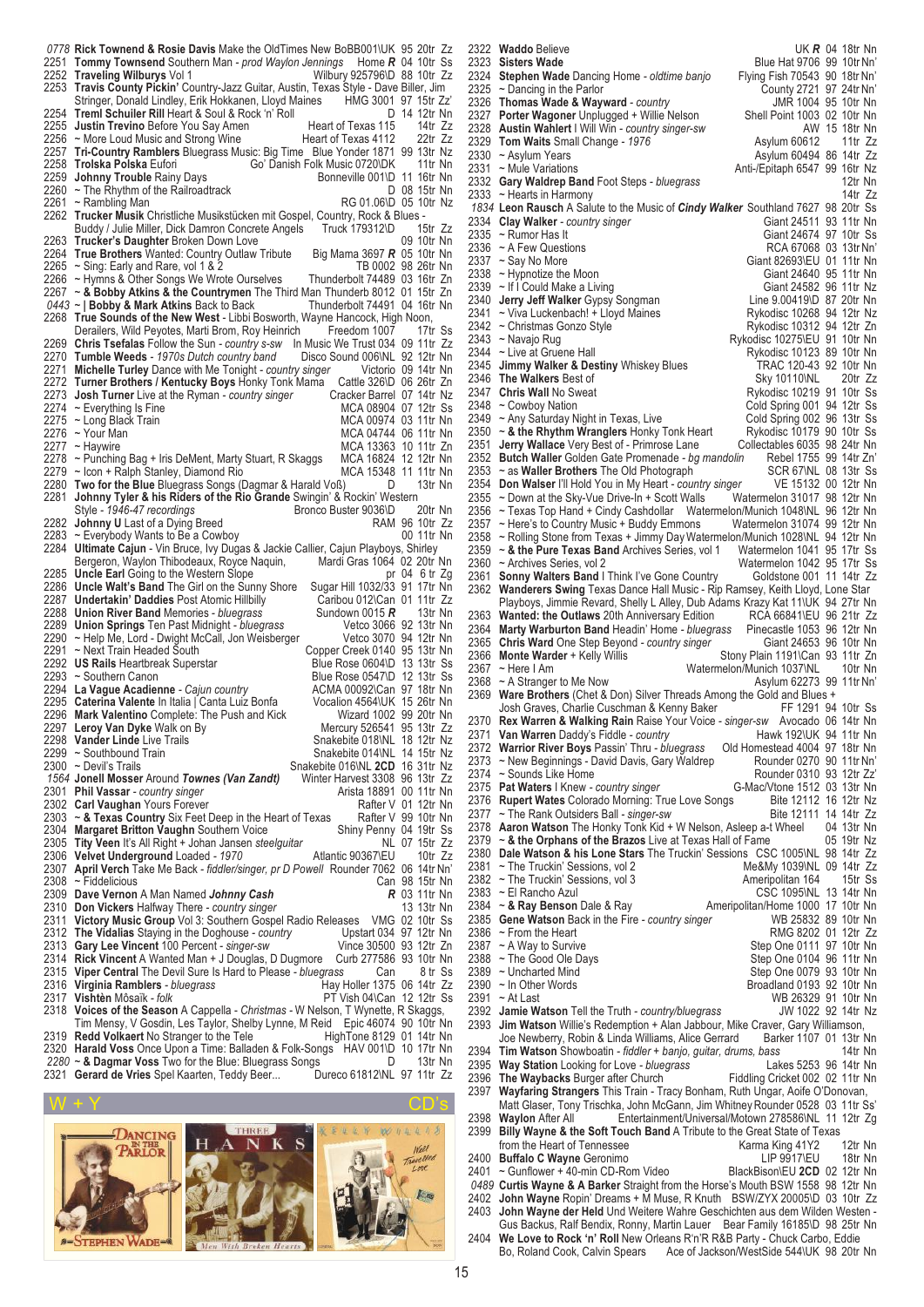**Rick Townend & Rosie Davis** Make the OldTimes New BoBB001\UK 95 20tr Zz 2251 **Tommy Townsend** Southern Man - *prod Waylon Jenning* Home **R** 04 10tr Ss **Tommy Townsend** Southern Man *- prod Waylon Jennings* Home *R* 04 10tr Ss **Traveling Wilburys** Vol 1 Wilbury 925796\D 88 10tr Zz **Travis County Pickin'** Country-Jazz Guitar, Austin, Texas Style - Dave Biller, Jim<br>Stringer, Donald Lindley, Erik Hokkanen, Lloyd Maines HMG 3001 97 15tr Zz Stringer, Donald Lindley, Erik Hokkanen, Lloyd Maines HMG 3001 97 15tr Zz'<br>Stringer, Donald Lindley, Erik Hokkanen, Lloyd Maines HMG 3001 97 15tr Zz' **Treml Schuiler Rill** Heart & Soul & Rock 'n' Roll **Department Container Bill Property** Could B Rock 'n' Roll D 14 12tr Nn<br>2255 **Justin Trevino** Before You Say Amen Heart of Texas 115 14tr Zz **Justin Trevino** Before You Say Amen Heart of Texas 115 14tr Zz<br>2256 ~ More Loud Music and Strong Wine Heart of Texas 4112 22tr Zz 2256 ~ More Loud Music and Strong Wine Heart of Texas 4112 22tr Zz<br>2257 Tri-Country Ramblers Bluegrass Music: Big Time Blue Yonder 1871 99 13tr Nz **Tri-Country Ramblers** Bluegrass Music: Big Time Blue Yonder 1871 99 13tr Nz **Trolska Polska** Eufori Go' Danish Folk Music 0720\DK 11tr Nn<br>2259 **Johnny Trouble** Rainy Days Bonneville 001\D 11 16tr Nn **Johnny Trouble** Rainy Days Bonneville 001\D 11 16tr Nn 2260 ~ The Rhythm of the Railroadtrack **Bonneville 001\D 11 16tr Nn** 2260 ~ The Rhythm of the Railroadtrack<br>2261 ~ Rambling Man 2261 ~ Rambling Man Research Manuscription RG 01.06\D 05 10tr Nz<br>2262 Trucker Musik Christliche Musikstücken mit Gospel. Country. Rock & Blues -**Trucker Musik** Christliche Musikstücken mit Gospel, Country, Rock & Blues -<br>Buddy / Julie Miller, Dick Damron Concrete Angels Truck 179312\D 15tr Zz Buddy / Julie Miller, Dick Damron Concrete Angels Truck 179312\D 15tr Zz<br>Trucker's Daughter Broken Down Love 09 10tr Nn **Trucker's Daughter** Broken Down Love **COVID-100 10tr Nn**<br>2264 **True Brothers** Wanted: Country Outlaw Tribute Big Mama 3697 **R** 05 10tr Nn **True Brothers** Wanted: Country Outlaw Tribute Big Mama 3697 *R* 05 10tr Nn 2265 ~ Sing: Early and Rare, vol 1 & 2 The Control of the TB 0002 98 26tr Nn 2266 ~ Hymns & Other Songs We Wrote Ourselves Thunderbolt 74489 03 16tr Zn<br>2267 ~ & Bobby Atkins & the Countrymen The Third Man Thunderb 8012 01 15tr Zn ~ **& Bobby Atkins & the Countrymen** The Third Man Thunderb 8012 01 15tr Zn ~ | Bobby & Mark Atkins Back to Back<br>2268 True Sounds of the New West - Libbi I **True Sounds of the New West - Libbi Bosworth, Wayne Hancock, High Noon,<br>Derailers, Wild Peyotes, Marti Brom, Roy Heinrich Freedom 1007 17tr Ss** Derailers, Wild Peyotes, Marti Brom, Roy Heinrich **Chris Tsefalas** Follow the Sun *- country s-sw* In Music We Trust 034 09 11tr Zz **Tumble Weeds** *- 1970s Dutch country band* Disco Sound 006\NL 92 12tr Nn **Michelle Turley** Dance with Me Tonight *- country singer* Victorio 09 14tr Nn Turner Brothers / Kentucky Boys Honky Tonk Mama Cattle 326\D 06 26tr Zn<br>Josh Turner Live at the Ryman - *country singer* Cracker Barrel 07 14tr Nz **Josh Turner** Live at the Ryman *- country singer* Cracker Barrel 07 14tr Nz 2274 ~ Everything Is Fine MCA 08904 07 12tr Ss<br>2275 ~ Long Black Train MCA 00974 03 11tr Nn  $\frac{2275}{2276}$  ~ Long Black Train<br>2276 ~ Your Man ~ Your Man MCA 04744 06 11tr Nn 2277 ~ Haywire **MCA 13363** 10 11tr Zn 2278 ~ Punching Bag + Iris DeMent, Marty Stuart, R Skaggs MCA 16824 12 12tr Nn 2279 ~ Icon + Ralph Stanley, Diamond Rio MCA 15348 11 11tr Nn **Two for the Blue** Bluegrass Songs (Dagmar & Harald Voß) D 13tr Nn **Johnny Tyler & his Riders of the Rio Grande** Swingin' & Rockin' Western Style *- 1946-47 recordings*<br> **Johnny U** Last of a Dying Breed Bronco Buster 9036\D 20tr Nn **Johnny U** Last of a Dying Breed<br>2283 ~ Everybody Wants to Be a Cowboy **RAM 96 10tr Zz** 2283 ~ Everybody Wants to Be a Cowboy<br>2284 **Ultimate Caiun** - Vin Bruce. Ivy Dug Ultimate Cajun - Vin Bruce, Ivy Dugas & Jackie Callier, Cajun Playboys, Shirley<br>Bergeron, Waylon Thibodeaux, Royce Naquin, Mardi Gras 1064 02 20tr Nn Bergeron, Waylon Thibodeaux, Royce Naquin, Mardi Gras 1064 02 20tr Nn<br>**Uncle Earl** Going to the Western Slope on the Mardi Gras 1064 6 tr Zg **Uncle Earl** Going to the Western Slope prodetor prodetor 2g 2286 **Uncle Walt's Band** The Girl on the Sunny Shore Sugar Hill 1032/33 91 17tr Nn **Uncle Walt's Band** The Girl on the Sunny Shore Sugar Hill 1032/33 91 17tr Nn **Undertakin' Daddies** Post Atomic Hillbilly Caribou 012\Can 01 11tr Zz<br>2288 **Union River Band** Memories - *bluegrass* Sundown 0015 **R** 13tr Nn **Union River Band** Memories *- bluegrass* Sundown 0015 *R* 13tr Nn **Union Springs** Ten Past Midnight *- bluegrass* Vetco 3066 92 13tr Nn 2290 ~ Help Me, Lord - Dwight McCall, Jon Weisberger Vetco 3070 94 12tr Nn 2291 ~ Next Train Headed South Copper Creek 0140 95 13tr Nn **US Rails** Heartbreak Superstar Blue Rose 0604\D 13 13tr Ss<br>2293 ~ Southern Canon Blue Rose 0547\D 12 13tr Ss 2293 ~ Southern Canon **Department Canon** Blue Rose 0547\D 12 13tr Ss<br>2294 La Vaque Acadienne - Cajun country **Blue Rose 0547\D** 12 13tr Nn **La Vague Acadienne** *- Cajun country* ACMA 00092\Can 97 18tr Nn **Caterina Valente** In Italia | Canta Luiz Bonfa Vocalion 4564\UK 15 26tr Nn **Mark Valentino** Complete: The Push and Kick Wizard 1002 99 20tr Nn<br>2297 Leroy Van Dyke Walk on By Wercury 526541 95 13tr Zz 2297 Leroy Van Dyke Walk on By<br>2298 Vander Linde Live Trails **Vander Linde** Live Trails **Consumer Society Consumer Society Area** Snakebite 018\NL 18 12tr Nz 2299 ~ Southbound Train Snakebite 014\NL 14 15tr Nz<br>2300 ~ Devil's Trails Snakebite 016\NL 2CD 16 31tr Nz Snakebite 016\NL 2CD 16 31tr Nz<br>Winter Harvest 3308 96 13tr Zz **Jonell Mosser** Around *Townes (Van Zandt)* Winter Harvest 3308 96 13tr Zz **Phil Vassar** *- country singer* Arista 18891 00 11tr Nn<br>2302 **Carl Vaughan** Yours Forever **Arista 18891 01 12tr Nn Carl Vaughan** Yours Forever **Carl View Rafter V 01 12tr Nn**<br>2303 ~ & Texas Country Six Feet Deep in the Heart of Texas Rafter V 99 10tr Nn ~ **& Texas Country** Six Feet Deep in the Heart of Texas Rafter V 99 10tr Nn **Margaret Britton Vaughn** Southern Voice Shiny Penny 04 19tr Ss<br>2305 Tity Veen It's All Right + Johan Jansen steelguitar NL 07 15tr Zz **Tity Veen** It's All Right + Johan Jansen *steelguitar* NL 07 15tr Zz<br>2306 **Velvet Underground** Loaded - 1970 Atlantic 90367\FU 10tr Zz **Velvet Underground** Loaded - 1970<br>2307 **April Verch** Take Me Back - fiddler/si **April Verch** Take Me Back *- fiddler/singer, pr D Powell* Rounder 7062 06 14tr Nn' 2308 ~ Fiddelicious Can 98 15tr Nn<br>
2309 Dave Vernon A Man Named Johnny Cash R 03 11tr Nn **Dave Vernon** A Man Named *Johnny Cash R* 03 11tr Nn **Don Vickers** Halfway There *- country singer* 13 13tr Nn **Victory Music Group** Vol 3: Southern Gospel Radio Releases VMG 02 10tr Ss **The Vidalias** Staying in the Doghouse *- country* Upstart 034 97 12tr Nn **Gary Lee Vincent** 100 Percent *- singer-sw* Vince 30500 93 12tr Zn **Rick Vincent** A Wanted Man + J Douglas, D Dugmore Curb 277586 93 10tr Nn **Viper Central** The Devil Sure Is Hard to Please *- bluegrass* Can 8 tr Ss **Virginia Ramblers** - bluegrass<br>2317 **Vishtèn Môsaïk - folk Vishtèn** Môsaïk *- folk* Particle *PT* Vish 04\Can 12 12tr Ss<br>2318 **Voices of the Season** A Cappella - Christmas - W Nelson, T Wynette, R Skaggs, **Voices of the Season** A Cappella - *Christmas -* W Nelson, T Wynette, R Skaggs, Tim Mensy, V Gosdin, Les Taylor, Shelby Lynne, M Reid Epic 46074 90 10tr Nn<br>Redd Volkaert No Stranger to the Tele HighTone 8129 01 14tr Nn **Redd Volkaert** No Stranger to the Tele HighTone 8129 01 14tr Nn<br>2320 **Harald Voss** Once Upon a Time: Balladen & Folk-Songs HAV 001\D 10 17tr Nn **Harald Voss** Once Upon a Time: Balladen & Folk-Songs HAV 001\D 10 17tr Nn<br>2280 ~ & Dagmar Voss Two for the Blue: Bluegrass Songs D 13tr Nn 2280 ~ **& Dagmar Voss** Two for the Blue: Bluegrass Songs **Dument Bluegrass Congraphene Dument Blue 13tr Nn**<br>2321 **Gerard de Vries** Spel Kaarten, Teddy Beer... Dureco 61812\NL 97 11tr Zz 2321 Gerard de Vries Spel Kaarten, Teddy Beer...



2322 **Waddo** Believe UK **R** 04 18tr Nn 2323 **Sisters Wade** UK **R** 04 18tr Nn 2323 **Sisters Wade** 2323 **Sisters Wade** Blue Hat 9706 99 10tr Nn' 2324 **Stephen Wade** Dancing Home *- oldtime banjo* Flying Fish 70543 90 18tr Nn'  $\sim$  Dancing in the Parlor 2326 **Thomas Wade & Wayward** *- country* JMR 1004 95 10tr Nn 2327 **Porter Wagoner** Unplugged + Willie Nelson Shell Point 1003 02 10tr Nn<br>2328 Austin Wahlert I Will Win - country singer-sw **Shell Point 1003 02 18tr Nn** 2328 **Austin Wahlert** I Will Win *- country singer-sw* AW 15 18tr Nn 2329 **Tom Waits** Small Change - 1976<br>2330 ~ Asylum Years 2330 ~ Asylum Years **Asylum 60494 86 14tr Zz**<br>2331 ~ Mule Variations Association Control of Anti-/Epitaph 6547 99 16tr Nz 2331 ~ Mule Variations <br>2332 Gary Waldrep Band Foot Steps - bluegrass Anti-/Epitaph 6547 99 16tr Na 2332 **Gary Waldrep Band** Foot Steps *- bluegrass* 12tr Nn<br>2333 ~ Hearts in Harmony<br>14tr Zz  $~\sim$  Hearts in Harmony *1834* **Leon Rausch** A Salute to the Music of *Cindy Walker* Southland 7627 98 20tr Ss 2334 **Clay Walker** *- country singer* 2335 ~ Rumor Has It 2335 ~ Rumor Has It Giant 24674 97 10tr Ss<br>2336 ~ A Few Questions Case Contract CRCA 67068 03 13tr Nn' 2336 ~ A Few Questions **A Few Outer Structure 1236** RCA 67068 03 13tr Nn'<br>2337 ~ Say No More **Reserve A CONSTANDING CALCULUM** 2337 ~ Say No More Giant 82693\EU 01 11tr Nn<br>2338 ~ Hypnotize the Moon Giant 24640 95 11tr Nn 2338 ~ Hypnotize the Moon Giant 24640 95 11tr Nn<br>2339 ~ If I Could Make a Living Giant 24582 96 11tr Nz 2339 ~ If I Could Make a Living Counter the State Client 24582 96 11tr Nz<br>2340 Jerry Jeff Walker Gypsy Songman Client Chee 9.00419\D 87 20tr Nn 2340 **Jerry Jeff Walker** Gypsy Songman Line 9.00419\D 87 20tr Nn<br>2341 ~ Viva Luckenbach! + Lloyd Maines Rykodisc 10268 94 12tr Nz 2341 ~ Viva Luckenbach! + Lloyd Maines<br>2342 ~ Christmas Gonzo Style 2342 ~ Christmas Gonzo Style **Arrival Company 12tr Concernsive Concernsive Concernsive Concernsive Concernsive**<br>2343 ~ Navajo Rug and Company Rykodisc 10275\EU 91 10tr Nn 2343 ~ Navajo Rug (2343 ~ Navajo Rug Rykodisc 10275\EU 91 10tr Nn<br>2344 ~ Live at Gruene Hall (236 Rykodisc 10123 89 10tr Nn 2344 ~ Live at Gruene Hall 2344 ~ Live at Gruene Hall 2345 Jimmy Walker & Destiny Whiskey Blues 7RAC 120-43 92 10tr Nn 2345 **Jimmy Walker & Destiny** Whiskey Blues **TRAC 120-43 92 10tr Nn**<br>2346 The Walkers Best of **TRAC 120tr 25 846 10110** Sky 10110 NL 20tr Zz 2346 **The Walkers** Best of 2347 **Chris Wall No Sweat** 2347 **Chris Wall** No Sweat **Research State Control Control Control Control Control Control Control Control Control Control Control Control Control Control Control Control Control Control Control Control Control Control Con** 2348 ~ Cowboy Nation Cold Spring 001 94 12tr Ss<br>2349 ~ Any Saturday Night in Texas, Live Cold Spring 002 96 13tr Ss 2349 ~ Any Saturday Night in Texas, Live Cold Spring 002 96 13tr Ss<br>2350 ~ & the Rhythm Wranglers Honky Tonk Heart Rykodisc 10179 90 10tr Ss 2350 ~ **& the Rhythm Wranglers** Honky Tonk Heart Rykodisc 10179 90 10tr Ss 2351 Jerry Wallace Very Best of - Primrose Lane Collectables 6035 98 24tr Nn<br>2352 Butch Waller Golden Gate Promenade - bg mandolin Rebel 1755 99 14tr Zn 2352 **Butch Waller** Golden Gate Promenade *- bg mandolin* Rebel 1755 99 14tr Zn' 2353 ~ as **Waller Brothers** The Old Photograph **SCR 67NL 08 13tr Ss** 356 71 Ss 2354 Don Walser I'll Hold You in My Heart - *country singer* VE 15132 00 12tr Nn 2354 **Don Walser** I'll Hold You in My Heart *- country singer* VE 15132 00 12tr Nn 2355 ~ Down at the Sky-Vue Drive-In + Scott Walls 2356 ~ Texas Top Hand + Cindy Cashdollar Watermelon 31017 98 12tr Matermelon 31017 98 12tr Matermelon 31017 98 12tr Matermelon 31017 98 12tr Matermelon 31017 98 12tr Mater 2356 ~ Texas Top Hand + Cindy Cashdollar Watermelon/Munich 1048\NL 96 12tr Nn<br>2357 ~ Here's to Country Music + Buddy Emmons Watermelon 31074 99 12tr Nn 2357 ~ Here's to Country Music + Buddy Emmons Watermelon 31074 99 12tr Nn 2358 ~ Rolling Stone from Texas + Jimmy DayWatermelon/Munich 1028\NL 94 12tr Nn 2359 ~ **& the Pure Texas Band** Archives Series, vol 1 Watermelon 1041 95 17tr Ss 2360 ~ Archives Series, vol 2 Watermelon 1042 95 17tr Ss<br>2361 **Sonny Walters Band** I Think I've Gone Country 6oldstone 001 11 14tr Zz 2361 **Sonny Walters Band** I Think I've Gone Country 2362 Wanderers Swing Texas Dance Hall Music - Ri 2362 **Wanderers Swing** Texas Dance Hall Music - Rip Ramsey, Keith Lloyd, Lone Star Playboys, Jimmie Revard, Shelly L Alley, Dub Adams Krazy Kat 11\UK 94 27tr Nn<br>Wanted: the Outlaws 20th Anniversary Edition RCA 66841\EU 96 21tr 7z 2363 **Wanted: the Outlaws** 20th Anniversary Edition RCA 66841\EU 96 21tr Zz<br>2364 **Marty Warburton Band** Headin' Home - *bluegrass* Pinecastle 1053 96 12tr Nn 2364 **Marty Warburton Band** Headin' Home *- bluegrass* Pinecastle 1053 96 12tr Nn 2365 Chris Ward One Step Beyond *- country singer*<br>2366 Monte Warder + Kelly Willis 2366 **Monte Warder** + Kelly Willis Stony Plain 1191\Can 93 11tr Zn<br>2367 ~ Here I Am Watermelon/Munich 1037\NL 10tr Nn Watermelon/Munich 1037\NL 2368 ~ A Stranger to Me Now Asylum 62273 99 11tr Nn'<br>2369 Ware Brothers (Chet & Don) Silver Threads Among the Gold and Blues + **Ware Brothers** (Chet & Don) Silver Threads Among the Gold and Blues + Josh Graves. Charlie Cuschman & Kenny Baker FF 1291 94 10tr Ss Josh Graves, Charlie Cuschman & Kenny Baker 2370 **Rex Warren & Walking Rain** Raise Your Voice *- singer-sw* Avocado 06 14tr Nn 2371 **Van Warren** Daddy's Fiddle *- country* Hawk 192\UK 94 11tr Nn<br>2372 Warrior River Boys Passin' Thru - bluegrass Old Homestead 4004 97 18tr Nn 2372 **Warrior River Boys** Passin' Thru *- bluegrass* Old Homestead 4004 97 18tr Nn 2373 ~ New Beginnings - David Davis, Gary Waldrep 2374 ~ Sounds Like Home Rounder 0310 93 12tr Zz'<br>G-Mac/Vtone 1512 03 13tr Nn 2375 **Pat Waters** I Knew *- country singer* G-Mac/Vtone 1512 03 13tr Nn<br>2376 **Rupert Wates** Colorado Morning: True Love Songs Bite 12112 16 12tr Nz 2376 **Rupert Wates** Colorado Morning: True Love Songs Bite 12112 16 12tr Nz<br>2377 ~ The Rank Outsiders Ball - singer-sw Bite 12111 14 14tr Zz 2377 ~ The Rank Outsiders Ball *- singer-sw* Bite 12111 14 14tr Zz 2378 **Aaron Watson** The Honky Tonk Kid + W Nelson, Asleep a-t Wheel 04 13tr Nn<br>2379 ~ & the Orphans of the Brazos Live at Texas Hall of Fame 05 19tr Nz 2379 ~ & the Orphans of the Brazos Live at Texas Hall of Fame<br>2380 Dale Watson & his Lone Stars The Truckin' Sessions CS 2380 **Dale Watson & his Lone Stars** The Truckin' Sessions CSC 1005\NL 98 14tr Zz 2381 ~ The Truckin' Sessions, vol 2 <br>2382 ~ The Truckin' Sessions, vol 3 <br>Ameripolitan 164 15tr Ss 2382 ~ The Truckin' Sessions, vol 3<br>2383 ~ El Rancho Azul 2383 ~ El Rancho Azul **CSC 1095\NL 13 14tr Nn**<br>2384 ~ & Ray Benson Dale & Ray **Ameripolitan/Home 1000 17 10tr Nn** 2384 ~ **& Ray Benson** Dale & Ray **Ameripolitan/Home 1000 17 10tr Nn**<br>2385 **Gene Watson** Back in the Fire - country singer WB 25832 89 10tr Nn 2385 **Gene Watson** Back in the Fire *- country singer* 2386 ~ From the Heart 2386 ~ From the Heart RMG 8202 01 12tr Zz<br>2387 ~ A Way to Survive Step One 0111 97 10tr Nn 2387 ~ A Way to Survive 30 000 000 000 000 000 0111 97 10tr Nn<br>2388 ~ The Good Ole Days 30 000 000 000 0104 96 11tr Nn 2388 ~ The Good Ole Days Step One 0104 96 11tr Nn<br>2389 ~ Uncharted Mind Step One 0079 93 10tr Nn 2389 ~ Uncharted Mind (2389 ~ Uncharted Mind Case of Cone of Step One 0079 93 10tr Nn<br>2390 ~ In Other Words (239) 23 10tr Nn 2390 ~ In Other Words Broadland 0193 92 10tr Nn WB 26329 91 10tr Nn<br>2392 **Jamie Watson** Tell the Truth - *country/bluegrass* JW 1022 92 14tr Nz 2392 **Jamie Watson** Tell the Truth *- country/bluegrass*<br>2393 **Jim Watson** Willie's Redemption + Alan Jabbour Jim Watson Willie's Redemption + Alan Jabbour, Mike Craver, Gary Williamson, Joe Newberry, Robin & Linda Williams, Alice Gerrard Barker 1107 01 13tr Nn Joe Newberry, Robin & Linda Williams, Alice Gerrard Barker 1107 01 13tr Nn 2394 **Tim Watson** Showboatin *- fiddler + banjo, guitar, drums, bass* 14tr Nn 2395 **Way Station** Looking for Love *- bluegrass* Lakes 5253 96 14tr Nn 2396 **The Waybacks** Burger after Church 2397 Wayfaring Strangers This Train - Tr 2397 **Wayfaring Strangers** This Train - Tracy Bonham, Ruth Ungar, Aoife O'Donovan, Matt Glaser, Tony Trischka, John McGann, Jim Whitney Rounder 0528 03 11tr Ss<br>Waylon After All Entertainment/Universal/Motown 278586\NL 11 12tr Zo 2398 **Waylon** After All **Entertainment/Universal/Motown 278586\NL 11 12tr Zg<br>2399 Billy Wayne & the Soft Touch Band A Tribute to the Great State of Texas Billy Wayne & the Soft Touch Band** A Tribute to the Great State of Texas from the Heart of Tennessee Karma King 41Y2 12tr Nn from the Heart of Tennessee<br> **Buffalo C Wayne** Geronimo<br>
LIP 9917\EU 2400 **Buffalo C Wayne** Geronimo LIP 9917\EU 18tr Nn<br>2401 ~ Gunflower + 40-min CD-Rom Video BlackBison\EU 2CD 02 12tr Nn 2401 ~ Gunflower + 40-min CD-Rom Video<br>0489 **Curtis Wavne & A Barker** Straight fro *0489* **Curtis Wayne & A Barker** Straight from the Horse's Mouth BSW 1558 98 12tr Nn 2402 **John Wayne** Ropin' Dreams + M Muse, R Knuth BSW/ZYX 20005\D 03 10tr Zz<br>2403 **John Wayne der Held** Und Weitere Wahre Geschichten aus dem Wilden Westen -John Wayne der Held Und Weitere Wahre Geschichten aus dem Wilden Westen -Gus Backus, Ralf Bendix, Ronny, Martin Lauer Bear Family 16185\D 98 25tr Nn 2404 **We Love to Rock 'n' Roll** New Orleans R'n'R R&B Party - Chuck Carbo, Eddie Bo, Roland Cook, Calvin Spears Ace of Jackson/WestSide 544\UK 98 20tr Nn

15